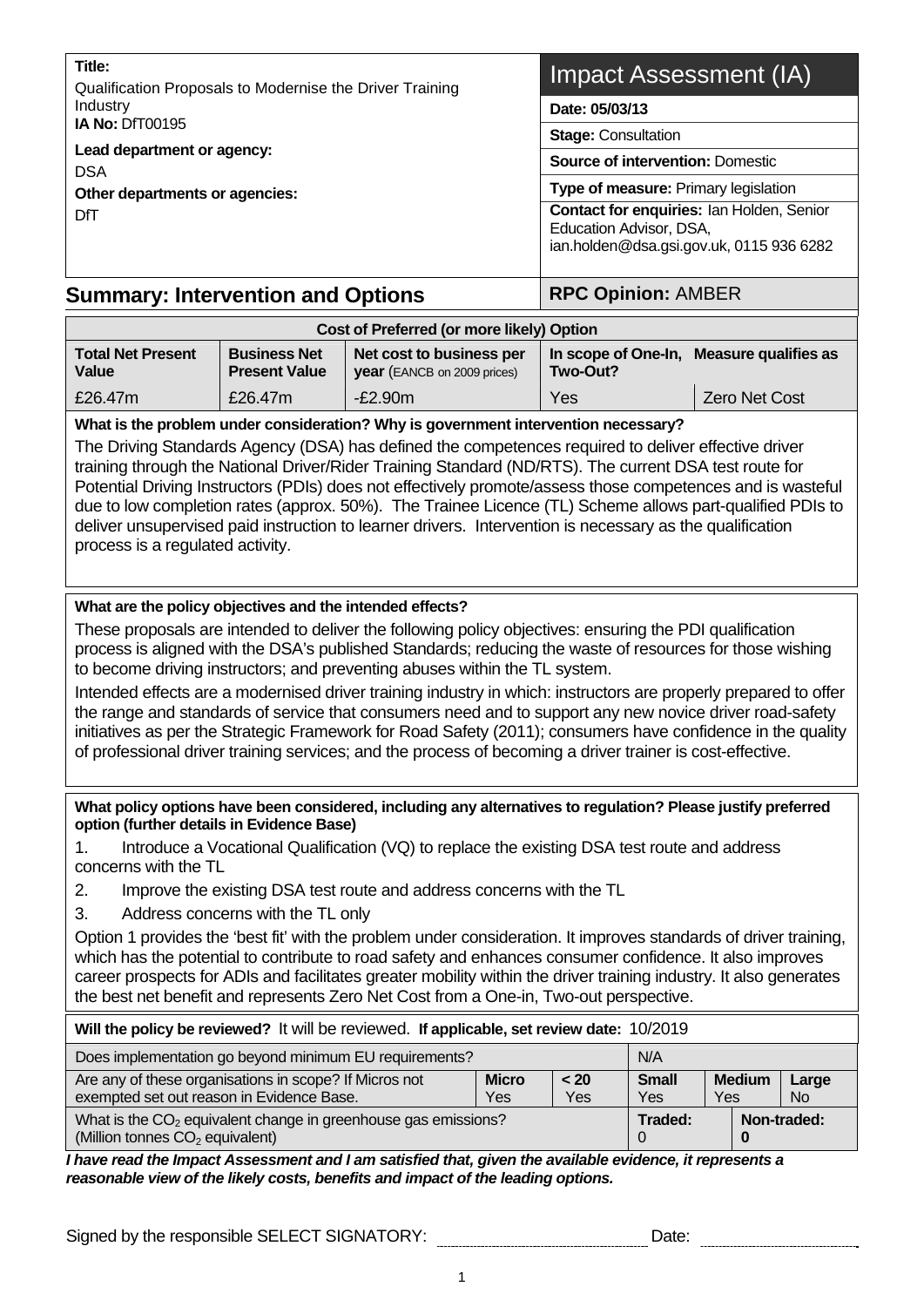**Title:**  Qualification Proposals to Modernise the Driver Training Industry **IA No:** DfT00195 **Lead department or agency:**  DSA **Other departments or agencies:**  DfT

# Impact Assessment (IA)

**Date: 05/03/13** 

**Stage:** Consultation

**Source of intervention:** Domestic

**Type of measure:** Primary legislation

**Contact for enquiries:** Ian Holden, Senior Education Advisor, DSA, ian.holden@dsa.gsi.gov.uk, 0115 936 6282

**Summary: Intervention and Options Fig. 2.5 (Separate RPC Opinion: AMBER** 

| Cost of Preferred (or more likely) Option |                                             |                                                                |          |                                          |  |  |  |  |
|-------------------------------------------|---------------------------------------------|----------------------------------------------------------------|----------|------------------------------------------|--|--|--|--|
| <b>Total Net Present</b><br><b>Value</b>  | <b>Business Net</b><br><b>Present Value</b> | Net cost to business per<br><b>year</b> (EANCB on 2009 prices) | Two-Out? | In scope of One-In, Measure qualifies as |  |  |  |  |
| £26.47m                                   | £26.47m                                     | $-E2.90m$                                                      | Yes      | <b>Zero Net Cost</b>                     |  |  |  |  |

**What is the problem under consideration? Why is government intervention necessary?** 

The Driving Standards Agency (DSA) has defined the competences required to deliver effective driver training through the National Driver/Rider Training Standard (ND/RTS). The current DSA test route for Potential Driving Instructors (PDIs) does not effectively promote/assess those competences and is wasteful due to low completion rates (approx. 50%). The Trainee Licence (TL) Scheme allows part-qualified PDIs to deliver unsupervised paid instruction to learner drivers. Intervention is necessary as the qualification process is a regulated activity.

# **What are the policy objectives and the intended effects?**

These proposals are intended to deliver the following policy objectives: ensuring the PDI qualification process is aligned with the DSA's published Standards; reducing the waste of resources for those wishing to become driving instructors; and preventing abuses within the TL system.

Intended effects are a modernised driver training industry in which: instructors are properly prepared to offer the range and standards of service that consumers need and to support any new novice driver road-safety initiatives as per the Strategic Framework for Road Safety (2011); consumers have confidence in the quality of professional driver training services; and the process of becoming a driver trainer is cost-effective.

**What policy options have been considered, including any alternatives to regulation? Please justify preferred option (further details in Evidence Base)** 

1. Introduce a Vocational Qualification (VQ) to replace the existing DSA test route and address concerns with the TL

- 2. Improve the existing DSA test route and address concerns with the TL
- 3. Address concerns with the TL only

Option 1 provides the 'best fit' with the problem under consideration. It improves standards of driver training, which has the potential to contribute to road safety and enhances consumer confidence. It also improves career prospects for ADIs and facilitates greater mobility within the driver training industry. It also generates the best net benefit and represents Zero Net Cost from a One-in, Two-out perspective.

| Will the policy be reviewed? It will be reviewed. If applicable, set review date: 10/2019                       |                     |                                                            |  |  |                    |  |  |  |
|-----------------------------------------------------------------------------------------------------------------|---------------------|------------------------------------------------------------|--|--|--------------------|--|--|--|
| Does implementation go beyond minimum EU requirements?<br>N/A                                                   |                     |                                                            |  |  |                    |  |  |  |
| Are any of these organisations in scope? If Micros not<br>exempted set out reason in Evidence Base.             | <b>Micro</b><br>Yes | <b>Small</b><br><b>Medium</b><br>< 20<br>Yes<br>Yes<br>Yes |  |  | Large<br><b>No</b> |  |  |  |
| What is the $CO2$ equivalent change in greenhouse gas emissions?<br>(Million tonnes CO <sub>2</sub> equivalent) |                     |                                                            |  |  | Non-traded:        |  |  |  |

*I have read the Impact Assessment and I am satisfied that, given the available evidence, it represents a reasonable view of the likely costs, benefits and impact of the leading options.* 

Signed by the responsible SELECT SIGNATORY: Date: Date: Date: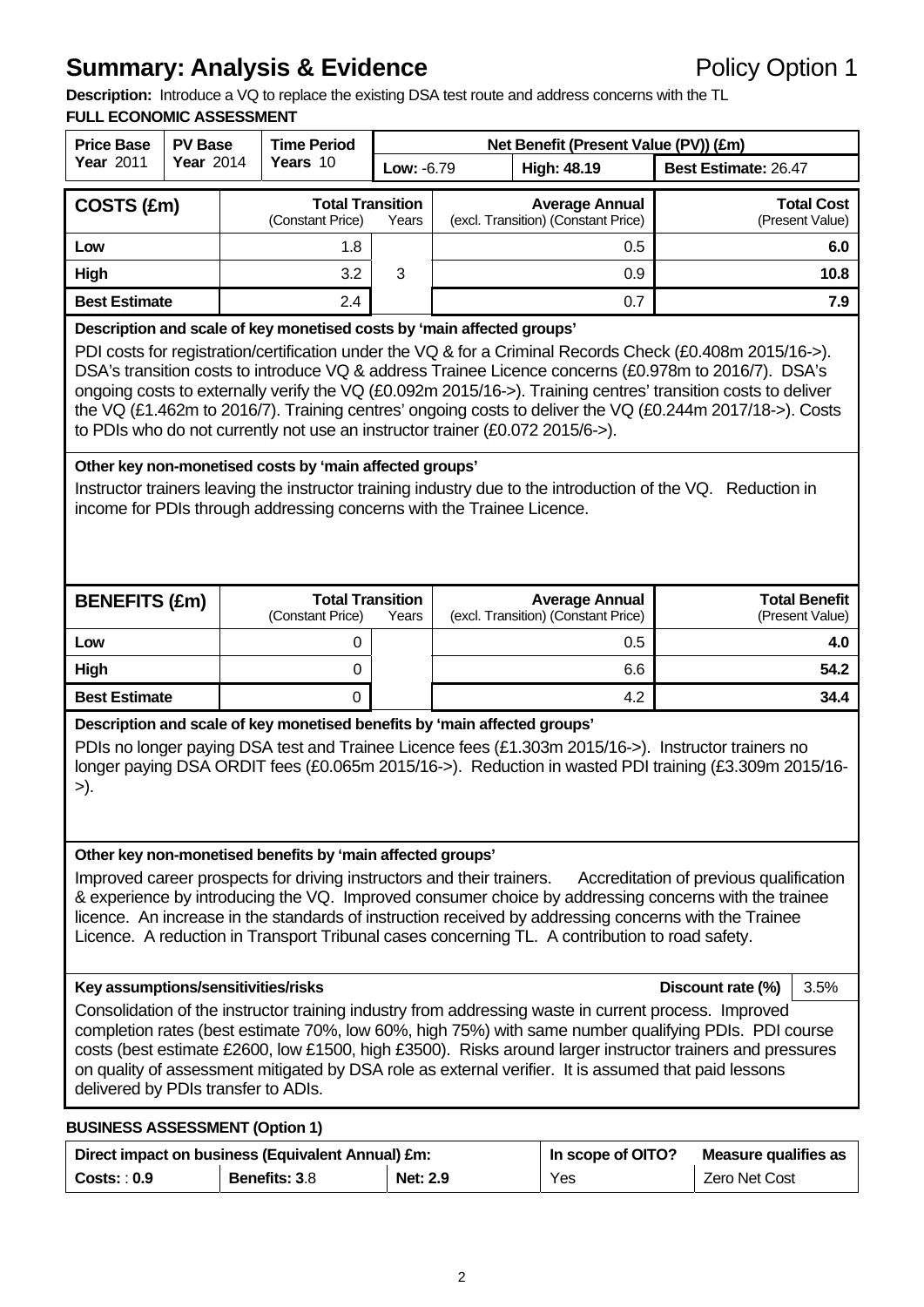# **Summary: Analysis & Evidence Policy Option 1**

**Description:** Introduce a VQ to replace the existing DSA test route and address concerns with the TL

# **FULL ECONOMIC ASSESSMENT**

| <b>Price Base</b>                                                                                                                                                                                                                                                                                                                                                                                                                                                                                               | <b>PV Base</b>                                                                                                                                                                                                                                                                                                                                                                                                                                                                                                                 |  | <b>Time Period</b>                                         |                                                                          |  | Net Benefit (Present Value (PV)) (£m)      |                             |                        |  |
|-----------------------------------------------------------------------------------------------------------------------------------------------------------------------------------------------------------------------------------------------------------------------------------------------------------------------------------------------------------------------------------------------------------------------------------------------------------------------------------------------------------------|--------------------------------------------------------------------------------------------------------------------------------------------------------------------------------------------------------------------------------------------------------------------------------------------------------------------------------------------------------------------------------------------------------------------------------------------------------------------------------------------------------------------------------|--|------------------------------------------------------------|--------------------------------------------------------------------------|--|--------------------------------------------|-----------------------------|------------------------|--|
| <b>Year 2011</b>                                                                                                                                                                                                                                                                                                                                                                                                                                                                                                | <b>Year 2014</b>                                                                                                                                                                                                                                                                                                                                                                                                                                                                                                               |  | Years 10                                                   | Low: -6.79                                                               |  | <b>High: 48.19</b>                         | <b>Best Estimate: 26.47</b> |                        |  |
| COSTS (£m)                                                                                                                                                                                                                                                                                                                                                                                                                                                                                                      |                                                                                                                                                                                                                                                                                                                                                                                                                                                                                                                                |  | <b>Total Transition</b>                                    |                                                                          |  | <b>Average Annual</b>                      |                             | <b>Total Cost</b>      |  |
| Low                                                                                                                                                                                                                                                                                                                                                                                                                                                                                                             |                                                                                                                                                                                                                                                                                                                                                                                                                                                                                                                                |  | (Constant Price)<br>1.8                                    | Years                                                                    |  | (excl. Transition) (Constant Price)<br>0.5 |                             | (Present Value)<br>6.0 |  |
| <b>High</b>                                                                                                                                                                                                                                                                                                                                                                                                                                                                                                     |                                                                                                                                                                                                                                                                                                                                                                                                                                                                                                                                |  | 3.2                                                        | 3                                                                        |  | 0.9                                        |                             | 10.8                   |  |
| <b>Best Estimate</b>                                                                                                                                                                                                                                                                                                                                                                                                                                                                                            |                                                                                                                                                                                                                                                                                                                                                                                                                                                                                                                                |  | 2.4                                                        |                                                                          |  | 0.7                                        |                             | 7.9                    |  |
| Description and scale of key monetised costs by 'main affected groups'                                                                                                                                                                                                                                                                                                                                                                                                                                          |                                                                                                                                                                                                                                                                                                                                                                                                                                                                                                                                |  |                                                            |                                                                          |  |                                            |                             |                        |  |
|                                                                                                                                                                                                                                                                                                                                                                                                                                                                                                                 | PDI costs for registration/certification under the VQ & for a Criminal Records Check (£0.408m 2015/16->).<br>DSA's transition costs to introduce VQ & address Trainee Licence concerns (£0.978m to 2016/7). DSA's<br>ongoing costs to externally verify the VQ (£0.092m 2015/16->). Training centres' transition costs to deliver<br>the VQ (£1.462m to 2016/7). Training centres' ongoing costs to deliver the VQ (£0.244m 2017/18->). Costs<br>to PDIs who do not currently not use an instructor trainer (£0.072 2015/6->). |  |                                                            |                                                                          |  |                                            |                             |                        |  |
|                                                                                                                                                                                                                                                                                                                                                                                                                                                                                                                 |                                                                                                                                                                                                                                                                                                                                                                                                                                                                                                                                |  | Other key non-monetised costs by 'main affected groups'    |                                                                          |  |                                            |                             |                        |  |
| Instructor trainers leaving the instructor training industry due to the introduction of the VQ. Reduction in<br>income for PDIs through addressing concerns with the Trainee Licence.                                                                                                                                                                                                                                                                                                                           |                                                                                                                                                                                                                                                                                                                                                                                                                                                                                                                                |  |                                                            |                                                                          |  |                                            |                             |                        |  |
| <b>BENEFITS (£m)</b>                                                                                                                                                                                                                                                                                                                                                                                                                                                                                            |                                                                                                                                                                                                                                                                                                                                                                                                                                                                                                                                |  |                                                            | <b>Total Transition</b><br><b>Total Benefit</b><br><b>Average Annual</b> |  |                                            |                             |                        |  |
|                                                                                                                                                                                                                                                                                                                                                                                                                                                                                                                 |                                                                                                                                                                                                                                                                                                                                                                                                                                                                                                                                |  | (Constant Price)                                           | Years                                                                    |  | (excl. Transition) (Constant Price)        |                             | (Present Value)        |  |
| Low                                                                                                                                                                                                                                                                                                                                                                                                                                                                                                             |                                                                                                                                                                                                                                                                                                                                                                                                                                                                                                                                |  | 0<br>$\Omega$                                              |                                                                          |  | 0.5                                        |                             | 4.0<br>54.2            |  |
| High<br><b>Best Estimate</b>                                                                                                                                                                                                                                                                                                                                                                                                                                                                                    |                                                                                                                                                                                                                                                                                                                                                                                                                                                                                                                                |  | $\Omega$                                                   |                                                                          |  | 6.6<br>4.2                                 |                             | 34.4                   |  |
|                                                                                                                                                                                                                                                                                                                                                                                                                                                                                                                 |                                                                                                                                                                                                                                                                                                                                                                                                                                                                                                                                |  |                                                            |                                                                          |  |                                            |                             |                        |  |
| >).                                                                                                                                                                                                                                                                                                                                                                                                                                                                                                             | Description and scale of key monetised benefits by 'main affected groups'<br>PDIs no longer paying DSA test and Trainee Licence fees (£1.303m 2015/16->). Instructor trainers no<br>longer paying DSA ORDIT fees (£0.065m 2015/16->). Reduction in wasted PDI training (£3.309m 2015/16-                                                                                                                                                                                                                                       |  |                                                            |                                                                          |  |                                            |                             |                        |  |
|                                                                                                                                                                                                                                                                                                                                                                                                                                                                                                                 |                                                                                                                                                                                                                                                                                                                                                                                                                                                                                                                                |  | Other key non-monetised benefits by 'main affected groups' |                                                                          |  |                                            |                             |                        |  |
| Improved career prospects for driving instructors and their trainers.<br>Accreditation of previous qualification<br>& experience by introducing the VQ. Improved consumer choice by addressing concerns with the trainee<br>licence. An increase in the standards of instruction received by addressing concerns with the Trainee<br>Licence. A reduction in Transport Tribunal cases concerning TL. A contribution to road safety.                                                                             |                                                                                                                                                                                                                                                                                                                                                                                                                                                                                                                                |  |                                                            |                                                                          |  |                                            |                             |                        |  |
|                                                                                                                                                                                                                                                                                                                                                                                                                                                                                                                 |                                                                                                                                                                                                                                                                                                                                                                                                                                                                                                                                |  |                                                            |                                                                          |  |                                            | Discount rate (%)           | 3.5%                   |  |
| Key assumptions/sensitivities/risks<br>Consolidation of the instructor training industry from addressing waste in current process. Improved<br>completion rates (best estimate 70%, low 60%, high 75%) with same number qualifying PDIs. PDI course<br>costs (best estimate £2600, low £1500, high £3500). Risks around larger instructor trainers and pressures<br>on quality of assessment mitigated by DSA role as external verifier. It is assumed that paid lessons<br>delivered by PDIs transfer to ADIs. |                                                                                                                                                                                                                                                                                                                                                                                                                                                                                                                                |  |                                                            |                                                                          |  |                                            |                             |                        |  |

# Direct impact on business (Equivalent Annual) £m: **In scope of OITO?** Measure qualifies as **Costs: 0.9** Benefits: 3.8 Net: 2.9 Yes Zero Net Cost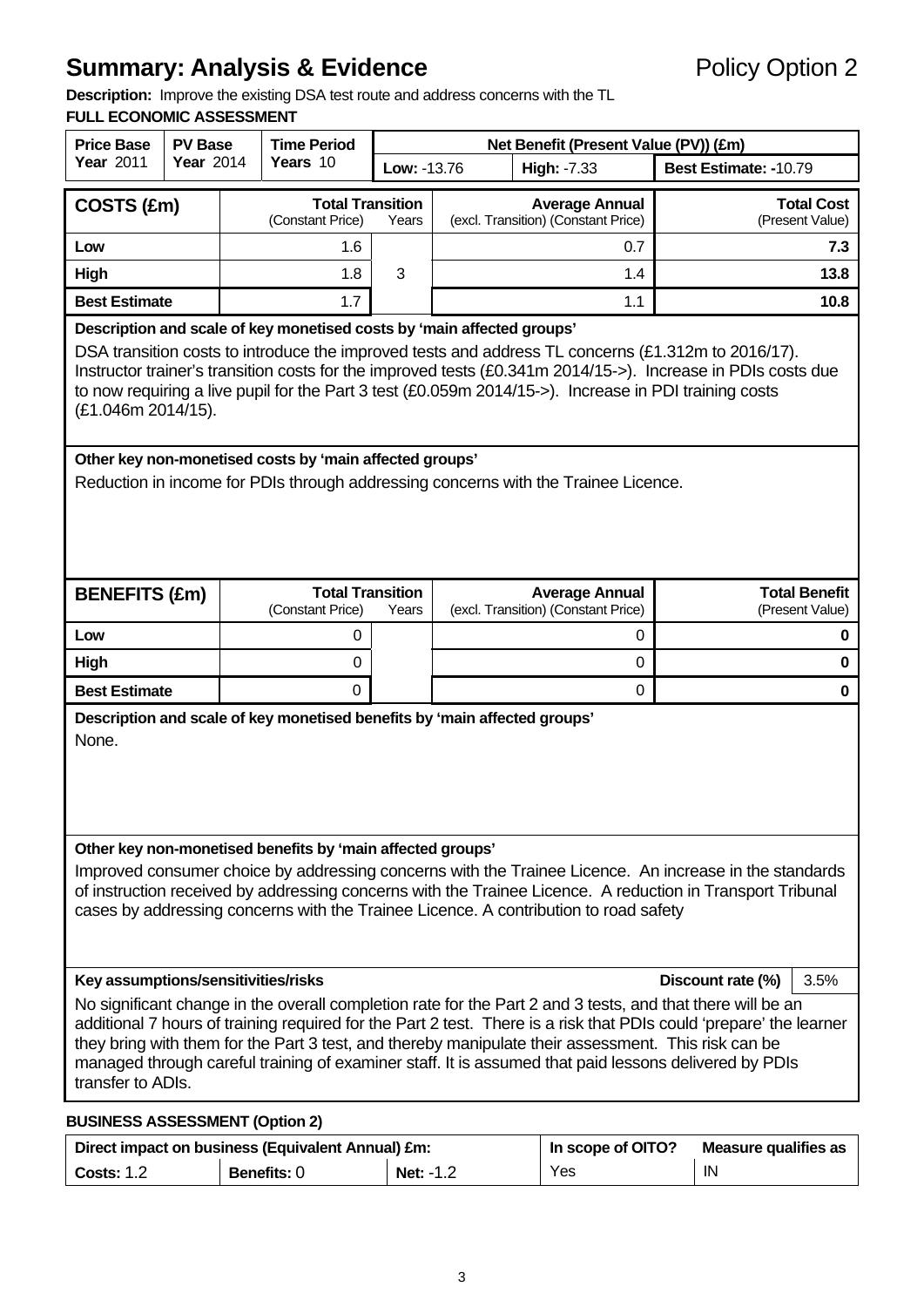# **Summary: Analysis & Evidence Policy Option 2**

**Description:** Improve the existing DSA test route and address concerns with the TL

#### **FULL ECONOMIC ASSESSMENT**

| <b>Price Base</b><br><b>PV Base</b>                                                                                                                                                                                                                                                                                                                                                                                                                                                                          |                                                                                                                                                                                                                                                                                                                                                                                                                             |  | <b>Time Period</b>                                |       | Net Benefit (Present Value (PV)) (£m) |                                                              |                                         |  |  |
|--------------------------------------------------------------------------------------------------------------------------------------------------------------------------------------------------------------------------------------------------------------------------------------------------------------------------------------------------------------------------------------------------------------------------------------------------------------------------------------------------------------|-----------------------------------------------------------------------------------------------------------------------------------------------------------------------------------------------------------------------------------------------------------------------------------------------------------------------------------------------------------------------------------------------------------------------------|--|---------------------------------------------------|-------|---------------------------------------|--------------------------------------------------------------|-----------------------------------------|--|--|
| <b>Year 2011</b>                                                                                                                                                                                                                                                                                                                                                                                                                                                                                             | <b>Year 2014</b>                                                                                                                                                                                                                                                                                                                                                                                                            |  | Years 10                                          |       | Low: -13.76                           | High: -7.33                                                  | Best Estimate: -10.79                   |  |  |
| COSTS (£m)                                                                                                                                                                                                                                                                                                                                                                                                                                                                                                   |                                                                                                                                                                                                                                                                                                                                                                                                                             |  | <b>Total Transition</b><br>(Constant Price)       | Years |                                       | <b>Average Annual</b><br>(excl. Transition) (Constant Price) | <b>Total Cost</b><br>(Present Value)    |  |  |
| Low                                                                                                                                                                                                                                                                                                                                                                                                                                                                                                          |                                                                                                                                                                                                                                                                                                                                                                                                                             |  | 1.6                                               |       |                                       | 0.7                                                          | 7.3                                     |  |  |
| High                                                                                                                                                                                                                                                                                                                                                                                                                                                                                                         |                                                                                                                                                                                                                                                                                                                                                                                                                             |  | 1.8                                               | 3     |                                       | 1.4                                                          | 13.8                                    |  |  |
| <b>Best Estimate</b>                                                                                                                                                                                                                                                                                                                                                                                                                                                                                         |                                                                                                                                                                                                                                                                                                                                                                                                                             |  | 1.7                                               |       |                                       | 1.1                                                          | 10.8                                    |  |  |
|                                                                                                                                                                                                                                                                                                                                                                                                                                                                                                              | Description and scale of key monetised costs by 'main affected groups'<br>DSA transition costs to introduce the improved tests and address TL concerns (£1.312m to 2016/17).<br>Instructor trainer's transition costs for the improved tests (£0.341m 2014/15->). Increase in PDIs costs due<br>to now requiring a live pupil for the Part 3 test (£0.059m 2014/15->). Increase in PDI training costs<br>(£1.046m 2014/15). |  |                                                   |       |                                       |                                                              |                                         |  |  |
| Other key non-monetised costs by 'main affected groups'<br>Reduction in income for PDIs through addressing concerns with the Trainee Licence.                                                                                                                                                                                                                                                                                                                                                                |                                                                                                                                                                                                                                                                                                                                                                                                                             |  |                                                   |       |                                       |                                                              |                                         |  |  |
| <b>BENEFITS (£m)</b>                                                                                                                                                                                                                                                                                                                                                                                                                                                                                         |                                                                                                                                                                                                                                                                                                                                                                                                                             |  | <b>Total Transition</b><br>(Constant Price)       | Years |                                       | <b>Average Annual</b><br>(excl. Transition) (Constant Price) | <b>Total Benefit</b><br>(Present Value) |  |  |
| Low                                                                                                                                                                                                                                                                                                                                                                                                                                                                                                          |                                                                                                                                                                                                                                                                                                                                                                                                                             |  | 0                                                 |       |                                       | 0                                                            | 0                                       |  |  |
| High                                                                                                                                                                                                                                                                                                                                                                                                                                                                                                         |                                                                                                                                                                                                                                                                                                                                                                                                                             |  | 0                                                 |       |                                       | 0                                                            | 0                                       |  |  |
| <b>Best Estimate</b>                                                                                                                                                                                                                                                                                                                                                                                                                                                                                         |                                                                                                                                                                                                                                                                                                                                                                                                                             |  | $\Omega$                                          |       |                                       | 0                                                            | 0                                       |  |  |
| Description and scale of key monetised benefits by 'main affected groups'<br>None.                                                                                                                                                                                                                                                                                                                                                                                                                           |                                                                                                                                                                                                                                                                                                                                                                                                                             |  |                                                   |       |                                       |                                                              |                                         |  |  |
| Other key non-monetised benefits by 'main affected groups'<br>Improved consumer choice by addressing concerns with the Trainee Licence. An increase in the standards<br>of instruction received by addressing concerns with the Trainee Licence. A reduction in Transport Tribunal<br>cases by addressing concerns with the Trainee Licence. A contribution to road safety                                                                                                                                   |                                                                                                                                                                                                                                                                                                                                                                                                                             |  |                                                   |       |                                       |                                                              |                                         |  |  |
|                                                                                                                                                                                                                                                                                                                                                                                                                                                                                                              |                                                                                                                                                                                                                                                                                                                                                                                                                             |  |                                                   |       |                                       |                                                              | Discount rate (%)<br>3.5%               |  |  |
| Key assumptions/sensitivities/risks<br>No significant change in the overall completion rate for the Part 2 and 3 tests, and that there will be an<br>additional 7 hours of training required for the Part 2 test. There is a risk that PDIs could 'prepare' the learner<br>they bring with them for the Part 3 test, and thereby manipulate their assessment. This risk can be<br>managed through careful training of examiner staff. It is assumed that paid lessons delivered by PDIs<br>transfer to ADIs. |                                                                                                                                                                                                                                                                                                                                                                                                                             |  |                                                   |       |                                       |                                                              |                                         |  |  |
| <b>BUSINESS ASSESSMENT (Option 2)</b>                                                                                                                                                                                                                                                                                                                                                                                                                                                                        |                                                                                                                                                                                                                                                                                                                                                                                                                             |  |                                                   |       |                                       |                                                              |                                         |  |  |
|                                                                                                                                                                                                                                                                                                                                                                                                                                                                                                              |                                                                                                                                                                                                                                                                                                                                                                                                                             |  | Direct impact on business (Equivalent Annual) £m. |       |                                       | In scope of $\bigcap_{n=1}^{\infty}$                         | Moseuro qualifice as                    |  |  |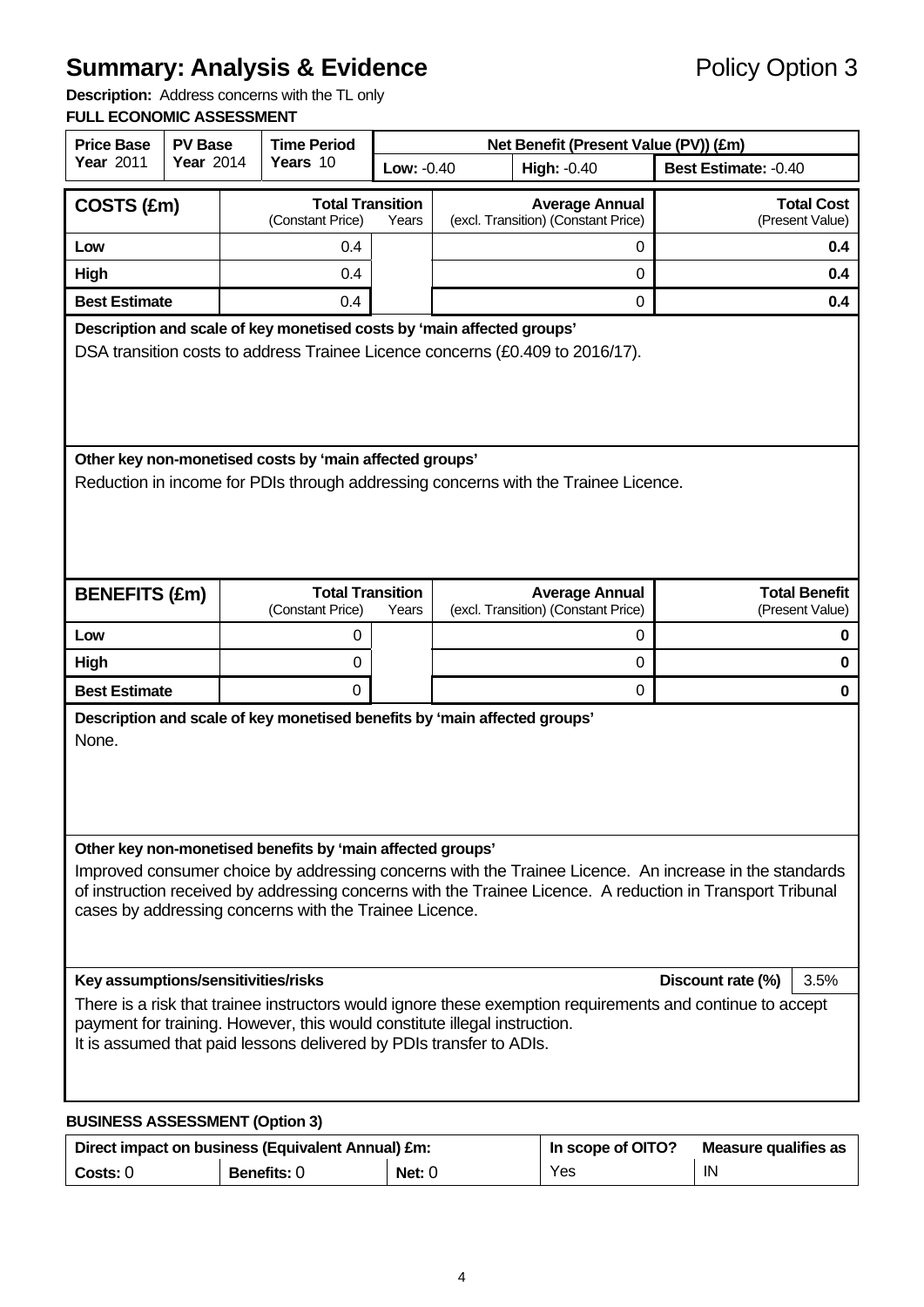# **Summary: Analysis & Evidence** Policy Option 3

**Description:** Address concerns with the TL only

#### **FULL ECONOMIC ASSESSMENT**

| <b>Price Base</b>                                                                                                                                | <b>PV Base</b>                        | <b>Time Period</b> |                                                            |            | Net Benefit (Present Value (PV)) (£m)                                                                                                                                                                                |                           |     |  |  |
|--------------------------------------------------------------------------------------------------------------------------------------------------|---------------------------------------|--------------------|------------------------------------------------------------|------------|----------------------------------------------------------------------------------------------------------------------------------------------------------------------------------------------------------------------|---------------------------|-----|--|--|
| Year 2011                                                                                                                                        | <b>Year 2014</b>                      |                    | Years 10                                                   | Low: -0.40 | <b>High: -0.40</b>                                                                                                                                                                                                   | Best Estimate: -0.40      |     |  |  |
| COSTS (£m)                                                                                                                                       |                                       |                    | <b>Total Transition</b>                                    |            | <b>Average Annual</b>                                                                                                                                                                                                | <b>Total Cost</b>         |     |  |  |
|                                                                                                                                                  |                                       |                    | (Constant Price)                                           | Years      | (excl. Transition) (Constant Price)                                                                                                                                                                                  | (Present Value)           |     |  |  |
| Low                                                                                                                                              |                                       |                    | 0.4                                                        |            | 0                                                                                                                                                                                                                    |                           | 0.4 |  |  |
| High                                                                                                                                             |                                       |                    | 0.4                                                        |            | 0                                                                                                                                                                                                                    |                           | 0.4 |  |  |
| <b>Best Estimate</b><br>0.4<br>0<br>0.4<br>Description and scale of key monetised costs by 'main affected groups'                                |                                       |                    |                                                            |            |                                                                                                                                                                                                                      |                           |     |  |  |
|                                                                                                                                                  |                                       |                    |                                                            |            | DSA transition costs to address Trainee Licence concerns (£0.409 to 2016/17).                                                                                                                                        |                           |     |  |  |
|                                                                                                                                                  |                                       |                    |                                                            |            |                                                                                                                                                                                                                      |                           |     |  |  |
|                                                                                                                                                  |                                       |                    |                                                            |            |                                                                                                                                                                                                                      |                           |     |  |  |
|                                                                                                                                                  |                                       |                    |                                                            |            |                                                                                                                                                                                                                      |                           |     |  |  |
|                                                                                                                                                  |                                       |                    | Other key non-monetised costs by 'main affected groups'    |            |                                                                                                                                                                                                                      |                           |     |  |  |
|                                                                                                                                                  |                                       |                    |                                                            |            | Reduction in income for PDIs through addressing concerns with the Trainee Licence.                                                                                                                                   |                           |     |  |  |
|                                                                                                                                                  |                                       |                    |                                                            |            |                                                                                                                                                                                                                      |                           |     |  |  |
|                                                                                                                                                  |                                       |                    |                                                            |            |                                                                                                                                                                                                                      |                           |     |  |  |
|                                                                                                                                                  |                                       |                    |                                                            |            |                                                                                                                                                                                                                      |                           |     |  |  |
| <b>BENEFITS (£m)</b>                                                                                                                             |                                       |                    | <b>Total Transition</b>                                    |            | <b>Average Annual</b>                                                                                                                                                                                                | <b>Total Benefit</b>      |     |  |  |
|                                                                                                                                                  |                                       |                    | (Constant Price)                                           | Years      | (excl. Transition) (Constant Price)                                                                                                                                                                                  | (Present Value)           |     |  |  |
| Low                                                                                                                                              |                                       |                    | 0                                                          |            | 0                                                                                                                                                                                                                    |                           | 0   |  |  |
| High                                                                                                                                             |                                       |                    | 0                                                          |            | 0                                                                                                                                                                                                                    |                           | 0   |  |  |
| <b>Best Estimate</b>                                                                                                                             |                                       |                    | 0                                                          |            | 0                                                                                                                                                                                                                    |                           | 0   |  |  |
|                                                                                                                                                  |                                       |                    |                                                            |            | Description and scale of key monetised benefits by 'main affected groups'                                                                                                                                            |                           |     |  |  |
| None.                                                                                                                                            |                                       |                    |                                                            |            |                                                                                                                                                                                                                      |                           |     |  |  |
|                                                                                                                                                  |                                       |                    |                                                            |            |                                                                                                                                                                                                                      |                           |     |  |  |
|                                                                                                                                                  |                                       |                    |                                                            |            |                                                                                                                                                                                                                      |                           |     |  |  |
|                                                                                                                                                  |                                       |                    |                                                            |            |                                                                                                                                                                                                                      |                           |     |  |  |
|                                                                                                                                                  |                                       |                    | Other key non-monetised benefits by 'main affected groups' |            |                                                                                                                                                                                                                      |                           |     |  |  |
|                                                                                                                                                  |                                       |                    |                                                            |            | Improved consumer choice by addressing concerns with the Trainee Licence. An increase in the standards<br>of instruction received by addressing concerns with the Trainee Licence. A reduction in Transport Tribunal |                           |     |  |  |
|                                                                                                                                                  |                                       |                    | cases by addressing concerns with the Trainee Licence.     |            |                                                                                                                                                                                                                      |                           |     |  |  |
|                                                                                                                                                  |                                       |                    |                                                            |            |                                                                                                                                                                                                                      |                           |     |  |  |
|                                                                                                                                                  |                                       |                    |                                                            |            |                                                                                                                                                                                                                      |                           |     |  |  |
| Key assumptions/sensitivities/risks                                                                                                              |                                       |                    |                                                            |            |                                                                                                                                                                                                                      | Discount rate (%)<br>3.5% |     |  |  |
|                                                                                                                                                  |                                       |                    |                                                            |            | There is a risk that trainee instructors would ignore these exemption requirements and continue to accept                                                                                                            |                           |     |  |  |
| payment for training. However, this would constitute illegal instruction.<br>It is assumed that paid lessons delivered by PDIs transfer to ADIs. |                                       |                    |                                                            |            |                                                                                                                                                                                                                      |                           |     |  |  |
|                                                                                                                                                  |                                       |                    |                                                            |            |                                                                                                                                                                                                                      |                           |     |  |  |
|                                                                                                                                                  |                                       |                    |                                                            |            |                                                                                                                                                                                                                      |                           |     |  |  |
|                                                                                                                                                  | <b>BUSINESS ASSESSMENT (Option 3)</b> |                    |                                                            |            |                                                                                                                                                                                                                      |                           |     |  |  |

| Direct impact on business (Equivalent Annual) £m: |                    |        | In scope of OITO? | Measure qualifies as |
|---------------------------------------------------|--------------------|--------|-------------------|----------------------|
| $\mathsf{Costs:0}$                                | <b>Benefits: 0</b> | Net: 0 | Yes               | IN                   |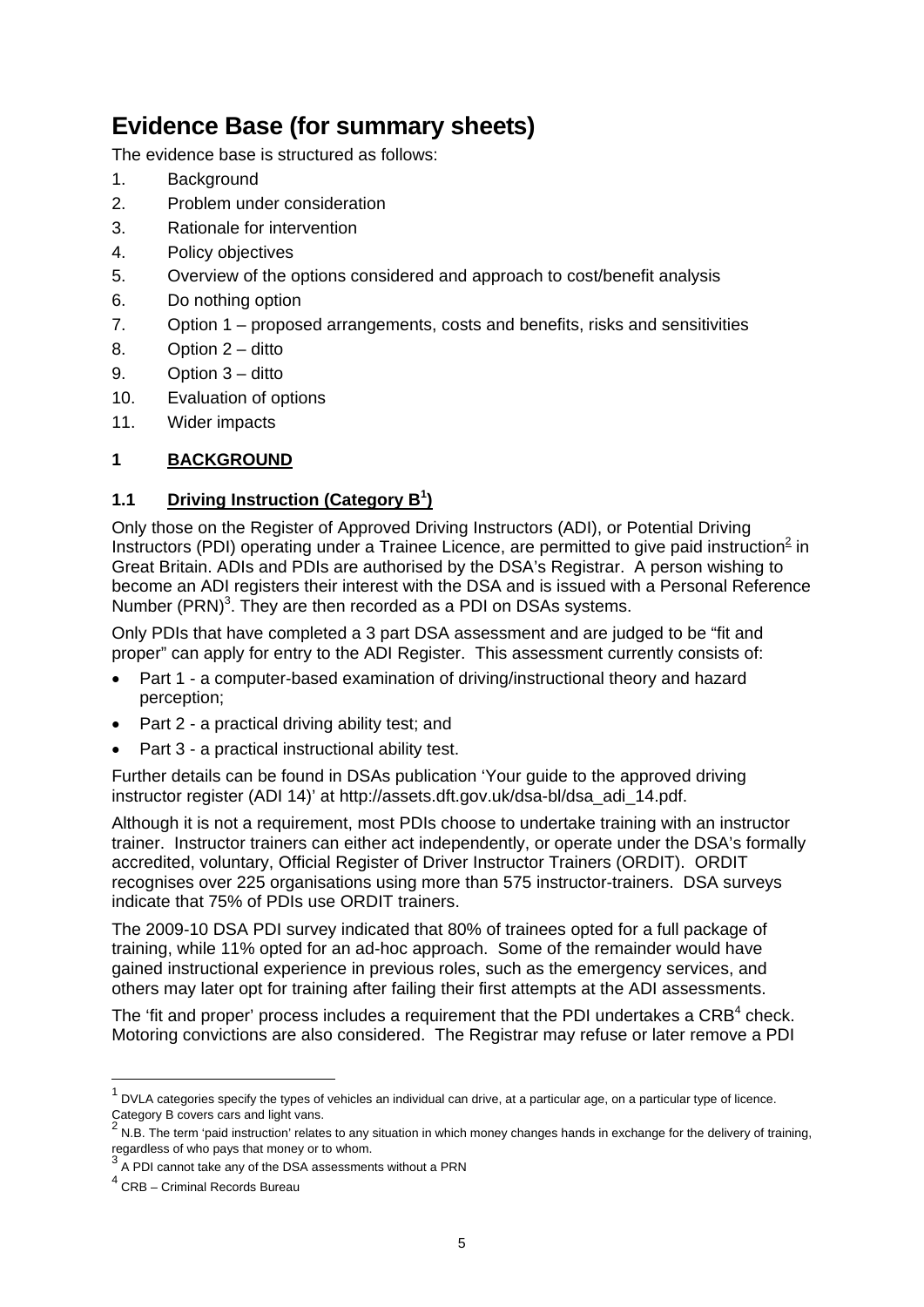# **Evidence Base (for summary sheets)**

The evidence base is structured as follows:

- 1. Background
- 2. Problem under consideration
- 3. Rationale for intervention
- 4. Policy objectives
- 5. Overview of the options considered and approach to cost/benefit analysis
- 6. Do nothing option
- 7. Option 1 proposed arrangements, costs and benefits, risks and sensitivities
- 8. Option 2 ditto
- 9. Option 3 ditto
- 10. Evaluation of options
- 11. Wider impacts

# **1 BACKGROUND**

# **1.1 Driving Instruction (Category B<sup>1</sup> )**

Only those on the Register of Approved Driving Instructors (ADI), or Potential Driving Instructors (PDI) operating under a Trainee Licence, are permitted to give paid instruction<sup>2</sup> in Great Britain. ADIs and PDIs are authorised by the DSA's Registrar. A person wishing to become an ADI registers their interest with the DSA and is issued with a Personal Reference Number (PRN) $3$ . They are then recorded as a PDI on DSAs systems.

Only PDIs that have completed a 3 part DSA assessment and are judged to be "fit and proper" can apply for entry to the ADI Register. This assessment currently consists of:

- Part 1 a computer-based examination of driving/instructional theory and hazard perception;
- Part 2 a practical driving ability test; and
- Part 3 a practical instructional ability test.

Further details can be found in DSAs publication 'Your guide to the approved driving instructor register (ADI 14)' at http://assets.dft.gov.uk/dsa-bl/dsa\_adi\_14.pdf.

Although it is not a requirement, most PDIs choose to undertake training with an instructor trainer. Instructor trainers can either act independently, or operate under the DSA's formally accredited, voluntary, Official Register of Driver Instructor Trainers (ORDIT). ORDIT recognises over 225 organisations using more than 575 instructor-trainers. DSA surveys indicate that 75% of PDIs use ORDIT trainers.

The 2009-10 DSA PDI survey indicated that 80% of trainees opted for a full package of training, while 11% opted for an ad-hoc approach. Some of the remainder would have gained instructional experience in previous roles, such as the emergency services, and others may later opt for training after failing their first attempts at the ADI assessments.

The 'fit and proper' process includes a requirement that the PDI undertakes a CRB $4$  check. Motoring convictions are also considered. The Registrar may refuse or later remove a PDI

1

 $<sup>1</sup>$  DVLA categories specify the types of vehicles an individual can drive, at a particular age, on a particular type of licence.</sup> Category B covers cars and light vans.<br><sup>2</sup> N.D. The term insiding wature include:

N.B. The term 'paid instruction' relates to any situation in which money changes hands in exchange for the delivery of training, regardless of who pays that money or to whom.

<sup>&</sup>lt;sup>3</sup> A PDI cannot take any of the DSA assessments without a PRN

<sup>4</sup> CRB – Criminal Records Bureau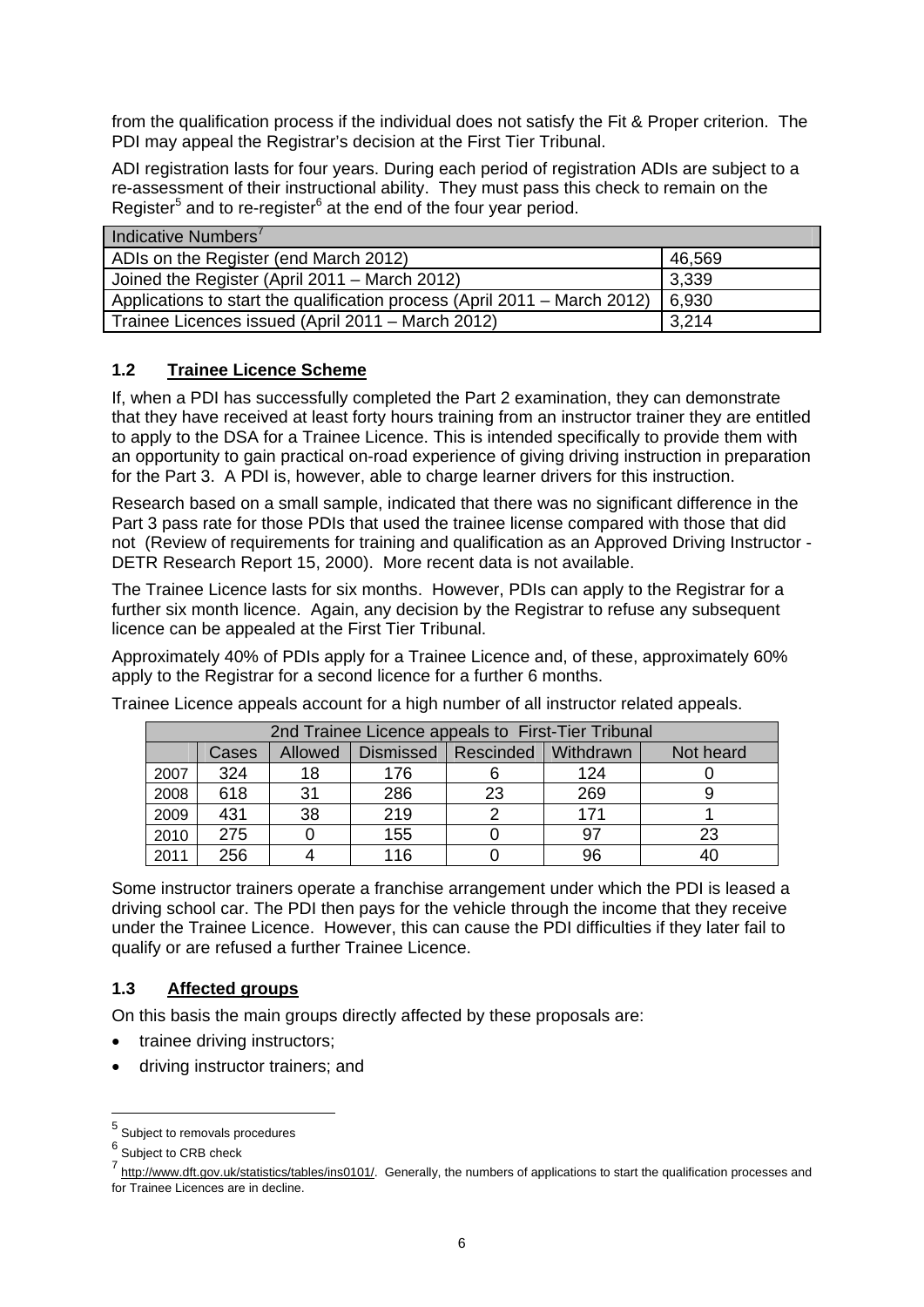from the qualification process if the individual does not satisfy the Fit & Proper criterion. The PDI may appeal the Registrar's decision at the First Tier Tribunal.

ADI registration lasts for four years. During each period of registration ADIs are subject to a re-assessment of their instructional ability. They must pass this check to remain on the Register<sup>5</sup> and to re-register<sup>6</sup> at the end of the four year period.

| Indicative Numbers <sup>7</sup>                                           |        |
|---------------------------------------------------------------------------|--------|
| ADIs on the Register (end March 2012)                                     | 46,569 |
| Joined the Register (April 2011 – March 2012)                             | 3,339  |
| Applications to start the qualification process (April 2011 – March 2012) | 6,930  |
| Trainee Licences issued (April 2011 – March 2012)                         | 3,214  |

## **1.2 Trainee Licence Scheme**

If, when a PDI has successfully completed the Part 2 examination, they can demonstrate that they have received at least forty hours training from an instructor trainer they are entitled to apply to the DSA for a Trainee Licence. This is intended specifically to provide them with an opportunity to gain practical on-road experience of giving driving instruction in preparation for the Part 3. A PDI is, however, able to charge learner drivers for this instruction.

Research based on a small sample, indicated that there was no significant difference in the Part 3 pass rate for those PDIs that used the trainee license compared with those that did not (Review of requirements for training and qualification as an Approved Driving Instructor - DETR Research Report 15, 2000). More recent data is not available.

The Trainee Licence lasts for six months. However, PDIs can apply to the Registrar for a further six month licence. Again, any decision by the Registrar to refuse any subsequent licence can be appealed at the First Tier Tribunal.

Approximately 40% of PDIs apply for a Trainee Licence and, of these, approximately 60% apply to the Registrar for a second licence for a further 6 months.

Trainee Licence appeals account for a high number of all instructor related appeals.

|      | 2nd Trainee Licence appeals to First-Tier Tribunal |         |                  |                       |     |           |  |  |  |
|------|----------------------------------------------------|---------|------------------|-----------------------|-----|-----------|--|--|--|
|      | Cases                                              | Allowed | <b>Dismissed</b> | Rescinded   Withdrawn |     | Not heard |  |  |  |
| 2007 | 324                                                | 18      | 176              |                       | 124 |           |  |  |  |
| 2008 | 618                                                | 31      | 286              | 23                    | 269 |           |  |  |  |
| 2009 | 431                                                | 38      | 219              |                       | 171 |           |  |  |  |
| 2010 | 275                                                |         | 155              |                       | 97  | 23        |  |  |  |
| 2011 | 256                                                |         | 116              |                       | 96  | 40        |  |  |  |

Some instructor trainers operate a franchise arrangement under which the PDI is leased a driving school car. The PDI then pays for the vehicle through the income that they receive under the Trainee Licence. However, this can cause the PDI difficulties if they later fail to qualify or are refused a further Trainee Licence.

## **1.3 Affected groups**

On this basis the main groups directly affected by these proposals are:

- trainee driving instructors;
- driving instructor trainers; and

1

<sup>5</sup> Subject to removals procedures

<sup>&</sup>lt;sup>6</sup> Subject to CRB check

<sup>7</sup> http://www.dft.gov.uk/statistics/tables/ins0101/. Generally, the numbers of applications to start the qualification processes and for Trainee Licences are in decline.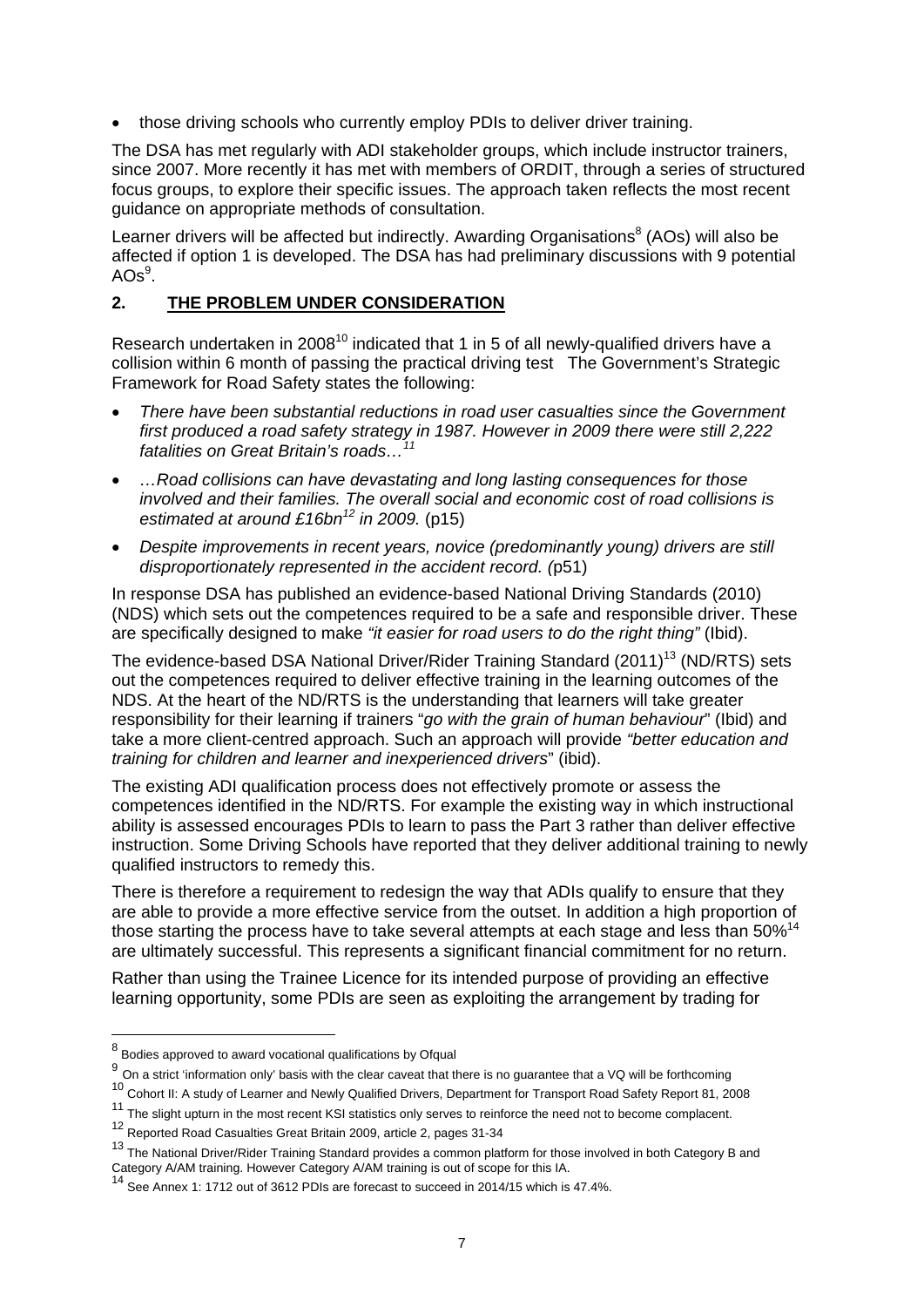• those driving schools who currently employ PDIs to deliver driver training.

The DSA has met regularly with ADI stakeholder groups, which include instructor trainers, since 2007. More recently it has met with members of ORDIT, through a series of structured focus groups, to explore their specific issues. The approach taken reflects the most recent guidance on appropriate methods of consultation.

Learner drivers will be affected but indirectly. Awarding Organisations<sup>8</sup> (AOs) will also be affected if option 1 is developed. The DSA has had preliminary discussions with 9 potential  $AOS<sup>9</sup>$ .

#### **2. THE PROBLEM UNDER CONSIDERATION**

Research undertaken in 2008<sup>10</sup> indicated that 1 in 5 of all newly-qualified drivers have a collision within 6 month of passing the practical driving test The Government's Strategic Framework for Road Safety states the following:

- *There have been substantial reductions in road user casualties since the Government first produced a road safety strategy in 1987. However in 2009 there were still 2,222*   $$
- *…Road collisions can have devastating and long lasting consequences for those involved and their families. The overall social and economic cost of road collisions is estimated at around £16bn12 in 2009.* (p15)
- *Despite improvements in recent years, novice (predominantly young) drivers are still disproportionately represented in the accident record. (*p51)

In response DSA has published an evidence-based National Driving Standards (2010) (NDS) which sets out the competences required to be a safe and responsible driver. These are specifically designed to make *"it easier for road users to do the right thing"* (Ibid).

The evidence-based DSA National Driver/Rider Training Standard (2011)<sup>13</sup> (ND/RTS) sets out the competences required to deliver effective training in the learning outcomes of the NDS. At the heart of the ND/RTS is the understanding that learners will take greater responsibility for their learning if trainers "*go with the grain of human behaviour*" (Ibid) and take a more client-centred approach. Such an approach will provide *"better education and training for children and learner and inexperienced drivers*" (ibid).

The existing ADI qualification process does not effectively promote or assess the competences identified in the ND/RTS. For example the existing way in which instructional ability is assessed encourages PDIs to learn to pass the Part 3 rather than deliver effective instruction. Some Driving Schools have reported that they deliver additional training to newly qualified instructors to remedy this.

There is therefore a requirement to redesign the way that ADIs qualify to ensure that they are able to provide a more effective service from the outset. In addition a high proportion of those starting the process have to take several attempts at each stage and less than 50%<sup>14</sup> are ultimately successful. This represents a significant financial commitment for no return.

Rather than using the Trainee Licence for its intended purpose of providing an effective learning opportunity, some PDIs are seen as exploiting the arrangement by trading for

 8 Bodies approved to award vocational qualifications by Ofqual

<sup>9</sup> On a strict 'information only' basis with the clear caveat that there is no guarantee that a VQ will be forthcoming

<sup>&</sup>lt;sup>10</sup> Cohort II: A study of Learner and Newly Qualified Drivers, Department for Transport Road Safety Report 81, 2008

 $11$  The slight upturn in the most recent KSI statistics only serves to reinforce the need not to become complacent.

<sup>12</sup> Reported Road Casualties Great Britain 2009, article 2, pages 31-34

<sup>&</sup>lt;sup>13</sup> The National Driver/Rider Training Standard provides a common platform for those involved in both Category B and Category A/AM training. However Category A/AM training is out of scope for this IA.

<sup>14</sup> See Annex 1: 1712 out of 3612 PDIs are forecast to succeed in 2014/15 which is 47.4%.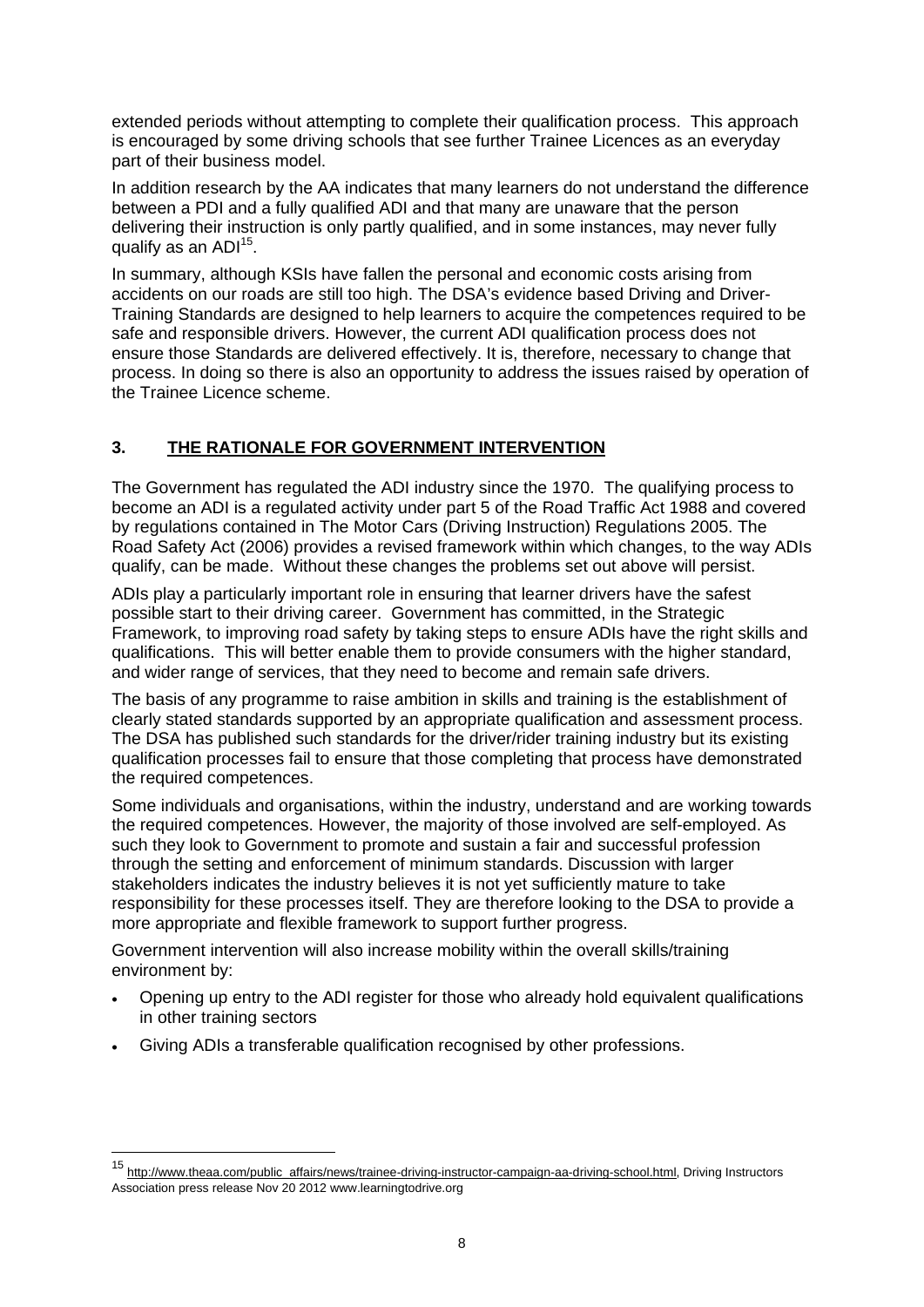extended periods without attempting to complete their qualification process. This approach is encouraged by some driving schools that see further Trainee Licences as an everyday part of their business model.

In addition research by the AA indicates that many learners do not understand the difference between a PDI and a fully qualified ADI and that many are unaware that the person delivering their instruction is only partly qualified, and in some instances, may never fully qualify as an  $ADI<sup>15</sup>$ .

In summary, although KSIs have fallen the personal and economic costs arising from accidents on our roads are still too high. The DSA's evidence based Driving and Driver-Training Standards are designed to help learners to acquire the competences required to be safe and responsible drivers. However, the current ADI qualification process does not ensure those Standards are delivered effectively. It is, therefore, necessary to change that process. In doing so there is also an opportunity to address the issues raised by operation of the Trainee Licence scheme.

## **3. THE RATIONALE FOR GOVERNMENT INTERVENTION**

The Government has regulated the ADI industry since the 1970. The qualifying process to become an ADI is a regulated activity under part 5 of the Road Traffic Act 1988 and covered by regulations contained in The Motor Cars (Driving Instruction) Regulations 2005. The Road Safety Act (2006) provides a revised framework within which changes, to the way ADIs qualify, can be made. Without these changes the problems set out above will persist.

ADIs play a particularly important role in ensuring that learner drivers have the safest possible start to their driving career. Government has committed, in the Strategic Framework, to improving road safety by taking steps to ensure ADIs have the right skills and qualifications. This will better enable them to provide consumers with the higher standard, and wider range of services, that they need to become and remain safe drivers.

The basis of any programme to raise ambition in skills and training is the establishment of clearly stated standards supported by an appropriate qualification and assessment process. The DSA has published such standards for the driver/rider training industry but its existing qualification processes fail to ensure that those completing that process have demonstrated the required competences.

Some individuals and organisations, within the industry, understand and are working towards the required competences. However, the majority of those involved are self-employed. As such they look to Government to promote and sustain a fair and successful profession through the setting and enforcement of minimum standards. Discussion with larger stakeholders indicates the industry believes it is not yet sufficiently mature to take responsibility for these processes itself. They are therefore looking to the DSA to provide a more appropriate and flexible framework to support further progress.

Government intervention will also increase mobility within the overall skills/training environment by:

- Opening up entry to the ADI register for those who already hold equivalent qualifications in other training sectors
- Giving ADIs a transferable qualification recognised by other professions.

1

<sup>15</sup> http://www.theaa.com/public\_affairs/news/trainee-driving-instructor-campaign-aa-driving-school.html, Driving Instructors Association press release Nov 20 2012 www.learningtodrive.org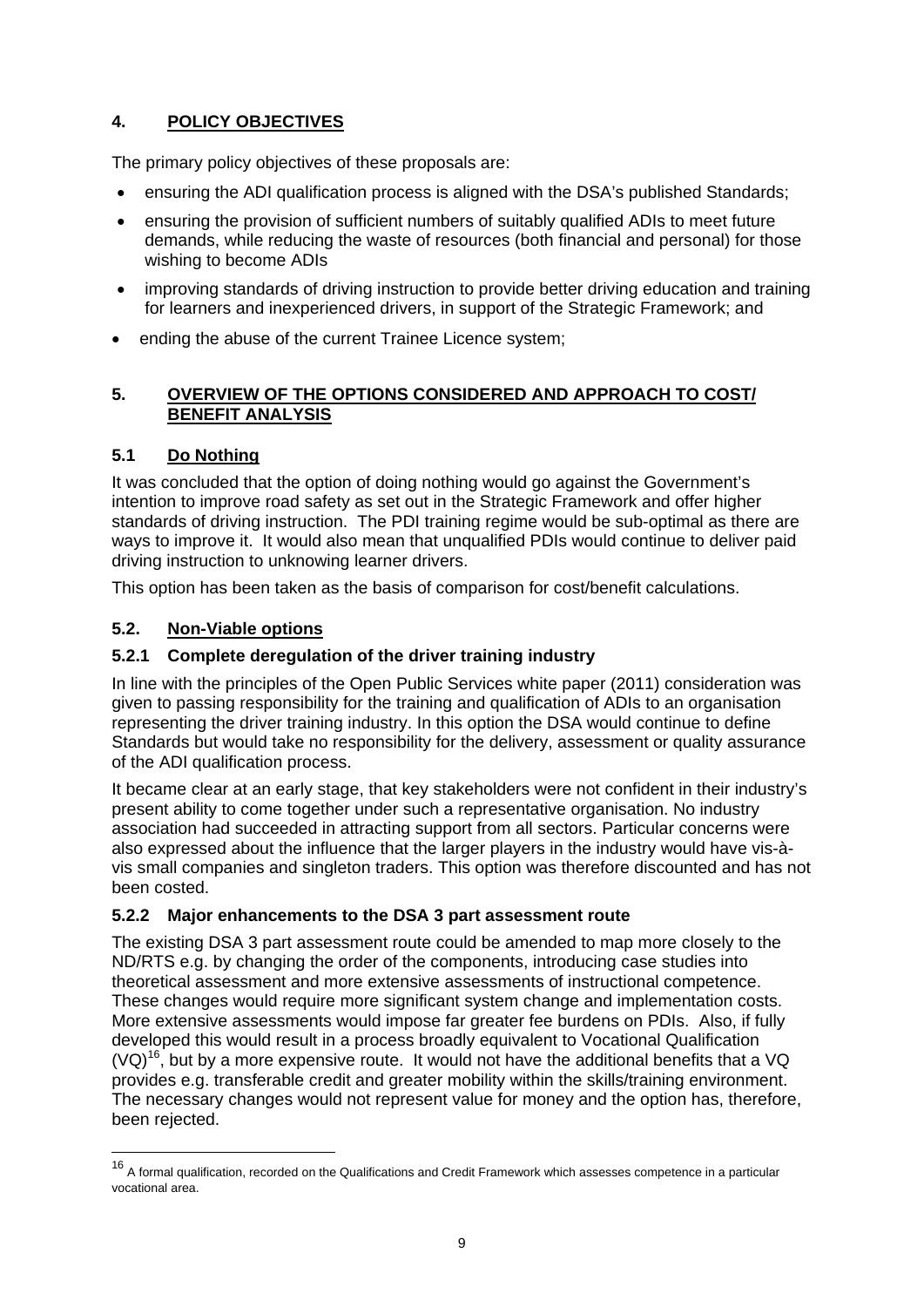# **4. POLICY OBJECTIVES**

The primary policy objectives of these proposals are:

- ensuring the ADI qualification process is aligned with the DSA's published Standards;
- ensuring the provision of sufficient numbers of suitably qualified ADIs to meet future demands, while reducing the waste of resources (both financial and personal) for those wishing to become ADIs
- improving standards of driving instruction to provide better driving education and training for learners and inexperienced drivers, in support of the Strategic Framework; and
- ending the abuse of the current Trainee Licence system;

# **5. OVERVIEW OF THE OPTIONS CONSIDERED AND APPROACH TO COST/ BENEFIT ANALYSIS**

# **5.1 Do Nothing**

It was concluded that the option of doing nothing would go against the Government's intention to improve road safety as set out in the Strategic Framework and offer higher standards of driving instruction. The PDI training regime would be sub-optimal as there are ways to improve it. It would also mean that unqualified PDIs would continue to deliver paid driving instruction to unknowing learner drivers.

This option has been taken as the basis of comparison for cost/benefit calculations.

# **5.2. Non-Viable options**

1

## **5.2.1 Complete deregulation of the driver training industry**

In line with the principles of the Open Public Services white paper (2011) consideration was given to passing responsibility for the training and qualification of ADIs to an organisation representing the driver training industry. In this option the DSA would continue to define Standards but would take no responsibility for the delivery, assessment or quality assurance of the ADI qualification process.

It became clear at an early stage, that key stakeholders were not confident in their industry's present ability to come together under such a representative organisation. No industry association had succeeded in attracting support from all sectors. Particular concerns were also expressed about the influence that the larger players in the industry would have vis-àvis small companies and singleton traders. This option was therefore discounted and has not been costed.

## **5.2.2 Major enhancements to the DSA 3 part assessment route**

The existing DSA 3 part assessment route could be amended to map more closely to the ND/RTS e.g. by changing the order of the components, introducing case studies into theoretical assessment and more extensive assessments of instructional competence. These changes would require more significant system change and implementation costs. More extensive assessments would impose far greater fee burdens on PDIs. Also, if fully developed this would result in a process broadly equivalent to Vocational Qualification  $(VQ)^{16}$ , but by a more expensive route. It would not have the additional benefits that a VQ provides e.g. transferable credit and greater mobility within the skills/training environment. The necessary changes would not represent value for money and the option has, therefore, been rejected.

<sup>&</sup>lt;sup>16</sup> A formal qualification, recorded on the Qualifications and Credit Framework which assesses competence in a particular vocational area.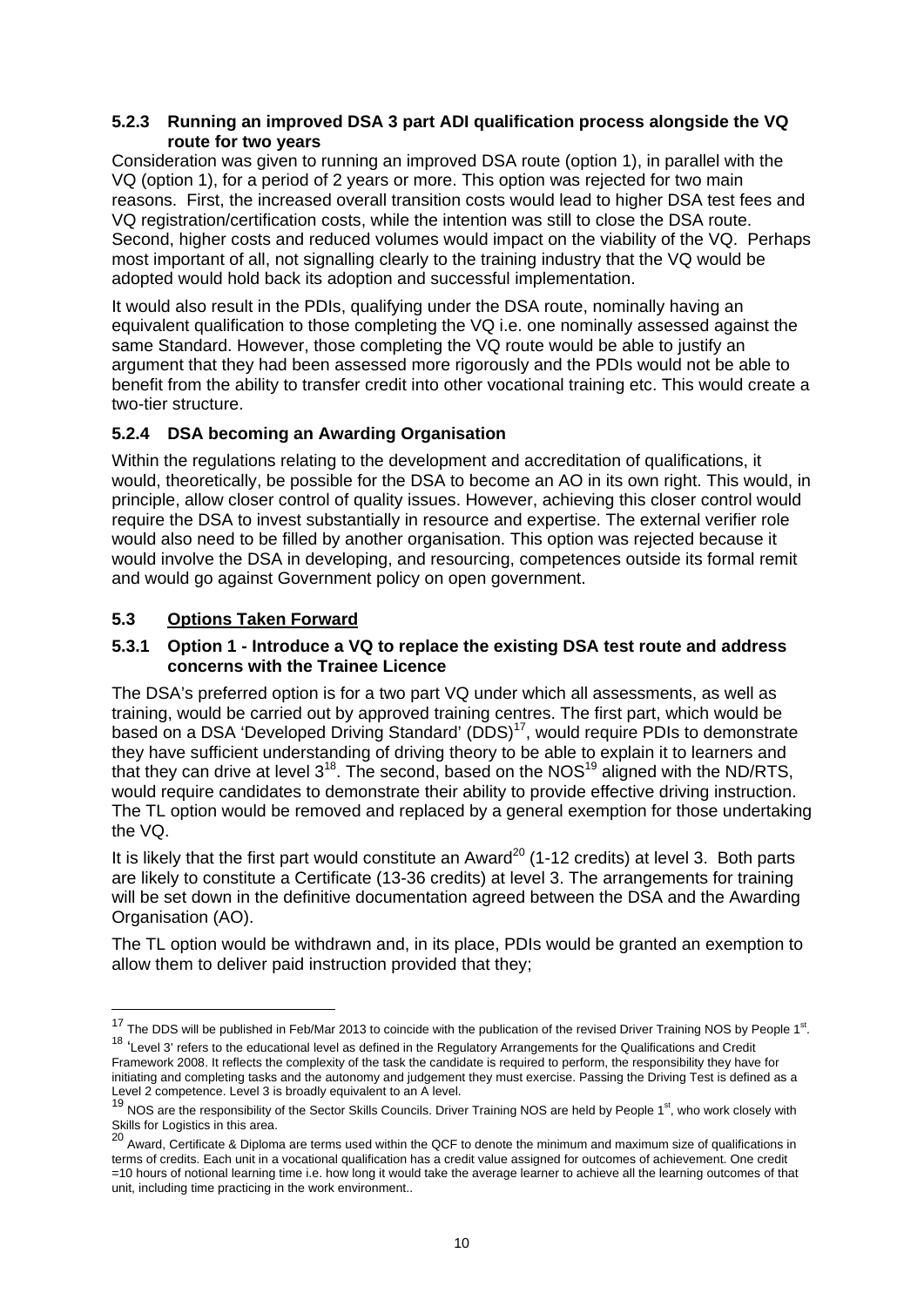#### **5.2.3 Running an improved DSA 3 part ADI qualification process alongside the VQ route for two years**

Consideration was given to running an improved DSA route (option 1), in parallel with the VQ (option 1), for a period of 2 years or more. This option was rejected for two main reasons. First, the increased overall transition costs would lead to higher DSA test fees and VQ registration/certification costs, while the intention was still to close the DSA route. Second, higher costs and reduced volumes would impact on the viability of the VQ. Perhaps most important of all, not signalling clearly to the training industry that the VQ would be adopted would hold back its adoption and successful implementation.

It would also result in the PDIs, qualifying under the DSA route, nominally having an equivalent qualification to those completing the VQ i.e. one nominally assessed against the same Standard. However, those completing the VQ route would be able to justify an argument that they had been assessed more rigorously and the PDIs would not be able to benefit from the ability to transfer credit into other vocational training etc. This would create a two-tier structure.

## **5.2.4 DSA becoming an Awarding Organisation**

Within the regulations relating to the development and accreditation of qualifications, it would, theoretically, be possible for the DSA to become an AO in its own right. This would, in principle, allow closer control of quality issues. However, achieving this closer control would require the DSA to invest substantially in resource and expertise. The external verifier role would also need to be filled by another organisation. This option was rejected because it would involve the DSA in developing, and resourcing, competences outside its formal remit and would go against Government policy on open government.

# **5.3 Options Taken Forward**

1

#### **5.3.1 Option 1 - Introduce a VQ to replace the existing DSA test route and address concerns with the Trainee Licence**

The DSA's preferred option is for a two part VQ under which all assessments, as well as training, would be carried out by approved training centres. The first part, which would be based on a DSA 'Developed Driving Standard' (DDS)<sup>17</sup>, would require PDIs to demonstrate they have sufficient understanding of driving theory to be able to explain it to learners and that they can drive at level  $3^{18}$ . The second, based on the NOS<sup>19</sup> aligned with the ND/RTS, would require candidates to demonstrate their ability to provide effective driving instruction. The TL option would be removed and replaced by a general exemption for those undertaking the VQ.

It is likely that the first part would constitute an Award<sup>20</sup> (1-12 credits) at level 3. Both parts are likely to constitute a Certificate (13-36 credits) at level 3. The arrangements for training will be set down in the definitive documentation agreed between the DSA and the Awarding Organisation (AO).

The TL option would be withdrawn and, in its place, PDIs would be granted an exemption to allow them to deliver paid instruction provided that they;

 $17$  The DDS will be published in Feb/Mar 2013 to coincide with the publication of the revised Driver Training NOS by People  $1<sup>st</sup>$ . 18 'Level 3' refers to the educational level as defined in the Regulatory Arrangements for the Qualifications and Credit

Framework 2008. It reflects the complexity of the task the candidate is required to perform, the responsibility they have for initiating and completing tasks and the autonomy and judgement they must exercise. Passing the Driving Test is defined as a Level 2 competence. Level 3 is broadly equivalent to an A level.<br><sup>19</sup> NOS are the responsibility of the Sector Skills Councils. Driver Training NOS are held by People 1<sup>st</sup>, who work closely with

Skills for Logistics in this area.<br><sup>20</sup> Award, Certificate & Diploma are terms used within the QCF to denote the minimum and maximum size of qualifications in terms of credits. Each unit in a vocational qualification has a credit value assigned for outcomes of achievement. One credit =10 hours of notional learning time i.e. how long it would take the average learner to achieve all the learning outcomes of that unit, including time practicing in the work environment..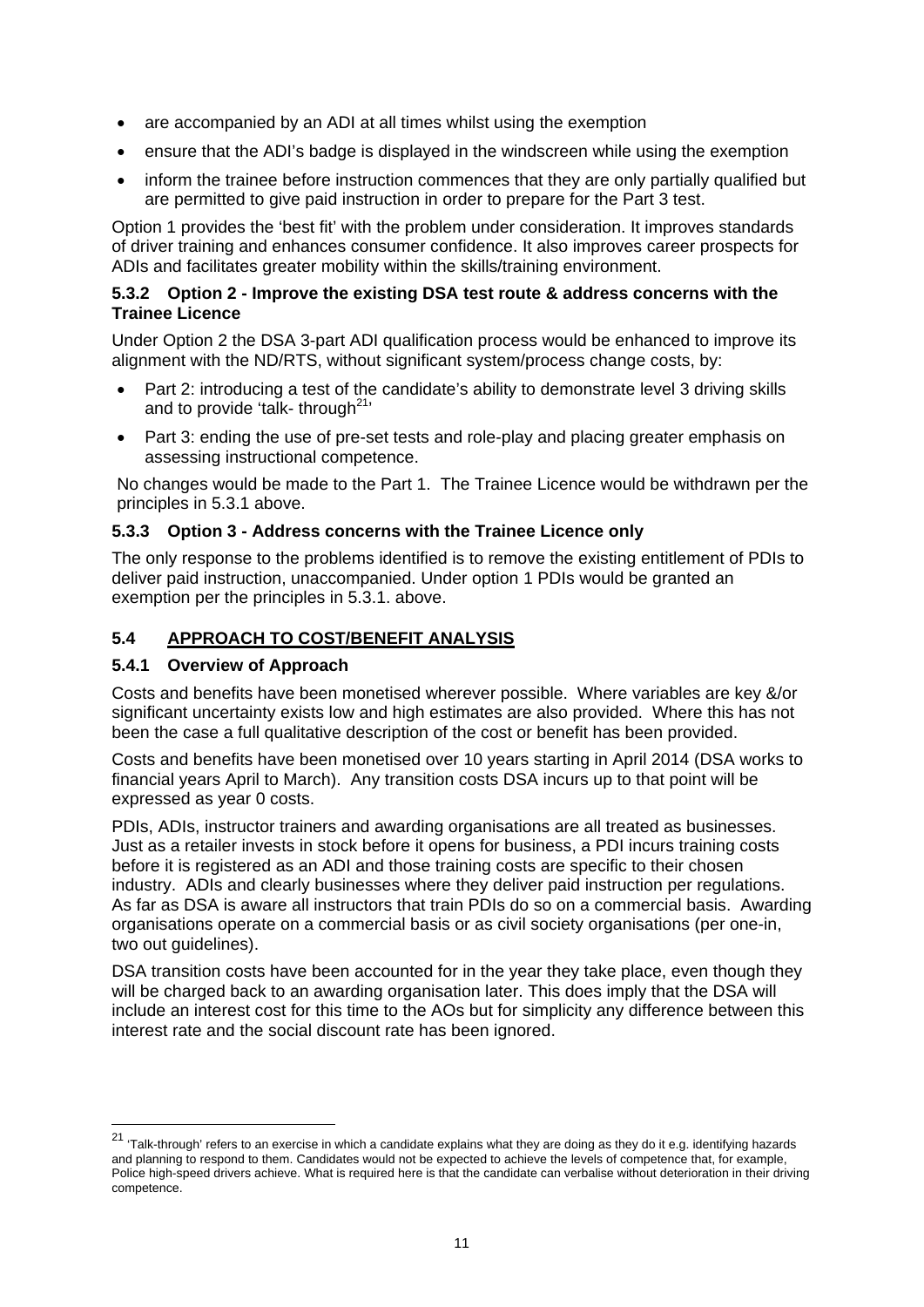- are accompanied by an ADI at all times whilst using the exemption
- ensure that the ADI's badge is displayed in the windscreen while using the exemption
- inform the trainee before instruction commences that they are only partially qualified but are permitted to give paid instruction in order to prepare for the Part 3 test.

Option 1 provides the 'best fit' with the problem under consideration. It improves standards of driver training and enhances consumer confidence. It also improves career prospects for ADIs and facilitates greater mobility within the skills/training environment.

#### **5.3.2 Option 2 - Improve the existing DSA test route & address concerns with the Trainee Licence**

Under Option 2 the DSA 3-part ADI qualification process would be enhanced to improve its alignment with the ND/RTS, without significant system/process change costs, by:

- Part 2: introducing a test of the candidate's ability to demonstrate level 3 driving skills and to provide 'talk- through $21$ '
- Part 3: ending the use of pre-set tests and role-play and placing greater emphasis on assessing instructional competence.

No changes would be made to the Part 1. The Trainee Licence would be withdrawn per the principles in 5.3.1 above.

#### **5.3.3 Option 3 - Address concerns with the Trainee Licence only**

The only response to the problems identified is to remove the existing entitlement of PDIs to deliver paid instruction, unaccompanied. Under option 1 PDIs would be granted an exemption per the principles in 5.3.1. above.

## **5.4 APPROACH TO COST/BENEFIT ANALYSIS**

#### **5.4.1 Overview of Approach**

1

Costs and benefits have been monetised wherever possible. Where variables are key &/or significant uncertainty exists low and high estimates are also provided. Where this has not been the case a full qualitative description of the cost or benefit has been provided.

Costs and benefits have been monetised over 10 years starting in April 2014 (DSA works to financial years April to March). Any transition costs DSA incurs up to that point will be expressed as year 0 costs.

PDIs, ADIs, instructor trainers and awarding organisations are all treated as businesses. Just as a retailer invests in stock before it opens for business, a PDI incurs training costs before it is registered as an ADI and those training costs are specific to their chosen industry. ADIs and clearly businesses where they deliver paid instruction per regulations. As far as DSA is aware all instructors that train PDIs do so on a commercial basis. Awarding organisations operate on a commercial basis or as civil society organisations (per one-in, two out quidelines).

DSA transition costs have been accounted for in the year they take place, even though they will be charged back to an awarding organisation later. This does imply that the DSA will include an interest cost for this time to the AOs but for simplicity any difference between this interest rate and the social discount rate has been ignored.

<sup>&</sup>lt;sup>21</sup> 'Talk-through' refers to an exercise in which a candidate explains what they are doing as they do it e.g. identifying hazards and planning to respond to them. Candidates would not be expected to achieve the levels of competence that, for example, Police high-speed drivers achieve. What is required here is that the candidate can verbalise without deterioration in their driving competence.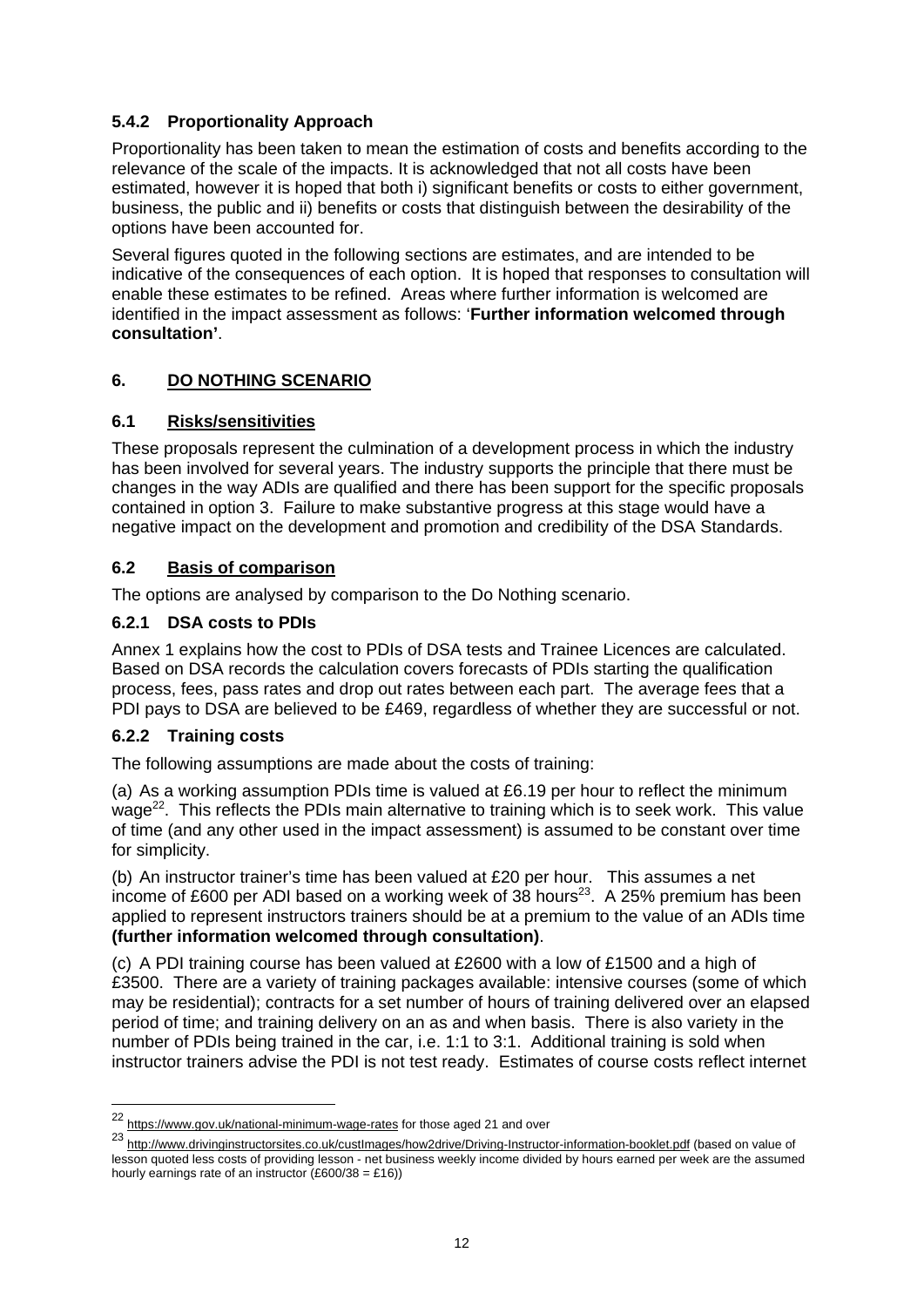#### **5.4.2 Proportionality Approach**

Proportionality has been taken to mean the estimation of costs and benefits according to the relevance of the scale of the impacts. It is acknowledged that not all costs have been estimated, however it is hoped that both i) significant benefits or costs to either government, business, the public and ii) benefits or costs that distinguish between the desirability of the options have been accounted for.

Several figures quoted in the following sections are estimates, and are intended to be indicative of the consequences of each option. It is hoped that responses to consultation will enable these estimates to be refined. Areas where further information is welcomed are identified in the impact assessment as follows: '**Further information welcomed through consultation'**.

#### **6. DO NOTHING SCENARIO**

#### **6.1 Risks/sensitivities**

These proposals represent the culmination of a development process in which the industry has been involved for several years. The industry supports the principle that there must be changes in the way ADIs are qualified and there has been support for the specific proposals contained in option 3. Failure to make substantive progress at this stage would have a negative impact on the development and promotion and credibility of the DSA Standards.

#### **6.2 Basis of comparison**

The options are analysed by comparison to the Do Nothing scenario.

#### **6.2.1 DSA costs to PDIs**

Annex 1 explains how the cost to PDIs of DSA tests and Trainee Licences are calculated. Based on DSA records the calculation covers forecasts of PDIs starting the qualification process, fees, pass rates and drop out rates between each part. The average fees that a PDI pays to DSA are believed to be £469, regardless of whether they are successful or not.

#### **6.2.2 Training costs**

1

The following assumptions are made about the costs of training:

(a) As a working assumption PDIs time is valued at £6.19 per hour to reflect the minimum wage<sup>22</sup>. This reflects the PDIs main alternative to training which is to seek work. This value of time (and any other used in the impact assessment) is assumed to be constant over time for simplicity.

(b) An instructor trainer's time has been valued at £20 per hour. This assumes a net income of £600 per ADI based on a working week of 38 hours<sup>23</sup>. A 25% premium has been applied to represent instructors trainers should be at a premium to the value of an ADIs time **(further information welcomed through consultation)**.

(c) A PDI training course has been valued at £2600 with a low of £1500 and a high of £3500. There are a variety of training packages available: intensive courses (some of which may be residential); contracts for a set number of hours of training delivered over an elapsed period of time; and training delivery on an as and when basis. There is also variety in the number of PDIs being trained in the car, i.e. 1:1 to 3:1. Additional training is sold when instructor trainers advise the PDI is not test ready. Estimates of course costs reflect internet

<sup>22</sup> https://www.gov.uk/national-minimum-wage-rates for those aged 21 and over

<sup>23</sup> http://www.drivinginstructorsites.co.uk/custImages/how2drive/Driving-Instructor-information-booklet.pdf (based on value of lesson quoted less costs of providing lesson - net business weekly income divided by hours earned per week are the assumed hourly earnings rate of an instructor  $(E600/38 = E16)$ )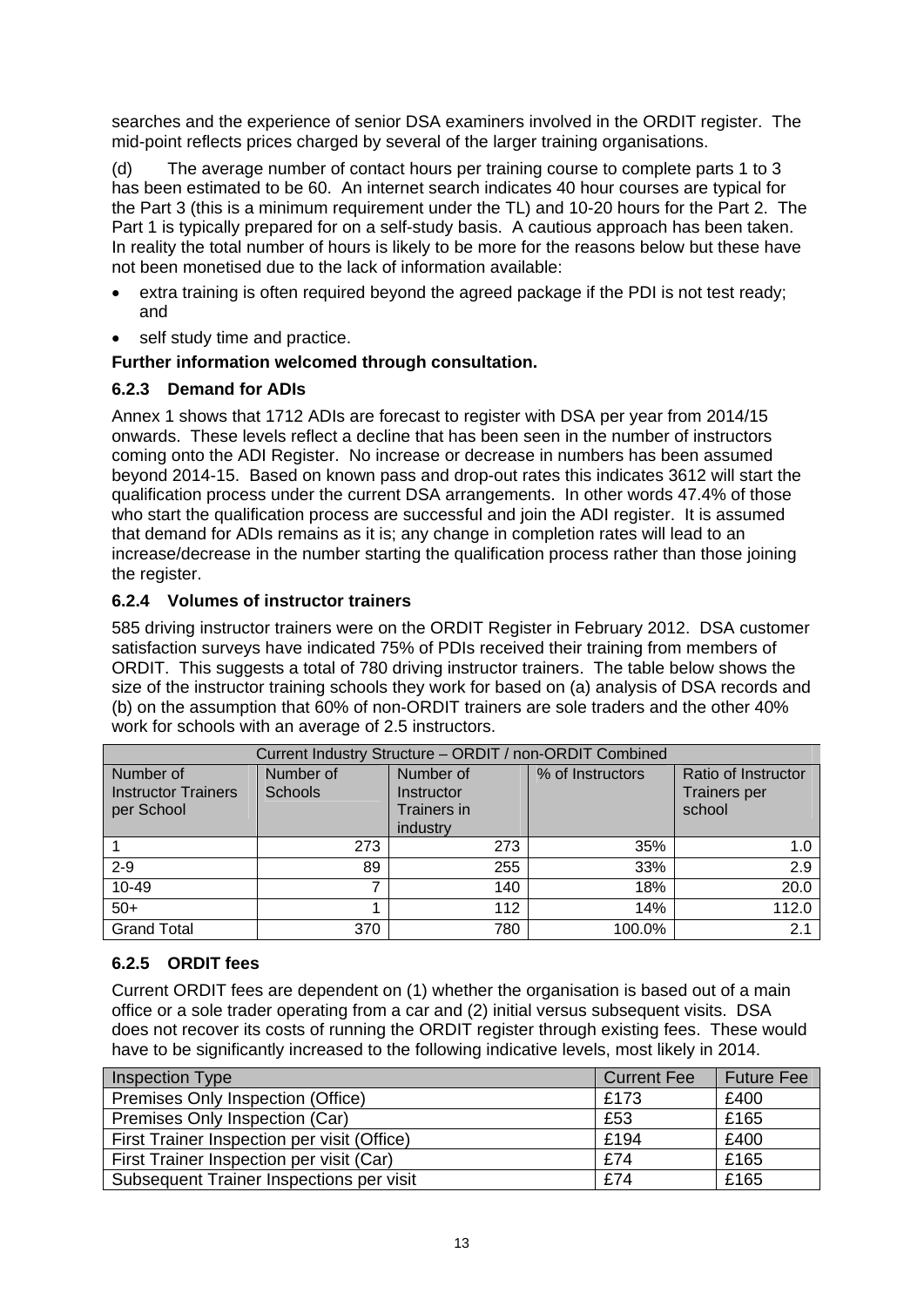searches and the experience of senior DSA examiners involved in the ORDIT register. The mid-point reflects prices charged by several of the larger training organisations.

(d) The average number of contact hours per training course to complete parts 1 to 3 has been estimated to be 60. An internet search indicates 40 hour courses are typical for the Part 3 (this is a minimum requirement under the TL) and 10-20 hours for the Part 2. The Part 1 is typically prepared for on a self-study basis. A cautious approach has been taken. In reality the total number of hours is likely to be more for the reasons below but these have not been monetised due to the lack of information available:

- extra training is often required beyond the agreed package if the PDI is not test ready; and
- self study time and practice.

#### **Further information welcomed through consultation.**

#### **6.2.3 Demand for ADIs**

Annex 1 shows that 1712 ADIs are forecast to register with DSA per year from 2014/15 onwards. These levels reflect a decline that has been seen in the number of instructors coming onto the ADI Register. No increase or decrease in numbers has been assumed beyond 2014-15. Based on known pass and drop-out rates this indicates 3612 will start the qualification process under the current DSA arrangements. In other words 47.4% of those who start the qualification process are successful and join the ADI register. It is assumed that demand for ADIs remains as it is; any change in completion rates will lead to an increase/decrease in the number starting the qualification process rather than those joining the register.

#### **6.2.4 Volumes of instructor trainers**

585 driving instructor trainers were on the ORDIT Register in February 2012. DSA customer satisfaction surveys have indicated 75% of PDIs received their training from members of ORDIT. This suggests a total of 780 driving instructor trainers. The table below shows the size of the instructor training schools they work for based on (a) analysis of DSA records and (b) on the assumption that 60% of non-ORDIT trainers are sole traders and the other 40% work for schools with an average of 2.5 instructors.

| Current Industry Structure - ORDIT / non-ORDIT Combined |                             |                                                    |                  |                                                      |  |  |  |  |  |
|---------------------------------------------------------|-----------------------------|----------------------------------------------------|------------------|------------------------------------------------------|--|--|--|--|--|
| Number of<br><b>Instructor Trainers</b><br>per School   | Number of<br><b>Schools</b> | Number of<br>Instructor<br>Trainers in<br>industry | % of Instructors | Ratio of Instructor<br><b>Trainers per</b><br>school |  |  |  |  |  |
|                                                         | 273                         | 273                                                | 35%              | 1.0                                                  |  |  |  |  |  |
| $2 - 9$                                                 | 89                          | 255                                                | 33%              | 2.9                                                  |  |  |  |  |  |
| 10-49                                                   | 7                           | 140                                                | 18%              | 20.0                                                 |  |  |  |  |  |
| $50+$                                                   |                             | 112                                                | 14%              | 112.0                                                |  |  |  |  |  |
| <b>Grand Total</b>                                      | 370                         | 780                                                | 100.0%           | 2.1                                                  |  |  |  |  |  |

## **6.2.5 ORDIT fees**

Current ORDIT fees are dependent on (1) whether the organisation is based out of a main office or a sole trader operating from a car and (2) initial versus subsequent visits. DSA does not recover its costs of running the ORDIT register through existing fees. These would have to be significantly increased to the following indicative levels, most likely in 2014.

| <b>Inspection Type</b>                      | <b>Current Fee</b> | <b>Future Fee</b> |
|---------------------------------------------|--------------------|-------------------|
| Premises Only Inspection (Office)           | £173               | £400              |
| Premises Only Inspection (Car)              | £53                | £165              |
| First Trainer Inspection per visit (Office) | £194               | £400              |
| First Trainer Inspection per visit (Car)    | £74                | £165              |
| Subsequent Trainer Inspections per visit    | £74                | £165              |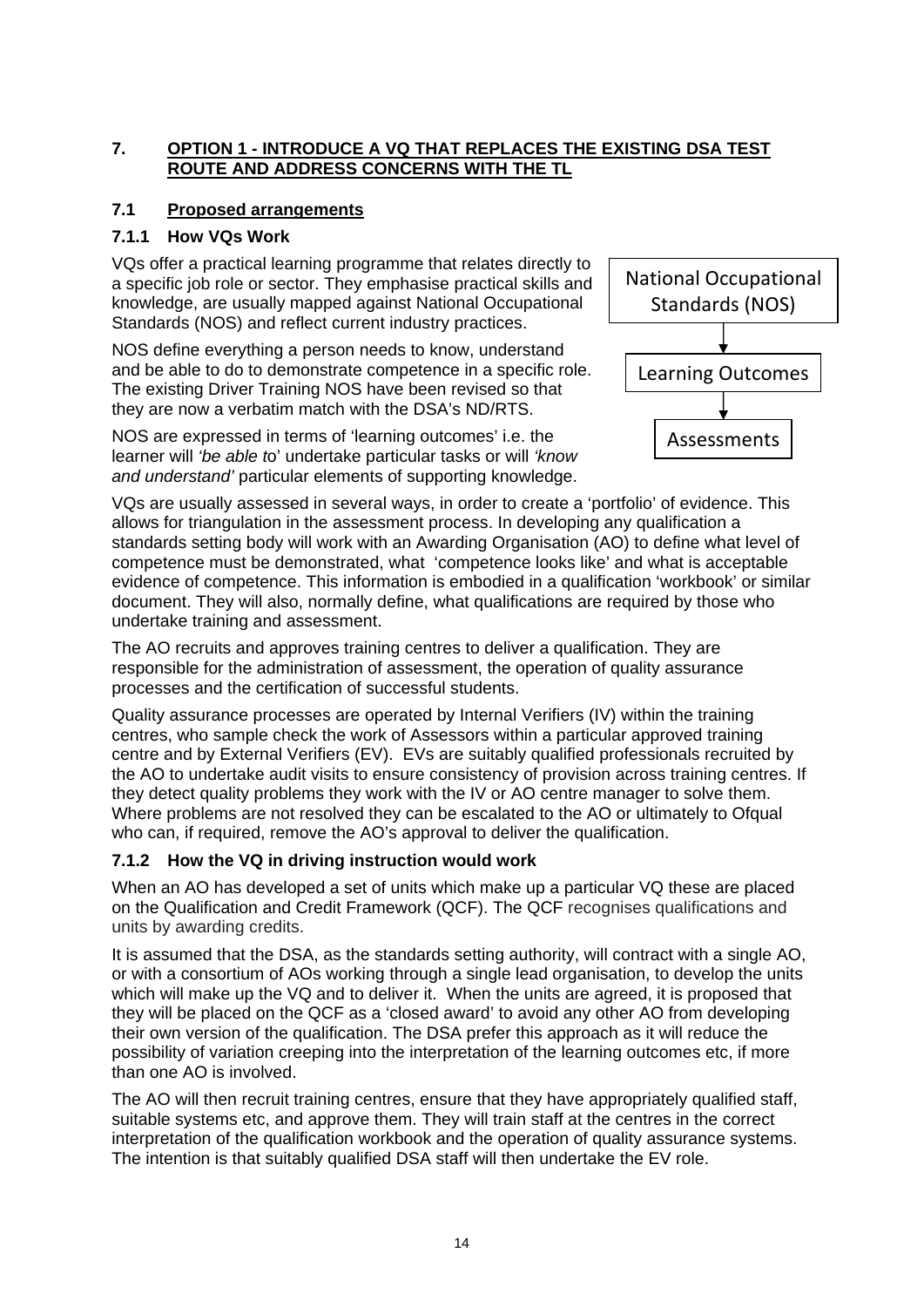# **7. OPTION 1 - INTRODUCE A VQ THAT REPLACES THE EXISTING DSA TEST ROUTE AND ADDRESS CONCERNS WITH THE TL**

# **7.1 Proposed arrangements**

# **7.1.1 How VQs Work**

VQs offer a practical learning programme that relates directly to a specific job role or sector. They emphasise practical skills and knowledge, are usually mapped against National Occupational Standards (NOS) and reflect current industry practices.

NOS define everything a person needs to know, understand and be able to do to demonstrate competence in a specific role. The existing Driver Training NOS have been revised so that they are now a verbatim match with the DSA's ND/RTS.

NOS are expressed in terms of 'learning outcomes' i.e. the learner will *'be able t*o' undertake particular tasks or will *'know and understand'* particular elements of supporting knowledge.



VQs are usually assessed in several ways, in order to create a 'portfolio' of evidence. This allows for triangulation in the assessment process. In developing any qualification a standards setting body will work with an Awarding Organisation (AO) to define what level of competence must be demonstrated, what 'competence looks like' and what is acceptable evidence of competence. This information is embodied in a qualification 'workbook' or similar document. They will also, normally define, what qualifications are required by those who undertake training and assessment.

The AO recruits and approves training centres to deliver a qualification. They are responsible for the administration of assessment, the operation of quality assurance processes and the certification of successful students.

Quality assurance processes are operated by Internal Verifiers (IV) within the training centres, who sample check the work of Assessors within a particular approved training centre and by External Verifiers (EV). EVs are suitably qualified professionals recruited by the AO to undertake audit visits to ensure consistency of provision across training centres. If they detect quality problems they work with the IV or AO centre manager to solve them. Where problems are not resolved they can be escalated to the AO or ultimately to Ofqual who can, if required, remove the AO's approval to deliver the qualification.

# **7.1.2 How the VQ in driving instruction would work**

When an AO has developed a set of units which make up a particular VQ these are placed on the Qualification and Credit Framework (QCF). The QCF recognises qualifications and units by awarding credits.

It is assumed that the DSA, as the standards setting authority, will contract with a single AO, or with a consortium of AOs working through a single lead organisation, to develop the units which will make up the VQ and to deliver it. When the units are agreed, it is proposed that they will be placed on the QCF as a 'closed award' to avoid any other AO from developing their own version of the qualification. The DSA prefer this approach as it will reduce the possibility of variation creeping into the interpretation of the learning outcomes etc, if more than one AO is involved.

The AO will then recruit training centres, ensure that they have appropriately qualified staff, suitable systems etc, and approve them. They will train staff at the centres in the correct interpretation of the qualification workbook and the operation of quality assurance systems. The intention is that suitably qualified DSA staff will then undertake the EV role.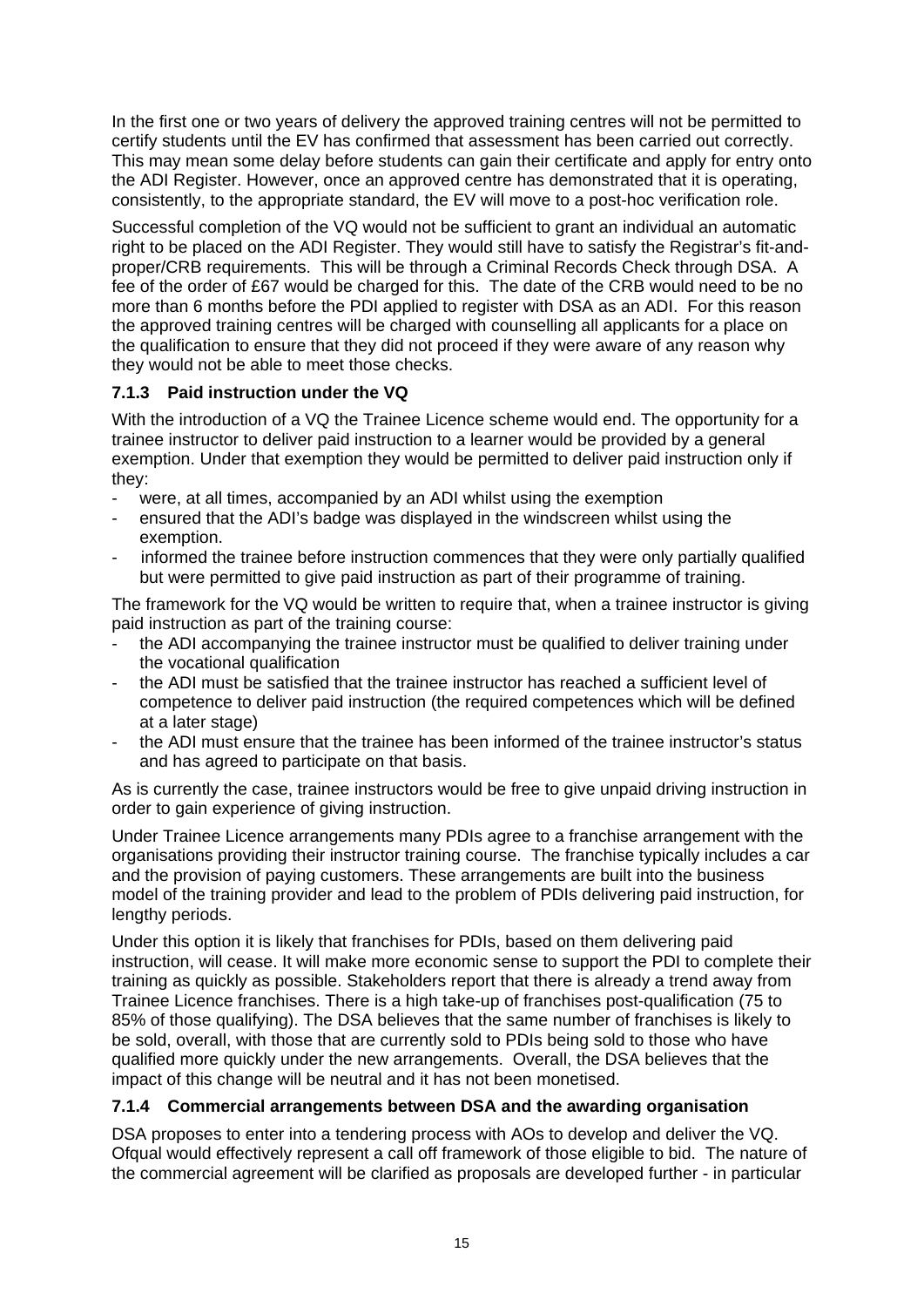In the first one or two years of delivery the approved training centres will not be permitted to certify students until the EV has confirmed that assessment has been carried out correctly. This may mean some delay before students can gain their certificate and apply for entry onto the ADI Register. However, once an approved centre has demonstrated that it is operating, consistently, to the appropriate standard, the EV will move to a post-hoc verification role.

Successful completion of the VQ would not be sufficient to grant an individual an automatic right to be placed on the ADI Register. They would still have to satisfy the Registrar's fit-andproper/CRB requirements. This will be through a Criminal Records Check through DSA. A fee of the order of £67 would be charged for this. The date of the CRB would need to be no more than 6 months before the PDI applied to register with DSA as an ADI. For this reason the approved training centres will be charged with counselling all applicants for a place on the qualification to ensure that they did not proceed if they were aware of any reason why they would not be able to meet those checks.

## **7.1.3 Paid instruction under the VQ**

With the introduction of a VQ the Trainee Licence scheme would end. The opportunity for a trainee instructor to deliver paid instruction to a learner would be provided by a general exemption. Under that exemption they would be permitted to deliver paid instruction only if they:

- were, at all times, accompanied by an ADI whilst using the exemption
- ensured that the ADI's badge was displayed in the windscreen whilst using the exemption.
- informed the trainee before instruction commences that they were only partially qualified but were permitted to give paid instruction as part of their programme of training.

The framework for the VQ would be written to require that, when a trainee instructor is giving paid instruction as part of the training course:

- the ADI accompanying the trainee instructor must be qualified to deliver training under the vocational qualification
- the ADI must be satisfied that the trainee instructor has reached a sufficient level of competence to deliver paid instruction (the required competences which will be defined at a later stage)
- the ADI must ensure that the trainee has been informed of the trainee instructor's status and has agreed to participate on that basis.

As is currently the case, trainee instructors would be free to give unpaid driving instruction in order to gain experience of giving instruction.

Under Trainee Licence arrangements many PDIs agree to a franchise arrangement with the organisations providing their instructor training course. The franchise typically includes a car and the provision of paying customers. These arrangements are built into the business model of the training provider and lead to the problem of PDIs delivering paid instruction, for lengthy periods.

Under this option it is likely that franchises for PDIs, based on them delivering paid instruction, will cease. It will make more economic sense to support the PDI to complete their training as quickly as possible. Stakeholders report that there is already a trend away from Trainee Licence franchises. There is a high take-up of franchises post-qualification (75 to 85% of those qualifying). The DSA believes that the same number of franchises is likely to be sold, overall, with those that are currently sold to PDIs being sold to those who have qualified more quickly under the new arrangements. Overall, the DSA believes that the impact of this change will be neutral and it has not been monetised.

## **7.1.4 Commercial arrangements between DSA and the awarding organisation**

DSA proposes to enter into a tendering process with AOs to develop and deliver the VQ. Ofqual would effectively represent a call off framework of those eligible to bid. The nature of the commercial agreement will be clarified as proposals are developed further - in particular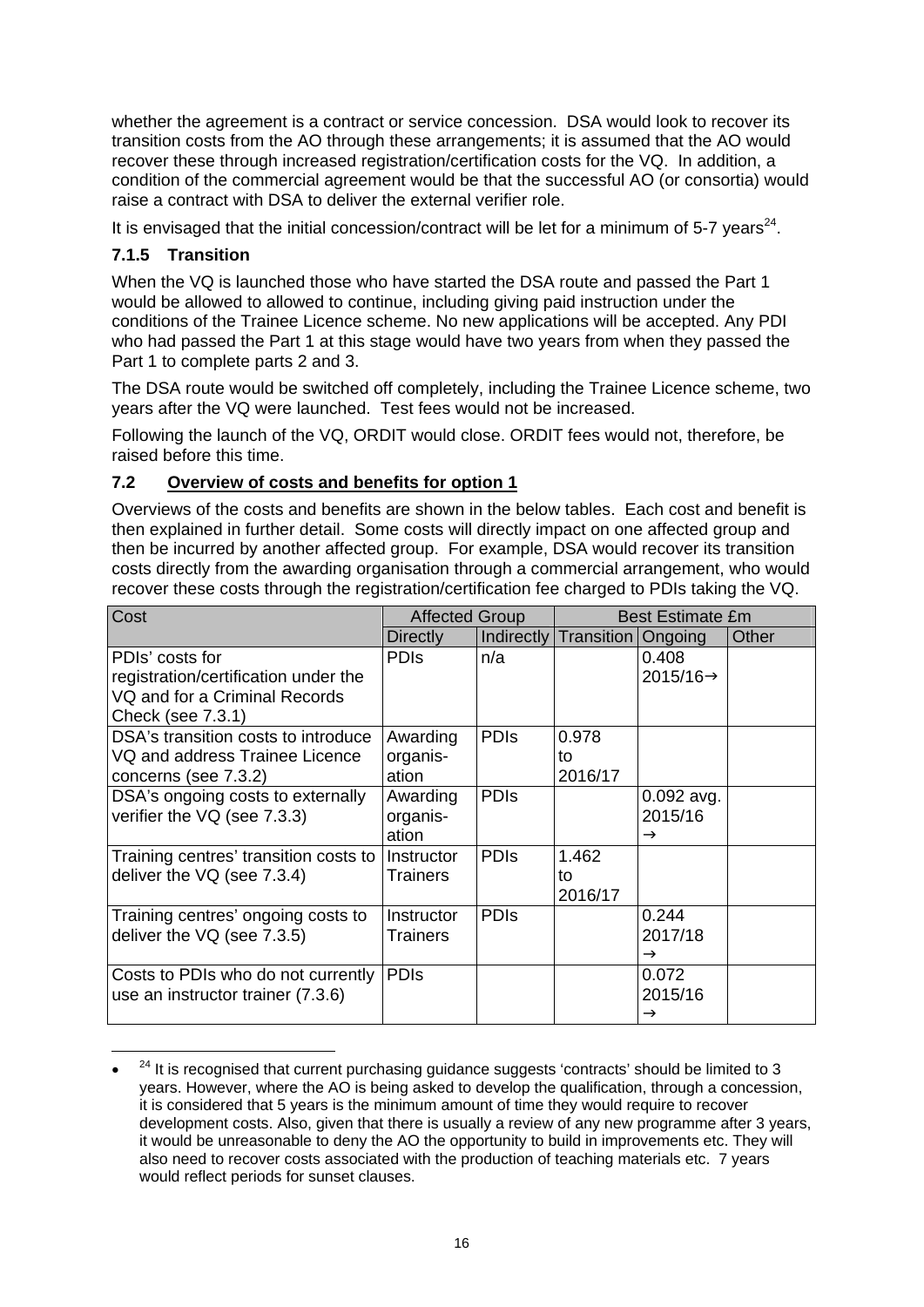whether the agreement is a contract or service concession. DSA would look to recover its transition costs from the AO through these arrangements; it is assumed that the AO would recover these through increased registration/certification costs for the VQ. In addition, a condition of the commercial agreement would be that the successful AO (or consortia) would raise a contract with DSA to deliver the external verifier role.

It is envisaged that the initial concession/contract will be let for a minimum of 5-7 years<sup>24</sup>.

# **7.1.5 Transition**

When the VQ is launched those who have started the DSA route and passed the Part 1 would be allowed to allowed to continue, including giving paid instruction under the conditions of the Trainee Licence scheme. No new applications will be accepted. Any PDI who had passed the Part 1 at this stage would have two years from when they passed the Part 1 to complete parts 2 and 3.

The DSA route would be switched off completely, including the Trainee Licence scheme, two years after the VQ were launched. Test fees would not be increased.

Following the launch of the VQ, ORDIT would close. ORDIT fees would not, therefore, be raised before this time.

#### **7.2 Overview of costs and benefits for option 1**

Overviews of the costs and benefits are shown in the below tables. Each cost and benefit is then explained in further detail. Some costs will directly impact on one affected group and then be incurred by another affected group. For example, DSA would recover its transition costs directly from the awarding organisation through a commercial arrangement, who would recover these costs through the registration/certification fee charged to PDIs taking the VQ.

| Cost                                                                                                          | <b>Affected Group</b>         |             | <b>Best Estimate £m</b> |                                          |       |  |
|---------------------------------------------------------------------------------------------------------------|-------------------------------|-------------|-------------------------|------------------------------------------|-------|--|
|                                                                                                               | <b>Directly</b>               | Indirectly  | Transition Ongoing      |                                          | Other |  |
| PDIs' costs for<br>registration/certification under the<br>VQ and for a Criminal Records<br>Check (see 7.3.1) | <b>PDIS</b>                   | n/a         |                         | 0.408<br>$2015/16 \rightarrow$           |       |  |
| DSA's transition costs to introduce<br>VQ and address Trainee Licence<br>concerns (see 7.3.2)                 | Awarding<br>organis-<br>ation | <b>PDIS</b> | 0.978<br>to<br>2016/17  |                                          |       |  |
| DSA's ongoing costs to externally<br>verifier the VQ (see 7.3.3)                                              | Awarding<br>organis-<br>ation | <b>PDIS</b> |                         | $0.092$ avg.<br>2015/16<br>$\rightarrow$ |       |  |
| Training centres' transition costs to<br>deliver the VQ (see 7.3.4)                                           | Instructor<br><b>Trainers</b> | <b>PDIS</b> | 1.462<br>to<br>2016/17  |                                          |       |  |
| Training centres' ongoing costs to<br>deliver the VQ (see 7.3.5)                                              | Instructor<br><b>Trainers</b> | <b>PDIS</b> |                         | 0.244<br>2017/18<br>$\rightarrow$        |       |  |
| Costs to PDIs who do not currently<br>use an instructor trainer (7.3.6)                                       | <b>PDIS</b>                   |             |                         | 0.072<br>2015/16<br>$\rightarrow$        |       |  |

<sup>&</sup>lt;u>.</u>  $24$  It is recognised that current purchasing guidance suggests 'contracts' should be limited to 3 years. However, where the AO is being asked to develop the qualification, through a concession, it is considered that 5 years is the minimum amount of time they would require to recover development costs. Also, given that there is usually a review of any new programme after 3 years, it would be unreasonable to deny the AO the opportunity to build in improvements etc. They will also need to recover costs associated with the production of teaching materials etc. 7 years would reflect periods for sunset clauses.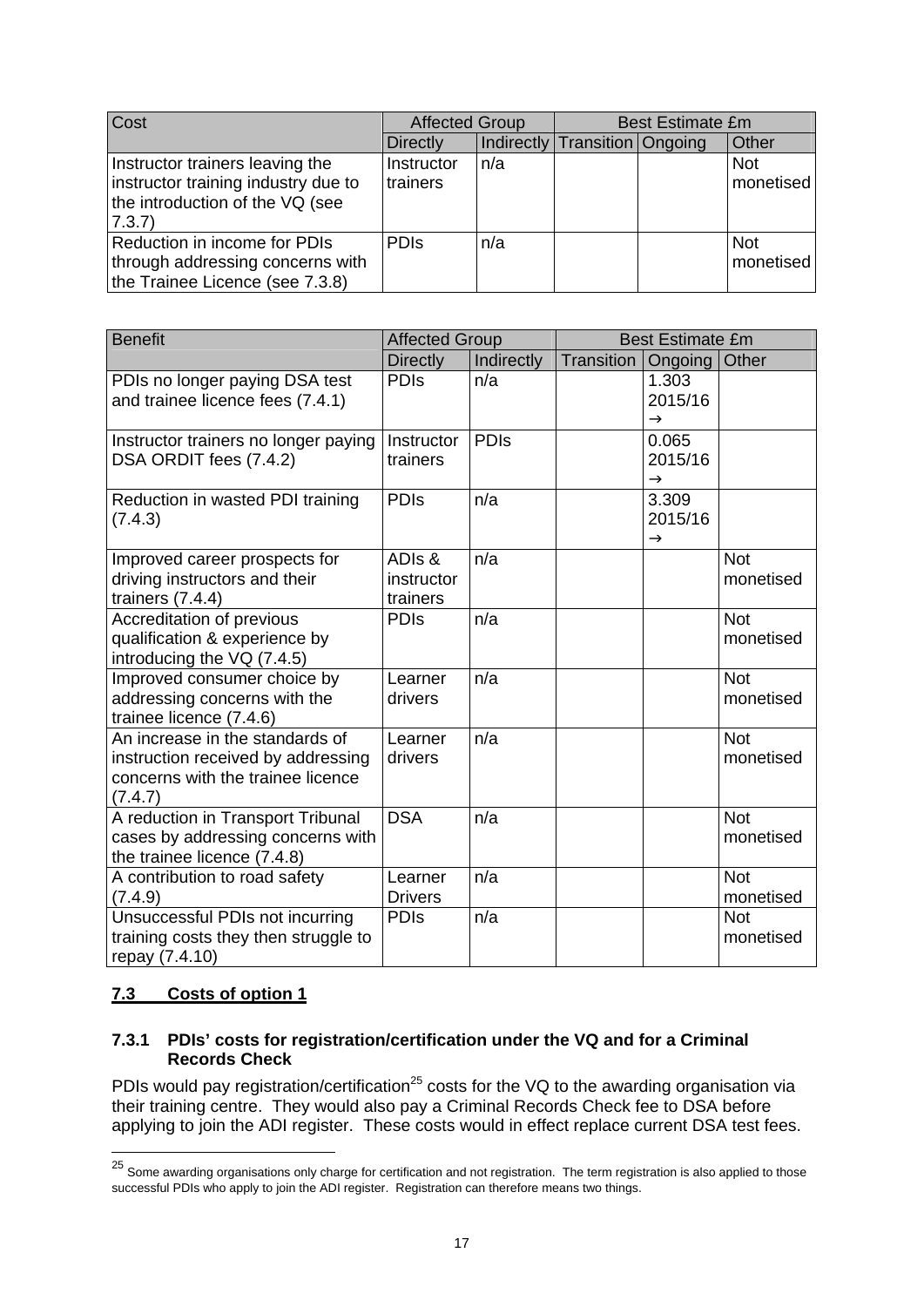| Cost                                                                                                               | <b>Affected Group</b>  |     | <b>Best Estimate £m</b>       |  |                         |  |
|--------------------------------------------------------------------------------------------------------------------|------------------------|-----|-------------------------------|--|-------------------------|--|
|                                                                                                                    | <b>Directly</b>        |     | Indirectly Transition Ongoing |  | Other                   |  |
| Instructor trainers leaving the<br>instructor training industry due to<br>the introduction of the VQ (see<br>7.3.7 | Instructor<br>trainers | n/a |                               |  | <b>Not</b><br>monetised |  |
| Reduction in income for PDIs<br>through addressing concerns with<br>the Trainee Licence (see 7.3.8)                | <b>PDIS</b>            | n/a |                               |  | <b>Not</b><br>monetised |  |

| <b>Benefit</b>                                                                                                        | <b>Affected Group</b>            |             |                   | <b>Best Estimate £m</b>           |                         |
|-----------------------------------------------------------------------------------------------------------------------|----------------------------------|-------------|-------------------|-----------------------------------|-------------------------|
|                                                                                                                       | <b>Directly</b>                  | Indirectly  | <b>Transition</b> | Ongoing                           | Other                   |
| PDIs no longer paying DSA test<br>and trainee licence fees (7.4.1)                                                    | <b>PDIS</b>                      | n/a         |                   | 1.303<br>2015/16<br>$\rightarrow$ |                         |
| Instructor trainers no longer paying<br>DSA ORDIT fees (7.4.2)                                                        | Instructor<br>trainers           | <b>PDIs</b> |                   | 0.065<br>2015/16<br>$\rightarrow$ |                         |
| Reduction in wasted PDI training<br>(7.4.3)                                                                           | <b>PDIs</b>                      | n/a         |                   | 3.309<br>2015/16<br>$\rightarrow$ |                         |
| Improved career prospects for<br>driving instructors and their<br>trainers $(7.4.4)$                                  | ADIs &<br>instructor<br>trainers | n/a         |                   |                                   | <b>Not</b><br>monetised |
| Accreditation of previous<br>qualification & experience by<br>introducing the VQ (7.4.5)                              | <b>PDIS</b>                      | n/a         |                   |                                   | <b>Not</b><br>monetised |
| Improved consumer choice by<br>addressing concerns with the<br>trainee licence (7.4.6)                                | Learner<br>drivers               | n/a         |                   |                                   | <b>Not</b><br>monetised |
| An increase in the standards of<br>instruction received by addressing<br>concerns with the trainee licence<br>(7.4.7) | Learner<br>drivers               | n/a         |                   |                                   | <b>Not</b><br>monetised |
| A reduction in Transport Tribunal<br>cases by addressing concerns with<br>the trainee licence (7.4.8)                 | <b>DSA</b>                       | n/a         |                   |                                   | <b>Not</b><br>monetised |
| A contribution to road safety<br>(7.4.9)                                                                              | Learner<br><b>Drivers</b>        | n/a         |                   |                                   | <b>Not</b><br>monetised |
| Unsuccessful PDIs not incurring<br>training costs they then struggle to<br>repay (7.4.10)                             | <b>PDIs</b>                      | n/a         |                   |                                   | <b>Not</b><br>monetised |

## **7.3 Costs of option 1**

1

#### **7.3.1 PDIs' costs for registration/certification under the VQ and for a Criminal Records Check**

PDIs would pay registration/certification<sup>25</sup> costs for the VQ to the awarding organisation via their training centre. They would also pay a Criminal Records Check fee to DSA before applying to join the ADI register. These costs would in effect replace current DSA test fees.

<sup>&</sup>lt;sup>25</sup> Some awarding organisations only charge for certification and not registration. The term registration is also applied to those successful PDIs who apply to join the ADI register. Registration can therefore means two things.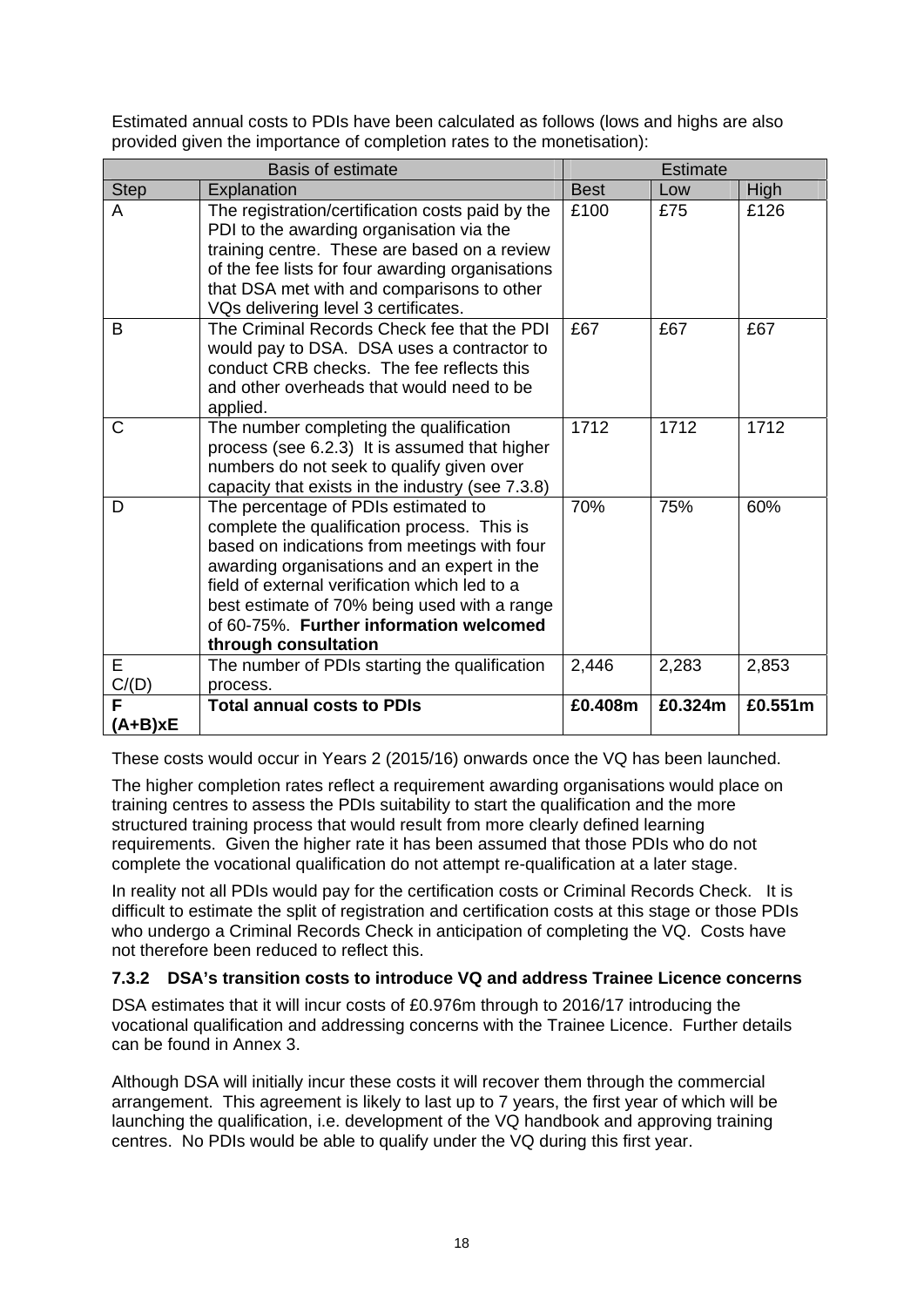Estimated annual costs to PDIs have been calculated as follows (lows and highs are also provided given the importance of completion rates to the monetisation):

| <b>Basis of estimate</b> |                                                                                                                                                                                                                                                                                                                                                       | <b>Estimate</b> |         |             |
|--------------------------|-------------------------------------------------------------------------------------------------------------------------------------------------------------------------------------------------------------------------------------------------------------------------------------------------------------------------------------------------------|-----------------|---------|-------------|
| <b>Step</b>              | Explanation                                                                                                                                                                                                                                                                                                                                           | <b>Best</b>     | Low     | <b>High</b> |
| A                        | The registration/certification costs paid by the<br>PDI to the awarding organisation via the<br>training centre. These are based on a review<br>of the fee lists for four awarding organisations<br>that DSA met with and comparisons to other<br>VQs delivering level 3 certificates.                                                                | £100            | £75     | £126        |
| B                        | The Criminal Records Check fee that the PDI<br>would pay to DSA. DSA uses a contractor to<br>conduct CRB checks. The fee reflects this<br>and other overheads that would need to be<br>applied.                                                                                                                                                       | £67             | £67     | £67         |
| C                        | The number completing the qualification<br>process (see 6.2.3) It is assumed that higher<br>numbers do not seek to qualify given over<br>capacity that exists in the industry (see 7.3.8)                                                                                                                                                             | 1712            | 1712    | 1712        |
| D                        | The percentage of PDIs estimated to<br>complete the qualification process. This is<br>based on indications from meetings with four<br>awarding organisations and an expert in the<br>field of external verification which led to a<br>best estimate of 70% being used with a range<br>of 60-75%. Further information welcomed<br>through consultation | 70%             | 75%     | 60%         |
| E<br>C/(D)               | The number of PDIs starting the qualification<br>process.                                                                                                                                                                                                                                                                                             | 2,446           | 2,283   | 2,853       |
| F<br>A+B)xE              | <b>Total annual costs to PDIs</b>                                                                                                                                                                                                                                                                                                                     | £0.408m         | £0.324m | £0.551m     |

These costs would occur in Years 2 (2015/16) onwards once the VQ has been launched.

The higher completion rates reflect a requirement awarding organisations would place on training centres to assess the PDIs suitability to start the qualification and the more structured training process that would result from more clearly defined learning requirements. Given the higher rate it has been assumed that those PDIs who do not complete the vocational qualification do not attempt re-qualification at a later stage.

In reality not all PDIs would pay for the certification costs or Criminal Records Check. It is difficult to estimate the split of registration and certification costs at this stage or those PDIs who undergo a Criminal Records Check in anticipation of completing the VQ. Costs have not therefore been reduced to reflect this.

# **7.3.2 DSA's transition costs to introduce VQ and address Trainee Licence concerns**

DSA estimates that it will incur costs of £0.976m through to 2016/17 introducing the vocational qualification and addressing concerns with the Trainee Licence. Further details can be found in Annex 3.

Although DSA will initially incur these costs it will recover them through the commercial arrangement. This agreement is likely to last up to 7 years, the first year of which will be launching the qualification, i.e. development of the VQ handbook and approving training centres. No PDIs would be able to qualify under the VQ during this first year.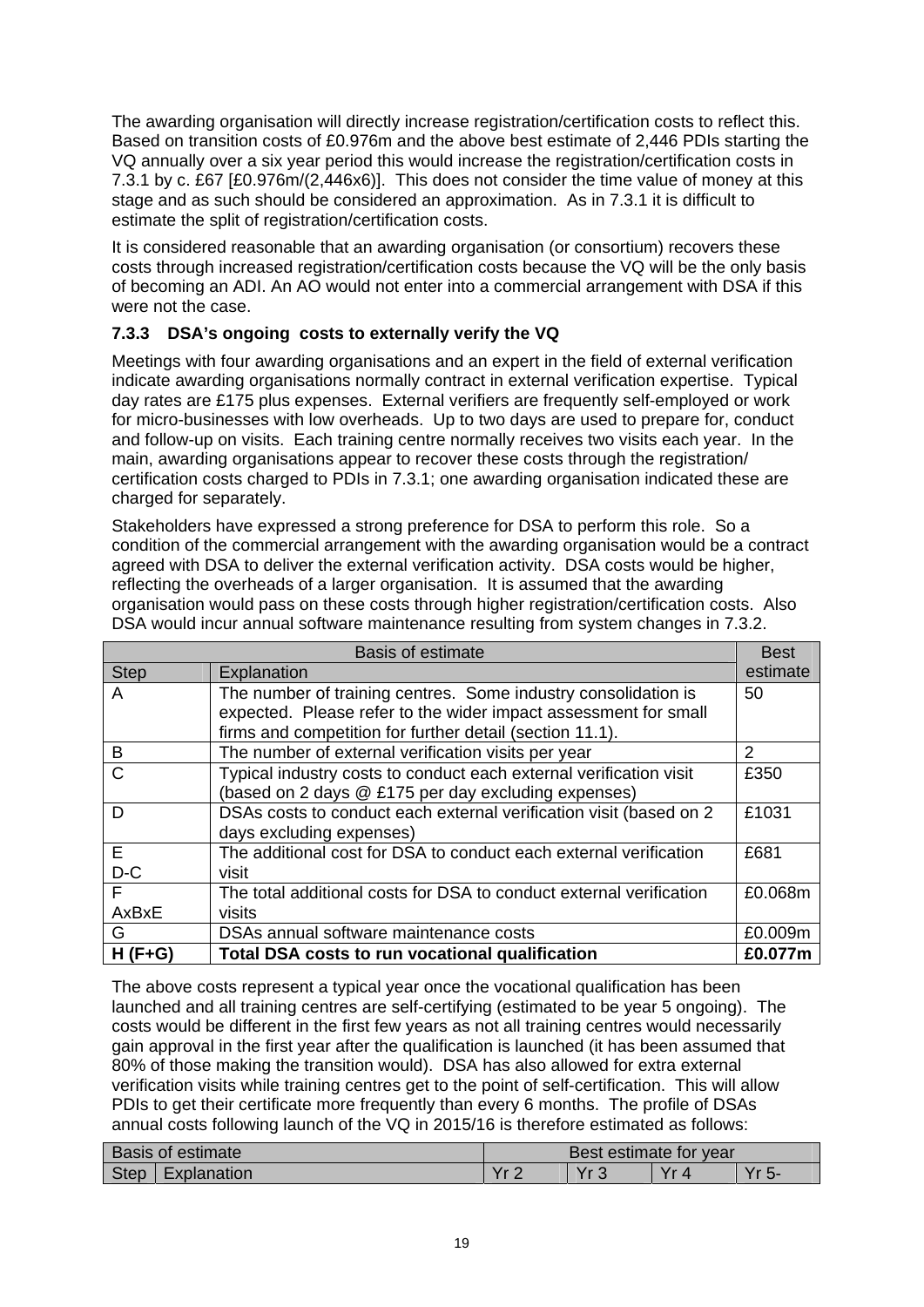The awarding organisation will directly increase registration/certification costs to reflect this. Based on transition costs of £0.976m and the above best estimate of 2,446 PDIs starting the VQ annually over a six year period this would increase the registration/certification costs in 7.3.1 by c. £67 [£0.976m/(2,446x6)]. This does not consider the time value of money at this stage and as such should be considered an approximation. As in 7.3.1 it is difficult to estimate the split of registration/certification costs.

It is considered reasonable that an awarding organisation (or consortium) recovers these costs through increased registration/certification costs because the VQ will be the only basis of becoming an ADI. An AO would not enter into a commercial arrangement with DSA if this were not the case.

# **7.3.3 DSA's ongoing costs to externally verify the VQ**

Meetings with four awarding organisations and an expert in the field of external verification indicate awarding organisations normally contract in external verification expertise. Typical day rates are £175 plus expenses. External verifiers are frequently self-employed or work for micro-businesses with low overheads. Up to two days are used to prepare for, conduct and follow-up on visits. Each training centre normally receives two visits each year. In the main, awarding organisations appear to recover these costs through the registration/ certification costs charged to PDIs in 7.3.1; one awarding organisation indicated these are charged for separately.

Stakeholders have expressed a strong preference for DSA to perform this role. So a condition of the commercial arrangement with the awarding organisation would be a contract agreed with DSA to deliver the external verification activity. DSA costs would be higher, reflecting the overheads of a larger organisation. It is assumed that the awarding organisation would pass on these costs through higher registration/certification costs. Also DSA would incur annual software maintenance resulting from system changes in 7.3.2.

|              | <b>Basis of estimate</b>                                            | <b>Best</b> |
|--------------|---------------------------------------------------------------------|-------------|
| <b>Step</b>  | Explanation                                                         | estimate    |
| A            | The number of training centres. Some industry consolidation is      | 50          |
|              | expected. Please refer to the wider impact assessment for small     |             |
|              | firms and competition for further detail (section 11.1).            |             |
| B            | The number of external verification visits per year                 | 2           |
| $\mathsf{C}$ | Typical industry costs to conduct each external verification visit  | £350        |
|              | (based on 2 days @ £175 per day excluding expenses)                 |             |
| D            | DSAs costs to conduct each external verification visit (based on 2  | £1031       |
|              | days excluding expenses)                                            |             |
| E.           | The additional cost for DSA to conduct each external verification   | £681        |
| $D-C$        | visit                                                               |             |
| F            | The total additional costs for DSA to conduct external verification | £0.068m     |
| AxBxE        | visits                                                              |             |
| G            | DSAs annual software maintenance costs                              | £0.009m     |
| $H(F+G)$     | Total DSA costs to run vocational qualification                     | £0.077m     |

The above costs represent a typical year once the vocational qualification has been launched and all training centres are self-certifying (estimated to be year 5 ongoing). The costs would be different in the first few years as not all training centres would necessarily gain approval in the first year after the qualification is launched (it has been assumed that 80% of those making the transition would). DSA has also allowed for extra external verification visits while training centres get to the point of self-certification. This will allow PDIs to get their certificate more frequently than every 6 months. The profile of DSAs annual costs following launch of the VQ in 2015/16 is therefore estimated as follows:

| Basis of estimate |             | Best estimate for year |      |                   |    |
|-------------------|-------------|------------------------|------|-------------------|----|
| <b>Step</b>       | Explanation | $V_{r}$                | v. o | \/.<br>$\sqrt{ }$ | .ს |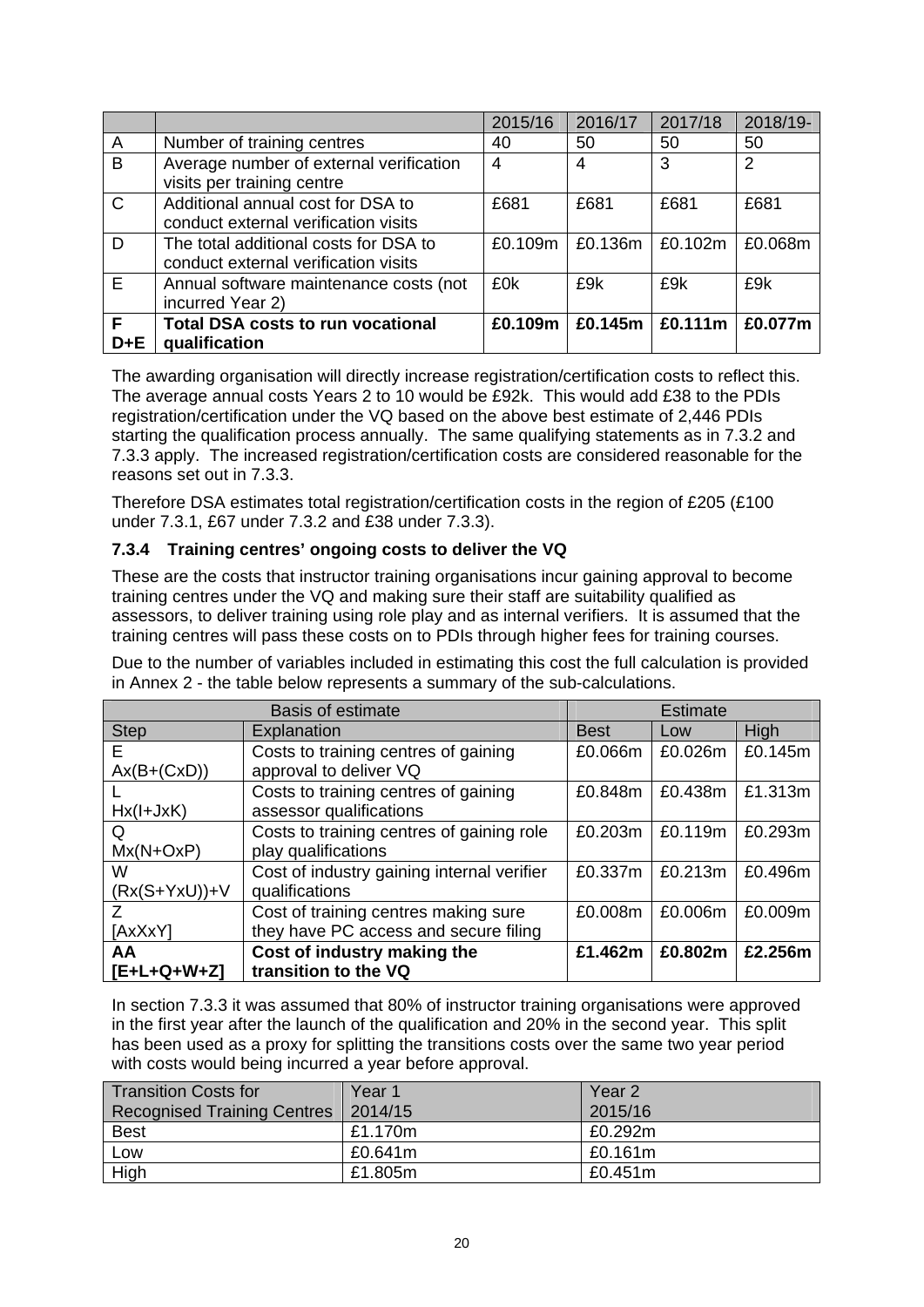|                |                                                                               | 2015/16 | 2016/17 | 2017/18                | 2018/19-       |
|----------------|-------------------------------------------------------------------------------|---------|---------|------------------------|----------------|
| $\overline{A}$ | Number of training centres                                                    | 40      | 50      | 50                     | 50             |
| $\overline{B}$ | Average number of external verification<br>visits per training centre         | 4       | 4       | 3                      | $\overline{2}$ |
| $\mathbf C$    | Additional annual cost for DSA to<br>conduct external verification visits     | £681    | £681    | £681                   | £681           |
| D              | The total additional costs for DSA to<br>conduct external verification visits | £0.109m | £0.136m | £0.102m                | £0.068m        |
| E              | Annual software maintenance costs (not<br>incurred Year 2)                    | £0k     | £9k     | £9k                    | £9k            |
| F<br>D+E       | <b>Total DSA costs to run vocational</b><br>qualification                     | £0.109m |         | £0.145m $\leq$ £0.111m | £0.077m        |

The awarding organisation will directly increase registration/certification costs to reflect this. The average annual costs Years 2 to 10 would be £92k. This would add £38 to the PDIs registration/certification under the VQ based on the above best estimate of 2,446 PDIs starting the qualification process annually. The same qualifying statements as in 7.3.2 and 7.3.3 apply. The increased registration/certification costs are considered reasonable for the reasons set out in 7.3.3.

Therefore DSA estimates total registration/certification costs in the region of £205 (£100 under 7.3.1, £67 under 7.3.2 and £38 under 7.3.3).

## **7.3.4 Training centres' ongoing costs to deliver the VQ**

These are the costs that instructor training organisations incur gaining approval to become training centres under the VQ and making sure their staff are suitability qualified as assessors, to deliver training using role play and as internal verifiers. It is assumed that the training centres will pass these costs on to PDIs through higher fees for training courses.

Due to the number of variables included in estimating this cost the full calculation is provided in Annex 2 - the table below represents a summary of the sub-calculations.

|                 | <b>Basis of estimate</b>                   |             | <b>Estimate</b> |             |
|-----------------|--------------------------------------------|-------------|-----------------|-------------|
| <b>Step</b>     | Explanation                                | <b>Best</b> | Low             | <b>High</b> |
| E               | Costs to training centres of gaining       | £0.066m     | £0.026m         | £0.145m     |
| $Ax(B+(CxD))$   | approval to deliver VQ                     |             |                 |             |
|                 | Costs to training centres of gaining       | £0.848m     | £0.438m         | £1.313m     |
| $Hx(I+JxK)$     | assessor qualifications                    |             |                 |             |
| Q               | Costs to training centres of gaining role  | £0.203m     | £0.119m         | £0.293m     |
| $Mx(N+OxP)$     | play qualifications                        |             |                 |             |
| W               | Cost of industry gaining internal verifier | £0.337m     | £0.213m         | £0.496m     |
| $(Rx(S+YxU))+V$ | qualifications                             |             |                 |             |
| 7               | Cost of training centres making sure       | £0.008m     | £0.006m         | £0.009m     |
| [AxXxY]         | they have PC access and secure filing      |             |                 |             |
| AA              | Cost of industry making the                | £1.462m     | £0.802m         | £2.256m     |
| [E+L+Q+W+Z]     | transition to the VQ                       |             |                 |             |

In section 7.3.3 it was assumed that 80% of instructor training organisations were approved in the first year after the launch of the qualification and 20% in the second year. This split has been used as a proxy for splitting the transitions costs over the same two year period with costs would being incurred a year before approval.

| <b>Transition Costs for</b>        | Year 1  | Year <sub>2</sub> |
|------------------------------------|---------|-------------------|
| <b>Recognised Training Centres</b> | 2014/15 | 2015/16           |
| <b>Best</b>                        | £1.170m | £0.292m           |
| Low                                | £0.641m | £0.161m           |
| High                               | £1.805m | £0.451m           |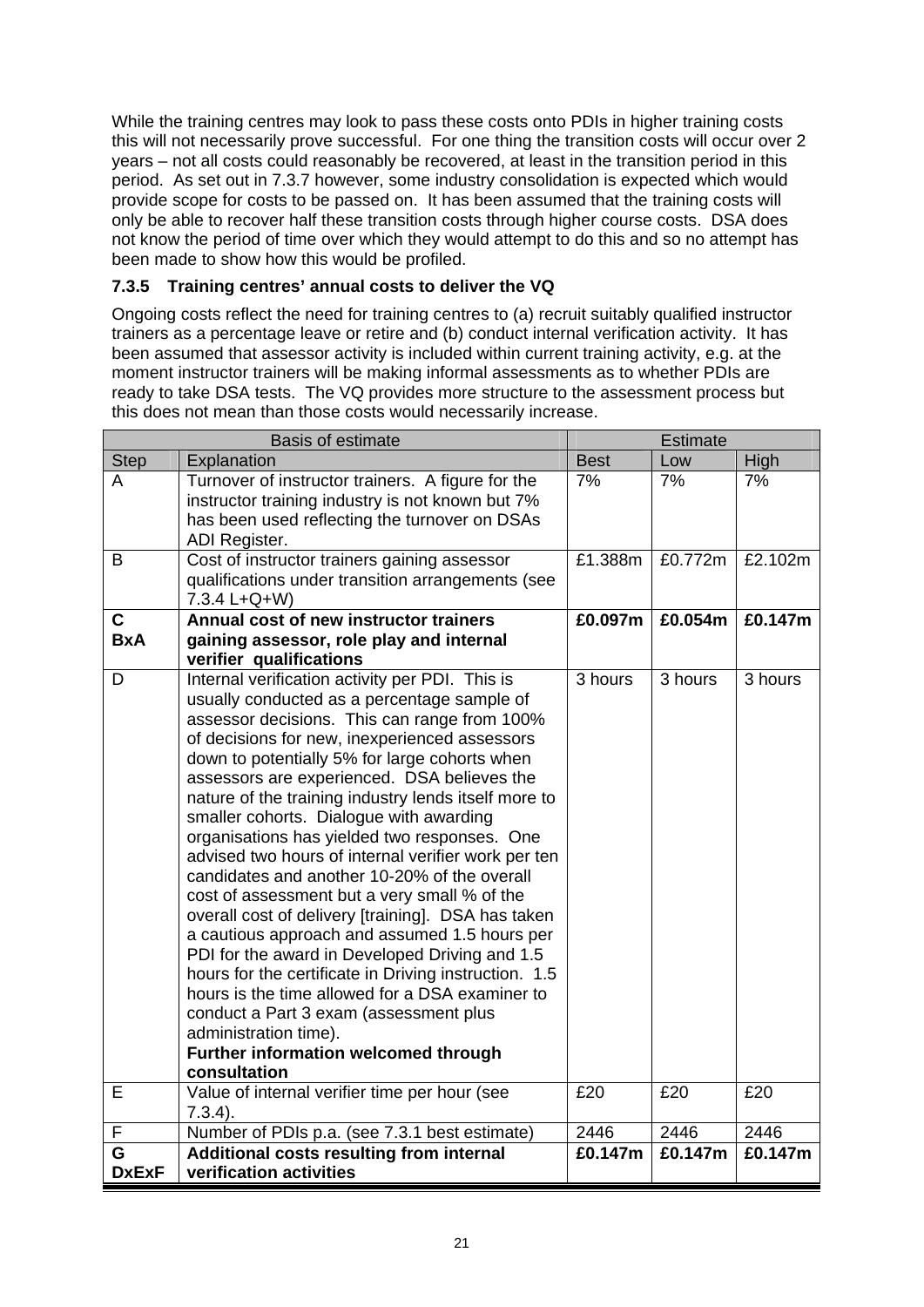While the training centres may look to pass these costs onto PDIs in higher training costs this will not necessarily prove successful. For one thing the transition costs will occur over 2 years – not all costs could reasonably be recovered, at least in the transition period in this period. As set out in 7.3.7 however, some industry consolidation is expected which would provide scope for costs to be passed on. It has been assumed that the training costs will only be able to recover half these transition costs through higher course costs. DSA does not know the period of time over which they would attempt to do this and so no attempt has been made to show how this would be profiled.

# **7.3.5 Training centres' annual costs to deliver the VQ**

Ongoing costs reflect the need for training centres to (a) recruit suitably qualified instructor trainers as a percentage leave or retire and (b) conduct internal verification activity. It has been assumed that assessor activity is included within current training activity, e.g. at the moment instructor trainers will be making informal assessments as to whether PDIs are ready to take DSA tests. The VQ provides more structure to the assessment process but this does not mean than those costs would necessarily increase.

|                   | <b>Basis of estimate</b>                                                                                                                                                                                                                                                                                                                                                                                                                                                                                                                                                                                                                                                                                                                                                                                                                                                                                                                                                                                  |             | <b>Estimate</b> |         |
|-------------------|-----------------------------------------------------------------------------------------------------------------------------------------------------------------------------------------------------------------------------------------------------------------------------------------------------------------------------------------------------------------------------------------------------------------------------------------------------------------------------------------------------------------------------------------------------------------------------------------------------------------------------------------------------------------------------------------------------------------------------------------------------------------------------------------------------------------------------------------------------------------------------------------------------------------------------------------------------------------------------------------------------------|-------------|-----------------|---------|
| <b>Step</b>       | Explanation                                                                                                                                                                                                                                                                                                                                                                                                                                                                                                                                                                                                                                                                                                                                                                                                                                                                                                                                                                                               | <b>Best</b> | Low             | High    |
| A                 | Turnover of instructor trainers. A figure for the<br>instructor training industry is not known but 7%<br>has been used reflecting the turnover on DSAs<br>ADI Register.                                                                                                                                                                                                                                                                                                                                                                                                                                                                                                                                                                                                                                                                                                                                                                                                                                   | 7%          | 7%              | 7%      |
| B                 | Cost of instructor trainers gaining assessor<br>qualifications under transition arrangements (see<br>7.3.4 L+Q+W)                                                                                                                                                                                                                                                                                                                                                                                                                                                                                                                                                                                                                                                                                                                                                                                                                                                                                         | £1.388m     | £0.772m         | £2.102m |
| $\mathbf c$       | Annual cost of new instructor trainers                                                                                                                                                                                                                                                                                                                                                                                                                                                                                                                                                                                                                                                                                                                                                                                                                                                                                                                                                                    | £0.097m     | £0.054m         | £0.147m |
| <b>BxA</b>        | gaining assessor, role play and internal<br>verifier qualifications                                                                                                                                                                                                                                                                                                                                                                                                                                                                                                                                                                                                                                                                                                                                                                                                                                                                                                                                       |             |                 |         |
| D                 | Internal verification activity per PDI. This is<br>usually conducted as a percentage sample of<br>assessor decisions. This can range from 100%<br>of decisions for new, inexperienced assessors<br>down to potentially 5% for large cohorts when<br>assessors are experienced. DSA believes the<br>nature of the training industry lends itself more to<br>smaller cohorts. Dialogue with awarding<br>organisations has yielded two responses. One<br>advised two hours of internal verifier work per ten<br>candidates and another 10-20% of the overall<br>cost of assessment but a very small % of the<br>overall cost of delivery [training]. DSA has taken<br>a cautious approach and assumed 1.5 hours per<br>PDI for the award in Developed Driving and 1.5<br>hours for the certificate in Driving instruction. 1.5<br>hours is the time allowed for a DSA examiner to<br>conduct a Part 3 exam (assessment plus<br>administration time).<br>Further information welcomed through<br>consultation | 3 hours     | 3 hours         | 3 hours |
| E                 | Value of internal verifier time per hour (see<br>$7.3.4$ ).                                                                                                                                                                                                                                                                                                                                                                                                                                                                                                                                                                                                                                                                                                                                                                                                                                                                                                                                               | £20         | £20             | £20     |
| F                 | Number of PDIs p.a. (see 7.3.1 best estimate)                                                                                                                                                                                                                                                                                                                                                                                                                                                                                                                                                                                                                                                                                                                                                                                                                                                                                                                                                             | 2446        | 2446            | 2446    |
| G<br><b>DxExF</b> | Additional costs resulting from internal<br>verification activities                                                                                                                                                                                                                                                                                                                                                                                                                                                                                                                                                                                                                                                                                                                                                                                                                                                                                                                                       | £0.147m     | £0.147m         | £0.147m |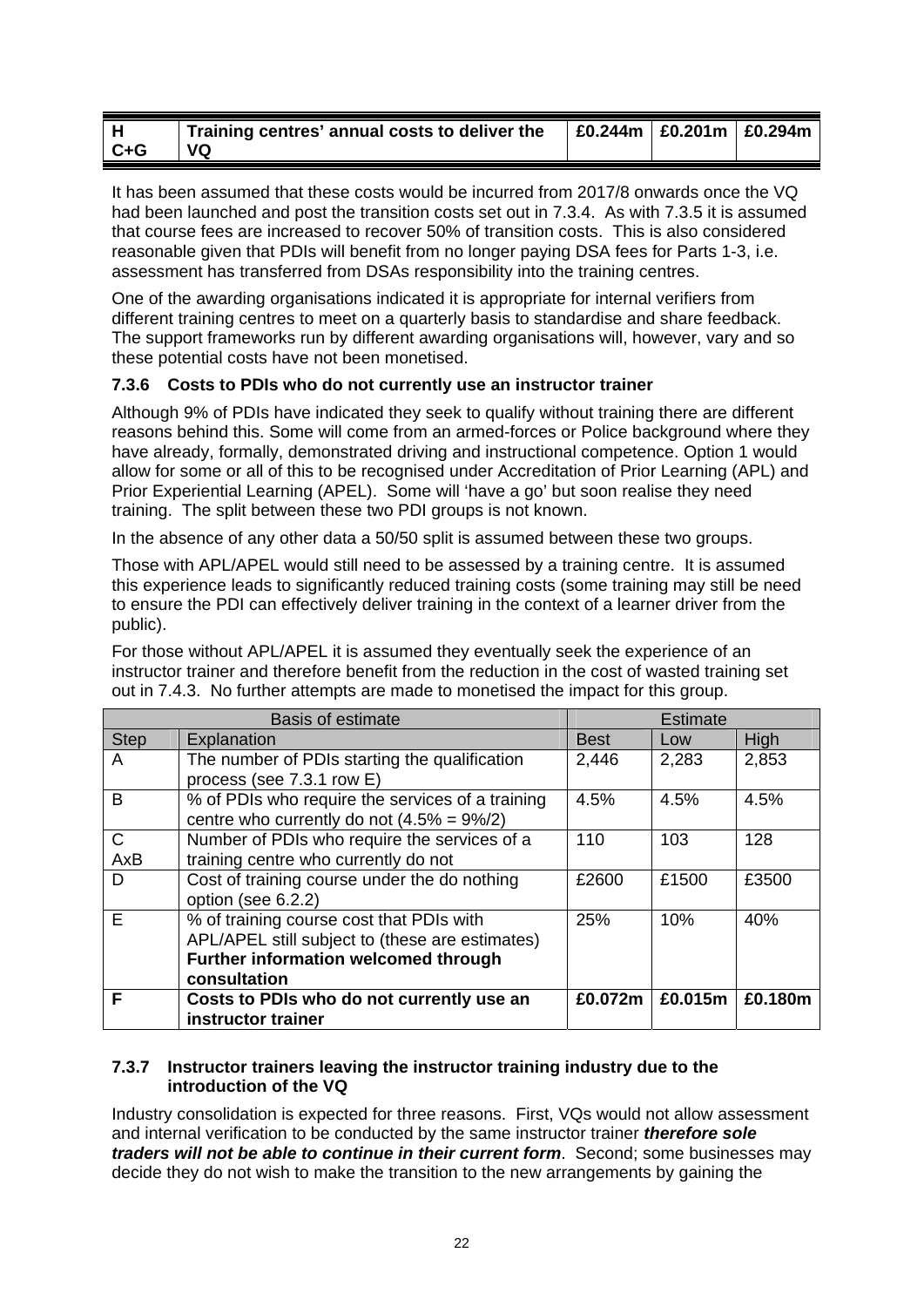|         | Training centres' annual costs to deliver the | £0.244m   £0.201m   £0.294m |  |
|---------|-----------------------------------------------|-----------------------------|--|
| $C + G$ | VQ                                            |                             |  |

It has been assumed that these costs would be incurred from 2017/8 onwards once the VQ had been launched and post the transition costs set out in 7.3.4. As with 7.3.5 it is assumed that course fees are increased to recover 50% of transition costs. This is also considered reasonable given that PDIs will benefit from no longer paying DSA fees for Parts 1-3, i.e. assessment has transferred from DSAs responsibility into the training centres.

One of the awarding organisations indicated it is appropriate for internal verifiers from different training centres to meet on a quarterly basis to standardise and share feedback. The support frameworks run by different awarding organisations will, however, vary and so these potential costs have not been monetised.

## **7.3.6 Costs to PDIs who do not currently use an instructor trainer**

Although 9% of PDIs have indicated they seek to qualify without training there are different reasons behind this. Some will come from an armed-forces or Police background where they have already, formally, demonstrated driving and instructional competence. Option 1 would allow for some or all of this to be recognised under Accreditation of Prior Learning (APL) and Prior Experiential Learning (APEL). Some will 'have a go' but soon realise they need training. The split between these two PDI groups is not known.

In the absence of any other data a 50/50 split is assumed between these two groups.

Those with APL/APEL would still need to be assessed by a training centre. It is assumed this experience leads to significantly reduced training costs (some training may still be need to ensure the PDI can effectively deliver training in the context of a learner driver from the public).

For those without APL/APEL it is assumed they eventually seek the experience of an instructor trainer and therefore benefit from the reduction in the cost of wasted training set out in 7.4.3. No further attempts are made to monetised the impact for this group.

|              | <b>Basis of estimate</b>                         |             | <b>Estimate</b> |         |
|--------------|--------------------------------------------------|-------------|-----------------|---------|
| <b>Step</b>  | Explanation                                      | <b>Best</b> | Low             | High    |
| A            | The number of PDIs starting the qualification    | 2,446       | 2,283           | 2,853   |
|              | process (see 7.3.1 row E)                        |             |                 |         |
| B            | % of PDIs who require the services of a training | 4.5%        | 4.5%            | 4.5%    |
|              | centre who currently do not $(4.5\% = 9\%/2)$    |             |                 |         |
| $\mathsf{C}$ | Number of PDIs who require the services of a     | 110         | 103             | 128     |
| AxB          | training centre who currently do not             |             |                 |         |
| D            | Cost of training course under the do nothing     | £2600       | £1500           | £3500   |
|              | option (see 6.2.2)                               |             |                 |         |
| E            | % of training course cost that PDIs with         | 25%         | 10%             | 40%     |
|              | APL/APEL still subject to (these are estimates)  |             |                 |         |
|              | Further information welcomed through             |             |                 |         |
|              | consultation                                     |             |                 |         |
| F            | Costs to PDIs who do not currently use an        | £0.072m     | £0.015m         | £0.180m |
|              | instructor trainer                               |             |                 |         |

#### **7.3.7 Instructor trainers leaving the instructor training industry due to the introduction of the VQ**

Industry consolidation is expected for three reasons. First, VQs would not allow assessment and internal verification to be conducted by the same instructor trainer *therefore sole traders will not be able to continue in their current form*. Second; some businesses may decide they do not wish to make the transition to the new arrangements by gaining the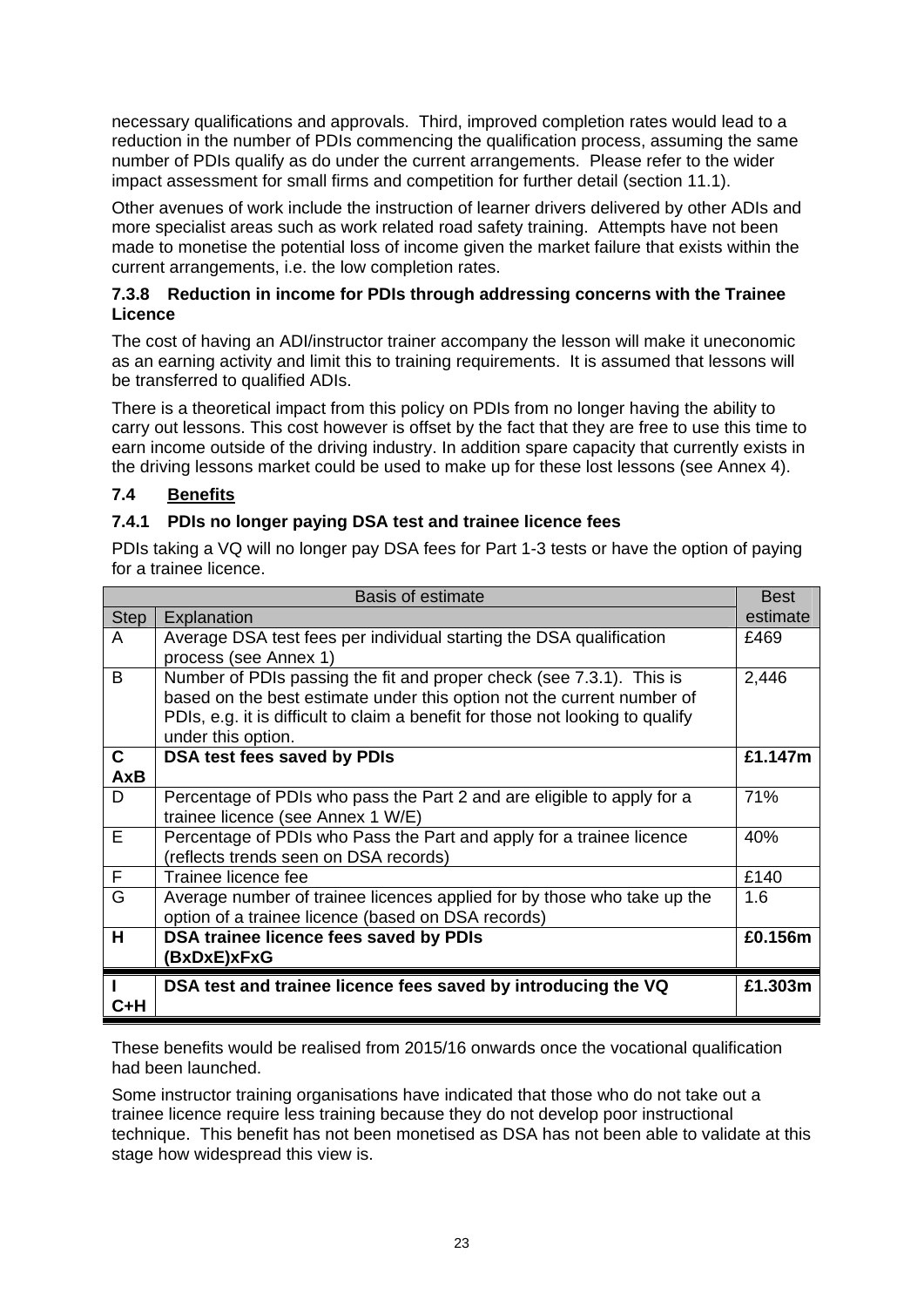necessary qualifications and approvals. Third, improved completion rates would lead to a reduction in the number of PDIs commencing the qualification process, assuming the same number of PDIs qualify as do under the current arrangements. Please refer to the wider impact assessment for small firms and competition for further detail (section 11.1).

Other avenues of work include the instruction of learner drivers delivered by other ADIs and more specialist areas such as work related road safety training. Attempts have not been made to monetise the potential loss of income given the market failure that exists within the current arrangements, i.e. the low completion rates.

#### **7.3.8 Reduction in income for PDIs through addressing concerns with the Trainee Licence**

The cost of having an ADI/instructor trainer accompany the lesson will make it uneconomic as an earning activity and limit this to training requirements. It is assumed that lessons will be transferred to qualified ADIs.

There is a theoretical impact from this policy on PDIs from no longer having the ability to carry out lessons. This cost however is offset by the fact that they are free to use this time to earn income outside of the driving industry. In addition spare capacity that currently exists in the driving lessons market could be used to make up for these lost lessons (see Annex 4).

# **7.4 Benefits**

## **7.4.1 PDIs no longer paying DSA test and trainee licence fees**

PDIs taking a VQ will no longer pay DSA fees for Part 1-3 tests or have the option of paying for a trainee licence.

|              | <b>Basis of estimate</b>                                                       | <b>Best</b> |
|--------------|--------------------------------------------------------------------------------|-------------|
| <b>Step</b>  | Explanation                                                                    | estimate    |
| A            | Average DSA test fees per individual starting the DSA qualification            | £469        |
|              | process (see Annex 1)                                                          |             |
| B            | Number of PDIs passing the fit and proper check (see 7.3.1). This is           | 2,446       |
|              | based on the best estimate under this option not the current number of         |             |
|              | PDIs, e.g. it is difficult to claim a benefit for those not looking to qualify |             |
|              | under this option.                                                             |             |
| $\mathbf{C}$ | DSA test fees saved by PDIs                                                    | £1.147m     |
| <b>AxB</b>   |                                                                                |             |
| D            | Percentage of PDIs who pass the Part 2 and are eligible to apply for a         | 71%         |
|              | trainee licence (see Annex 1 W/E)                                              |             |
| E            | Percentage of PDIs who Pass the Part and apply for a trainee licence           | 40%         |
|              | (reflects trends seen on DSA records)                                          |             |
| F            | Trainee licence fee                                                            | £140        |
| G            | Average number of trainee licences applied for by those who take up the        | 1.6         |
|              | option of a trainee licence (based on DSA records)                             |             |
| н            | DSA trainee licence fees saved by PDIs                                         | £0.156m     |
|              | (BxDxE)xFxG                                                                    |             |
|              | DSA test and trainee licence fees saved by introducing the VQ                  | £1.303m     |
| C+H          |                                                                                |             |
|              |                                                                                |             |

These benefits would be realised from 2015/16 onwards once the vocational qualification had been launched.

Some instructor training organisations have indicated that those who do not take out a trainee licence require less training because they do not develop poor instructional technique. This benefit has not been monetised as DSA has not been able to validate at this stage how widespread this view is.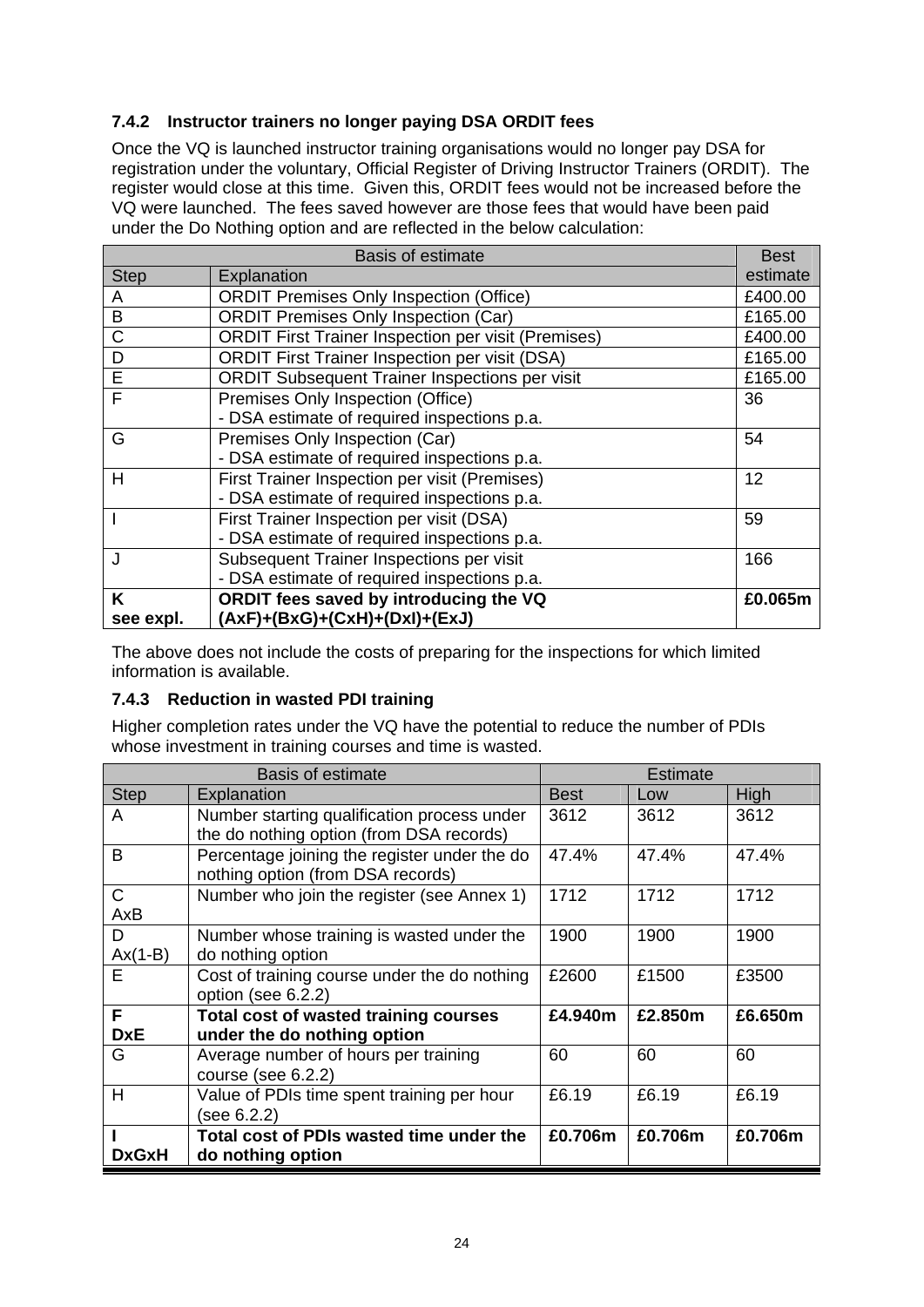# **7.4.2 Instructor trainers no longer paying DSA ORDIT fees**

Once the VQ is launched instructor training organisations would no longer pay DSA for registration under the voluntary, Official Register of Driving Instructor Trainers (ORDIT). The register would close at this time. Given this, ORDIT fees would not be increased before the VQ were launched. The fees saved however are those fees that would have been paid under the Do Nothing option and are reflected in the below calculation:

|                | <b>Basis of estimate</b>                                   | <b>Best</b> |
|----------------|------------------------------------------------------------|-------------|
| <b>Step</b>    | Explanation                                                | estimate    |
| A              | <b>ORDIT Premises Only Inspection (Office)</b>             | £400.00     |
| B              | <b>ORDIT Premises Only Inspection (Car)</b>                | £165.00     |
| C              | <b>ORDIT First Trainer Inspection per visit (Premises)</b> | £400.00     |
| D              | <b>ORDIT First Trainer Inspection per visit (DSA)</b>      | £165.00     |
| $\overline{E}$ | <b>ORDIT Subsequent Trainer Inspections per visit</b>      | £165.00     |
| F              | Premises Only Inspection (Office)                          | 36          |
|                | - DSA estimate of required inspections p.a.                |             |
| G              | Premises Only Inspection (Car)                             | 54          |
|                | - DSA estimate of required inspections p.a.                |             |
| Н              | First Trainer Inspection per visit (Premises)              | 12          |
|                | - DSA estimate of required inspections p.a.                |             |
|                | First Trainer Inspection per visit (DSA)                   | 59          |
|                | - DSA estimate of required inspections p.a.                |             |
| J              | Subsequent Trainer Inspections per visit                   | 166         |
|                | - DSA estimate of required inspections p.a.                |             |
| K              | ORDIT fees saved by introducing the VQ                     | £0.065m     |
| see expl.      | $(AxF)+(BxG)+(CxH)+(DxI)+(ExJ)$                            |             |

The above does not include the costs of preparing for the inspections for which limited information is available.

## **7.4.3 Reduction in wasted PDI training**

Higher completion rates under the VQ have the potential to reduce the number of PDIs whose investment in training courses and time is wasted.

|              | Basis of estimate                            |             | Estimate |         |
|--------------|----------------------------------------------|-------------|----------|---------|
| <b>Step</b>  | Explanation                                  | <b>Best</b> | Low      | High    |
| A            | Number starting qualification process under  | 3612        | 3612     | 3612    |
|              | the do nothing option (from DSA records)     |             |          |         |
| B            | Percentage joining the register under the do | 47.4%       | 47.4%    | 47.4%   |
|              | nothing option (from DSA records)            |             |          |         |
| $\mathsf{C}$ | Number who join the register (see Annex 1)   | 1712        | 1712     | 1712    |
| AxB          |                                              |             |          |         |
| D            | Number whose training is wasted under the    | 1900        | 1900     | 1900    |
| $Ax(1-B)$    | do nothing option                            |             |          |         |
| F            | Cost of training course under the do nothing | £2600       | £1500    | £3500   |
|              | option (see 6.2.2)                           |             |          |         |
| F            | Total cost of wasted training courses        | £4.940m     | £2.850m  | £6.650m |
| <b>DxE</b>   | under the do nothing option                  |             |          |         |
| G            | Average number of hours per training         | 60          | 60       | 60      |
|              | course (see $6.2.2$ )                        |             |          |         |
| H            | Value of PDIs time spent training per hour   | £6.19       | £6.19    | £6.19   |
|              | (see 6.2.2)                                  |             |          |         |
|              | Total cost of PDIs wasted time under the     | £0.706m     | £0.706m  | £0.706m |
| <b>DxGxH</b> | do nothing option                            |             |          |         |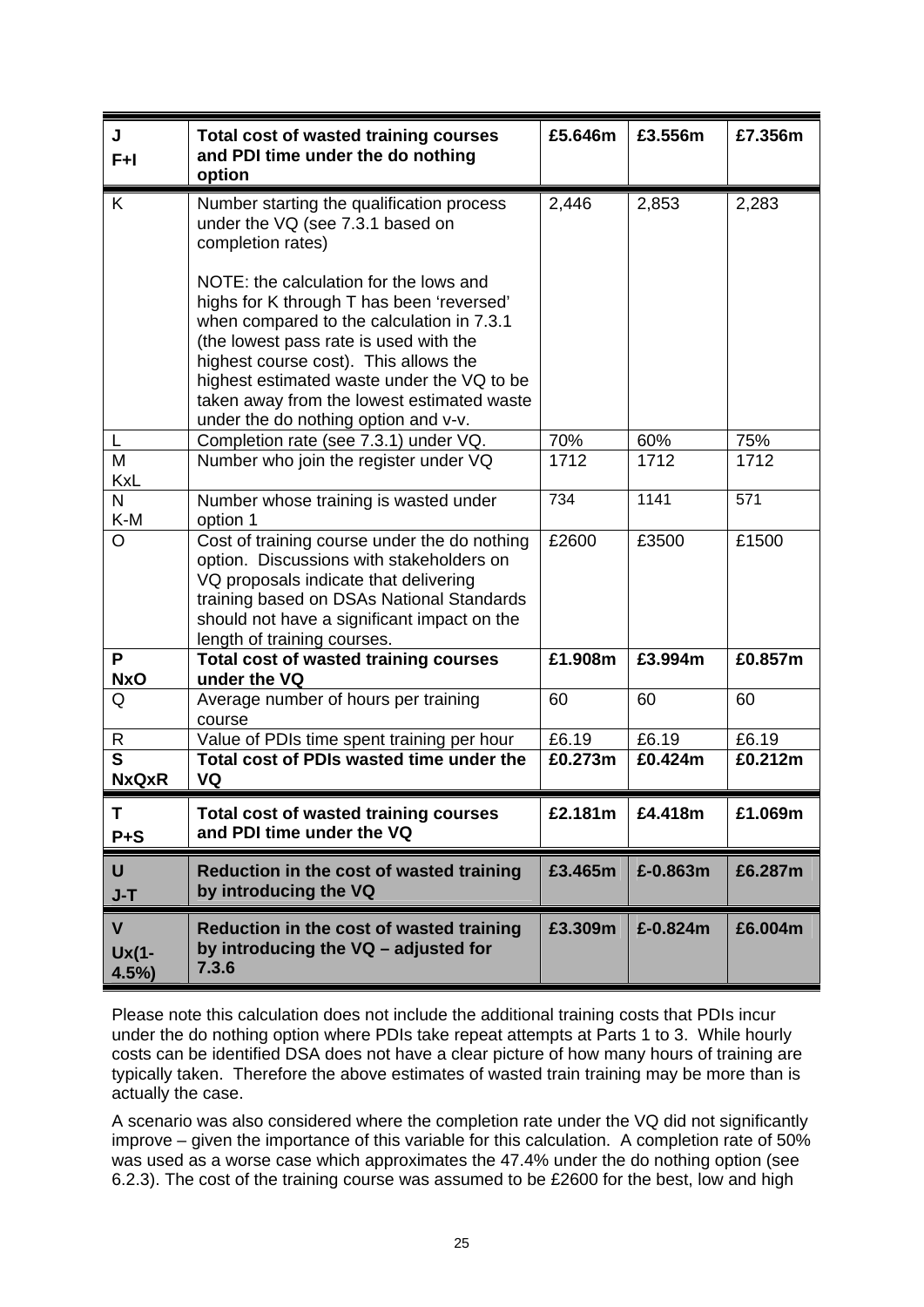| J<br>$F+I$                              | Total cost of wasted training courses<br>and PDI time under the do nothing<br>option                                                                                                                                                                                                                                                                    | £5.646m | £3.556m     | £7.356m |
|-----------------------------------------|---------------------------------------------------------------------------------------------------------------------------------------------------------------------------------------------------------------------------------------------------------------------------------------------------------------------------------------------------------|---------|-------------|---------|
| K                                       | Number starting the qualification process<br>under the VQ (see 7.3.1 based on<br>completion rates)                                                                                                                                                                                                                                                      | 2,446   | 2,853       | 2,283   |
|                                         | NOTE: the calculation for the lows and<br>highs for K through T has been 'reversed'<br>when compared to the calculation in 7.3.1<br>(the lowest pass rate is used with the<br>highest course cost). This allows the<br>highest estimated waste under the VQ to be<br>taken away from the lowest estimated waste<br>under the do nothing option and v-v. |         |             |         |
| L                                       | Completion rate (see 7.3.1) under VQ.                                                                                                                                                                                                                                                                                                                   | 70%     | 60%         | 75%     |
| M<br><b>KxL</b>                         | Number who join the register under VQ                                                                                                                                                                                                                                                                                                                   | 1712    | 1712        | 1712    |
| N<br>K-M                                | Number whose training is wasted under<br>option 1                                                                                                                                                                                                                                                                                                       | 734     | 1141        | 571     |
| O                                       | Cost of training course under the do nothing<br>option. Discussions with stakeholders on<br>VQ proposals indicate that delivering<br>training based on DSAs National Standards<br>should not have a significant impact on the<br>length of training courses.                                                                                            | £2600   | £3500       | £1500   |
| P<br><b>NxO</b>                         | <b>Total cost of wasted training courses</b><br>under the VQ                                                                                                                                                                                                                                                                                            | £1.908m | £3.994m     | £0.857m |
| Q                                       | Average number of hours per training<br>course                                                                                                                                                                                                                                                                                                          | 60      | 60          | 60      |
| R                                       | Value of PDIs time spent training per hour                                                                                                                                                                                                                                                                                                              | £6.19   | £6.19       | £6.19   |
| $\overline{\mathsf{s}}$<br><b>NxQxR</b> | Total cost of PDIs wasted time under the<br>VQ                                                                                                                                                                                                                                                                                                          | £0.273m | £0.424m     | £0.212m |
| L<br>$P + S$                            | <b>Total cost of wasted training courses</b><br>and PDI time under the VQ                                                                                                                                                                                                                                                                               | £2.181m | £4.418m     | £1.069m |
| U<br>$J-T$                              | Reduction in the cost of wasted training<br>by introducing the VQ                                                                                                                                                                                                                                                                                       | £3.465m | £-0.863m    | £6.287m |
| $\mathbf{V}$<br>Ux(1-<br>4.5%           | Reduction in the cost of wasted training<br>by introducing the VQ - adjusted for<br>7.3.6                                                                                                                                                                                                                                                               | £3.309m | £ $-0.824m$ | £6.004m |

Please note this calculation does not include the additional training costs that PDIs incur under the do nothing option where PDIs take repeat attempts at Parts 1 to 3. While hourly costs can be identified DSA does not have a clear picture of how many hours of training are typically taken. Therefore the above estimates of wasted train training may be more than is actually the case.

A scenario was also considered where the completion rate under the VQ did not significantly improve – given the importance of this variable for this calculation. A completion rate of 50% was used as a worse case which approximates the 47.4% under the do nothing option (see 6.2.3). The cost of the training course was assumed to be £2600 for the best, low and high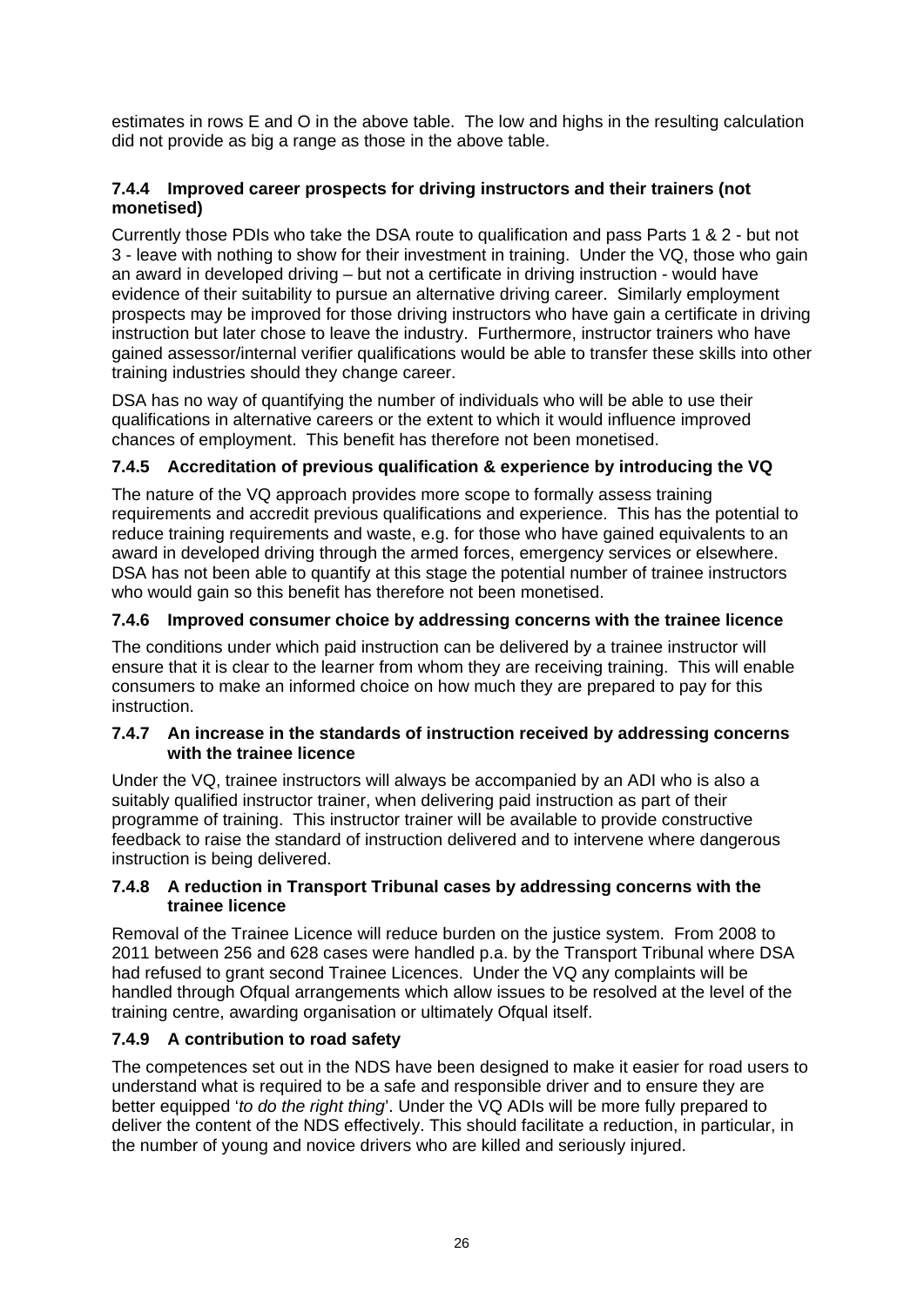estimates in rows E and O in the above table. The low and highs in the resulting calculation did not provide as big a range as those in the above table.

#### **7.4.4 Improved career prospects for driving instructors and their trainers (not monetised)**

Currently those PDIs who take the DSA route to qualification and pass Parts 1 & 2 - but not 3 - leave with nothing to show for their investment in training. Under the VQ, those who gain an award in developed driving – but not a certificate in driving instruction - would have evidence of their suitability to pursue an alternative driving career. Similarly employment prospects may be improved for those driving instructors who have gain a certificate in driving instruction but later chose to leave the industry. Furthermore, instructor trainers who have gained assessor/internal verifier qualifications would be able to transfer these skills into other training industries should they change career.

DSA has no way of quantifying the number of individuals who will be able to use their qualifications in alternative careers or the extent to which it would influence improved chances of employment. This benefit has therefore not been monetised.

## **7.4.5 Accreditation of previous qualification & experience by introducing the VQ**

The nature of the VQ approach provides more scope to formally assess training requirements and accredit previous qualifications and experience. This has the potential to reduce training requirements and waste, e.g. for those who have gained equivalents to an award in developed driving through the armed forces, emergency services or elsewhere. DSA has not been able to quantify at this stage the potential number of trainee instructors who would gain so this benefit has therefore not been monetised.

## **7.4.6 Improved consumer choice by addressing concerns with the trainee licence**

The conditions under which paid instruction can be delivered by a trainee instructor will ensure that it is clear to the learner from whom they are receiving training. This will enable consumers to make an informed choice on how much they are prepared to pay for this instruction.

#### **7.4.7 An increase in the standards of instruction received by addressing concerns with the trainee licence**

Under the VQ, trainee instructors will always be accompanied by an ADI who is also a suitably qualified instructor trainer, when delivering paid instruction as part of their programme of training. This instructor trainer will be available to provide constructive feedback to raise the standard of instruction delivered and to intervene where dangerous instruction is being delivered.

#### **7.4.8 A reduction in Transport Tribunal cases by addressing concerns with the trainee licence**

Removal of the Trainee Licence will reduce burden on the justice system. From 2008 to 2011 between 256 and 628 cases were handled p.a. by the Transport Tribunal where DSA had refused to grant second Trainee Licences. Under the VQ any complaints will be handled through Ofqual arrangements which allow issues to be resolved at the level of the training centre, awarding organisation or ultimately Ofqual itself.

## **7.4.9 A contribution to road safety**

The competences set out in the NDS have been designed to make it easier for road users to understand what is required to be a safe and responsible driver and to ensure they are better equipped '*to do the right thing*'. Under the VQ ADIs will be more fully prepared to deliver the content of the NDS effectively. This should facilitate a reduction, in particular, in the number of young and novice drivers who are killed and seriously injured.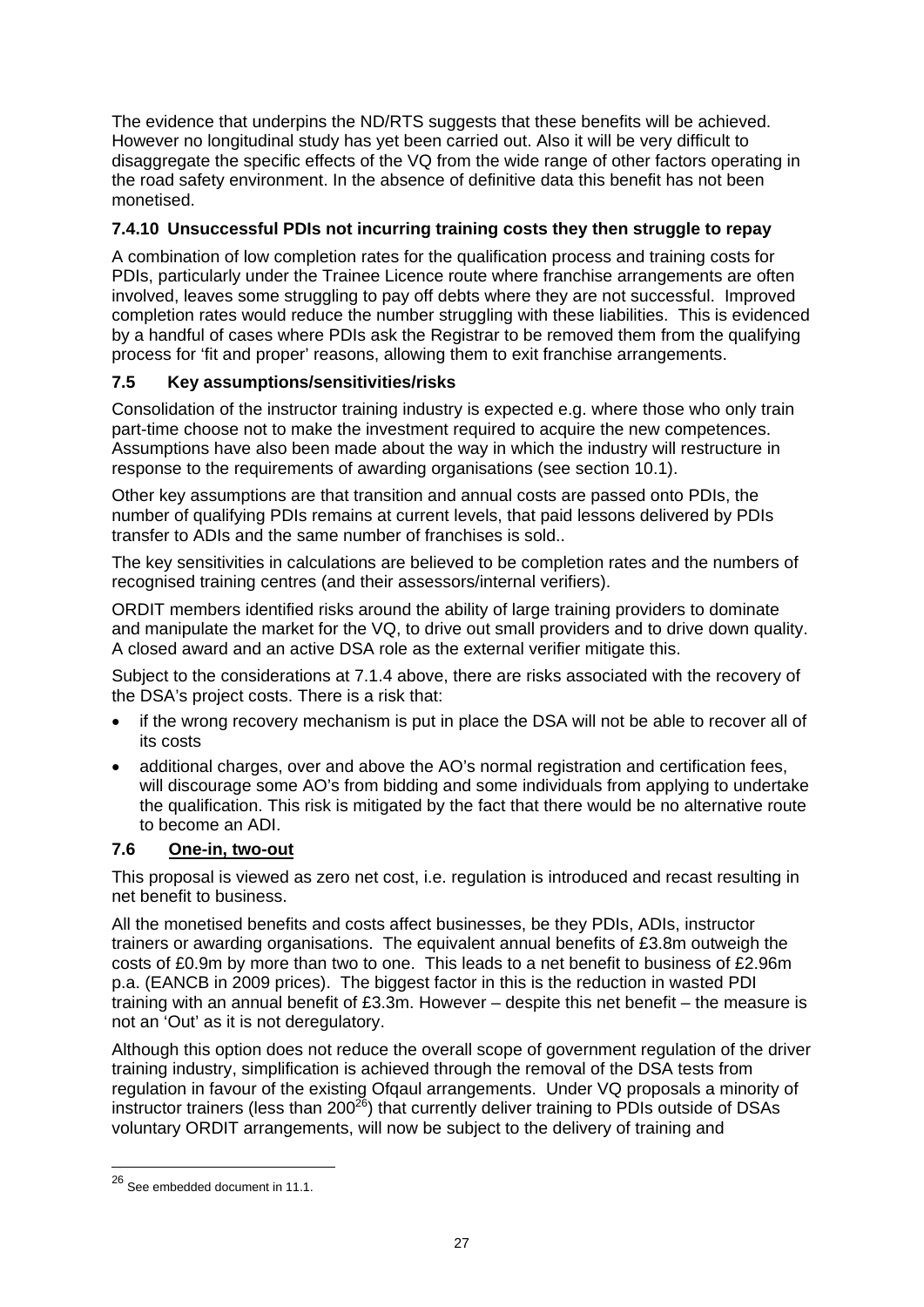The evidence that underpins the ND/RTS suggests that these benefits will be achieved. However no longitudinal study has yet been carried out. Also it will be very difficult to disaggregate the specific effects of the VQ from the wide range of other factors operating in the road safety environment. In the absence of definitive data this benefit has not been monetised.

# **7.4.10 Unsuccessful PDIs not incurring training costs they then struggle to repay**

A combination of low completion rates for the qualification process and training costs for PDIs, particularly under the Trainee Licence route where franchise arrangements are often involved, leaves some struggling to pay off debts where they are not successful. Improved completion rates would reduce the number struggling with these liabilities. This is evidenced by a handful of cases where PDIs ask the Registrar to be removed them from the qualifying process for 'fit and proper' reasons, allowing them to exit franchise arrangements.

# **7.5 Key assumptions/sensitivities/risks**

Consolidation of the instructor training industry is expected e.g. where those who only train part-time choose not to make the investment required to acquire the new competences. Assumptions have also been made about the way in which the industry will restructure in response to the requirements of awarding organisations (see section 10.1).

Other key assumptions are that transition and annual costs are passed onto PDIs, the number of qualifying PDIs remains at current levels, that paid lessons delivered by PDIs transfer to ADIs and the same number of franchises is sold..

The key sensitivities in calculations are believed to be completion rates and the numbers of recognised training centres (and their assessors/internal verifiers).

ORDIT members identified risks around the ability of large training providers to dominate and manipulate the market for the VQ, to drive out small providers and to drive down quality. A closed award and an active DSA role as the external verifier mitigate this.

Subject to the considerations at 7.1.4 above, there are risks associated with the recovery of the DSA's project costs. There is a risk that:

- if the wrong recovery mechanism is put in place the DSA will not be able to recover all of its costs
- additional charges, over and above the AO's normal registration and certification fees, will discourage some AO's from bidding and some individuals from applying to undertake the qualification. This risk is mitigated by the fact that there would be no alternative route to become an ADI.

## **7.6****One-in, two-out**

This proposal is viewed as zero net cost, i.e. regulation is introduced and recast resulting in net benefit to business.

All the monetised benefits and costs affect businesses, be they PDIs, ADIs, instructor trainers or awarding organisations. The equivalent annual benefits of £3.8m outweigh the costs of £0.9m by more than two to one. This leads to a net benefit to business of £2.96m p.a. (EANCB in 2009 prices). The biggest factor in this is the reduction in wasted PDI training with an annual benefit of £3.3m. However – despite this net benefit – the measure is not an 'Out' as it is not deregulatory.

Although this option does not reduce the overall scope of government regulation of the driver training industry, simplification is achieved through the removal of the DSA tests from regulation in favour of the existing Ofqaul arrangements. Under VQ proposals a minority of instructor trainers (less than 200 $^{26}$ ) that currently deliver training to PDIs outside of DSAs voluntary ORDIT arrangements, will now be subject to the delivery of training and

1

<sup>26</sup> See embedded document in 11.1.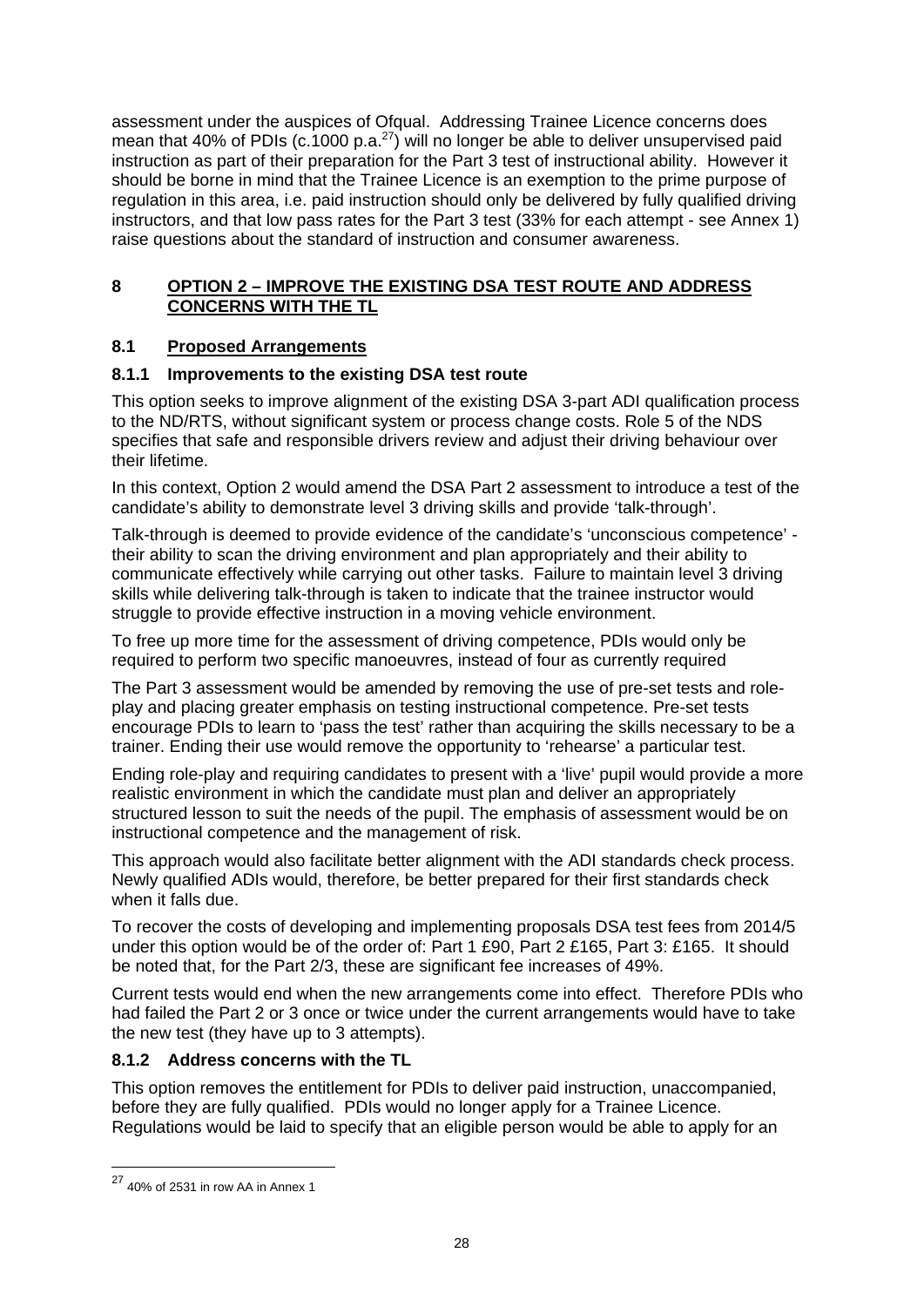assessment under the auspices of Ofqual. Addressing Trainee Licence concerns does mean that 40% of PDIs (c.1000 p.a. $^{27}$ ) will no longer be able to deliver unsupervised paid instruction as part of their preparation for the Part 3 test of instructional ability. However it should be borne in mind that the Trainee Licence is an exemption to the prime purpose of regulation in this area, i.e. paid instruction should only be delivered by fully qualified driving instructors, and that low pass rates for the Part 3 test (33% for each attempt - see Annex 1) raise questions about the standard of instruction and consumer awareness.

# **8 OPTION 2 – IMPROVE THE EXISTING DSA TEST ROUTE AND ADDRESS CONCERNS WITH THE TL**

# **8.1 Proposed Arrangements**

# **8.1.1 Improvements to the existing DSA test route**

This option seeks to improve alignment of the existing DSA 3-part ADI qualification process to the ND/RTS, without significant system or process change costs. Role 5 of the NDS specifies that safe and responsible drivers review and adjust their driving behaviour over their lifetime.

In this context, Option 2 would amend the DSA Part 2 assessment to introduce a test of the candidate's ability to demonstrate level 3 driving skills and provide 'talk-through'.

Talk-through is deemed to provide evidence of the candidate's 'unconscious competence' their ability to scan the driving environment and plan appropriately and their ability to communicate effectively while carrying out other tasks. Failure to maintain level 3 driving skills while delivering talk-through is taken to indicate that the trainee instructor would struggle to provide effective instruction in a moving vehicle environment.

To free up more time for the assessment of driving competence, PDIs would only be required to perform two specific manoeuvres, instead of four as currently required

The Part 3 assessment would be amended by removing the use of pre-set tests and roleplay and placing greater emphasis on testing instructional competence. Pre-set tests encourage PDIs to learn to 'pass the test' rather than acquiring the skills necessary to be a trainer. Ending their use would remove the opportunity to 'rehearse' a particular test.

Ending role-play and requiring candidates to present with a 'live' pupil would provide a more realistic environment in which the candidate must plan and deliver an appropriately structured lesson to suit the needs of the pupil. The emphasis of assessment would be on instructional competence and the management of risk.

This approach would also facilitate better alignment with the ADI standards check process. Newly qualified ADIs would, therefore, be better prepared for their first standards check when it falls due.

To recover the costs of developing and implementing proposals DSA test fees from 2014/5 under this option would be of the order of: Part 1 £90, Part 2 £165, Part 3: £165. It should be noted that, for the Part 2/3, these are significant fee increases of 49%.

Current tests would end when the new arrangements come into effect. Therefore PDIs who had failed the Part 2 or 3 once or twice under the current arrangements would have to take the new test (they have up to 3 attempts).

## **8.1.2 Address concerns with the TL**

This option removes the entitlement for PDIs to deliver paid instruction, unaccompanied, before they are fully qualified. PDIs would no longer apply for a Trainee Licence. Regulations would be laid to specify that an eligible person would be able to apply for an

1

<sup>27 40%</sup> of 2531 in row AA in Annex 1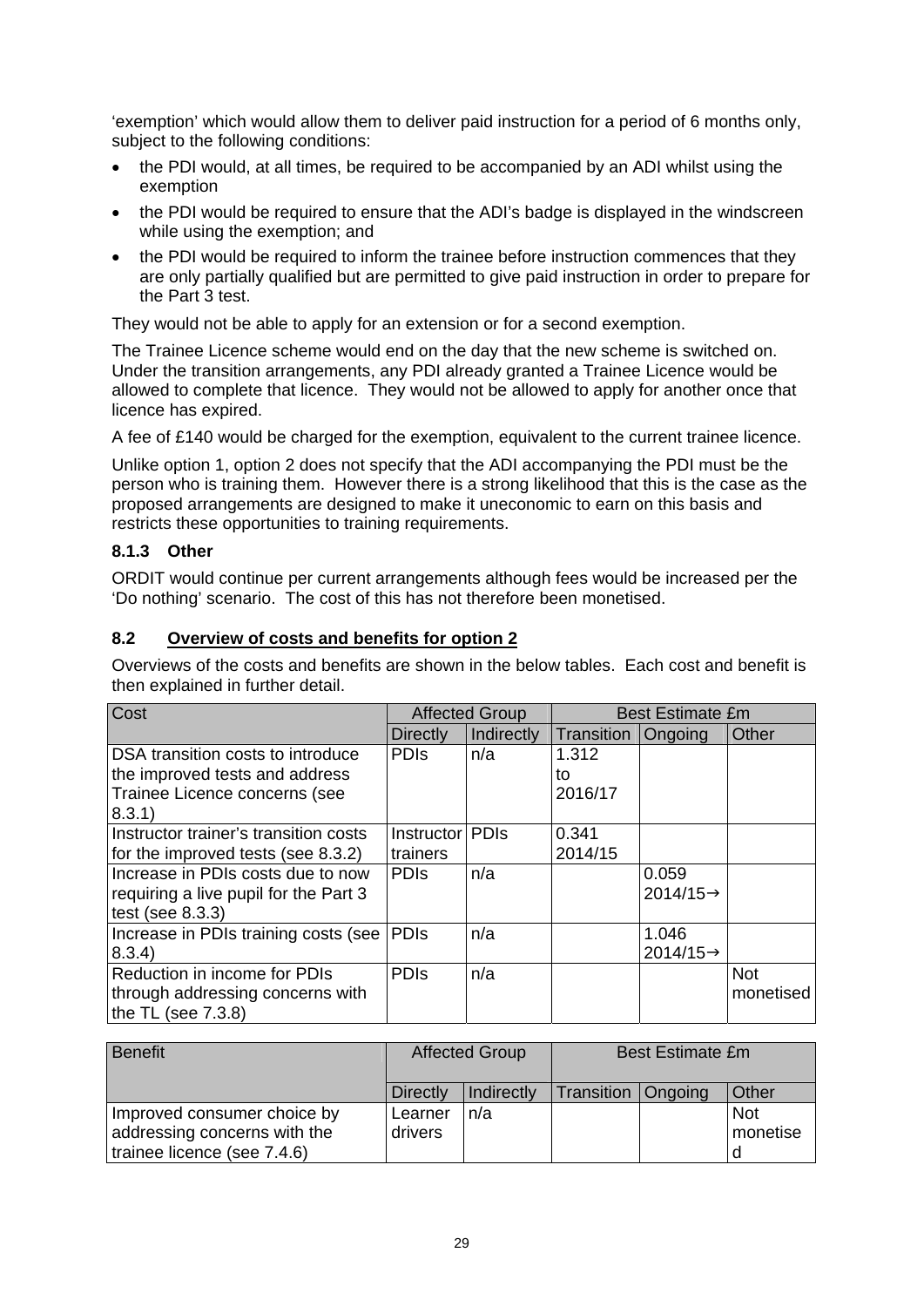'exemption' which would allow them to deliver paid instruction for a period of 6 months only, subject to the following conditions:

- the PDI would, at all times, be required to be accompanied by an ADI whilst using the exemption
- the PDI would be required to ensure that the ADI's badge is displayed in the windscreen while using the exemption; and
- the PDI would be required to inform the trainee before instruction commences that they are only partially qualified but are permitted to give paid instruction in order to prepare for the Part 3 test.

They would not be able to apply for an extension or for a second exemption.

The Trainee Licence scheme would end on the day that the new scheme is switched on. Under the transition arrangements, any PDI already granted a Trainee Licence would be allowed to complete that licence. They would not be allowed to apply for another once that licence has expired.

A fee of £140 would be charged for the exemption, equivalent to the current trainee licence.

Unlike option 1, option 2 does not specify that the ADI accompanying the PDI must be the person who is training them. However there is a strong likelihood that this is the case as the proposed arrangements are designed to make it uneconomic to earn on this basis and restricts these opportunities to training requirements.

#### **8.1.3 Other**

ORDIT would continue per current arrangements although fees would be increased per the 'Do nothing' scenario. The cost of this has not therefore been monetised.

#### **8.2 Overview of costs and benefits for option 2**

Overviews of the costs and benefits are shown in the below tables. Each cost and benefit is then explained in further detail.

| Cost                                  | <b>Affected Group</b> |            | <b>Best Estimate £m</b> |                       |            |
|---------------------------------------|-----------------------|------------|-------------------------|-----------------------|------------|
|                                       | Directly              | Indirectly | Transition              | Ongoing               | Other      |
| DSA transition costs to introduce     | <b>PDIS</b>           | n/a        | 1.312                   |                       |            |
| the improved tests and address        |                       |            | to                      |                       |            |
| Trainee Licence concerns (see         |                       |            | 2016/17                 |                       |            |
| 8.3.1)                                |                       |            |                         |                       |            |
| Instructor trainer's transition costs | Instructor   PDIs     |            | 0.341                   |                       |            |
| for the improved tests (see 8.3.2)    | trainers              |            | 2014/15                 |                       |            |
| Increase in PDIs costs due to now     | <b>PDIS</b>           | n/a        |                         | 0.059                 |            |
| requiring a live pupil for the Part 3 |                       |            |                         | $2014/15 \rightarrow$ |            |
| test (see $8.3.3$ )                   |                       |            |                         |                       |            |
| Increase in PDIs training costs (see  | <b>PDIS</b>           | n/a        |                         | 1.046                 |            |
| 8.3.4)                                |                       |            |                         | $2014/15 \rightarrow$ |            |
| Reduction in income for PDIs          | <b>PDIS</b>           | n/a        |                         |                       | <b>Not</b> |
| through addressing concerns with      |                       |            |                         |                       | monetised  |
| the TL (see $7.3.8$ )                 |                       |            |                         |                       |            |

| Benefit                      | <b>Affected Group</b> |            | <b>Best Estimate £m</b> |  |            |
|------------------------------|-----------------------|------------|-------------------------|--|------------|
|                              | <b>Directly</b>       | Indirectly | Transition   Ongoing    |  | Other      |
| Improved consumer choice by  | Learner               | n/a        |                         |  | <b>Not</b> |
| addressing concerns with the | drivers               |            |                         |  | monetise   |
| trainee licence (see 7.4.6)  |                       |            |                         |  |            |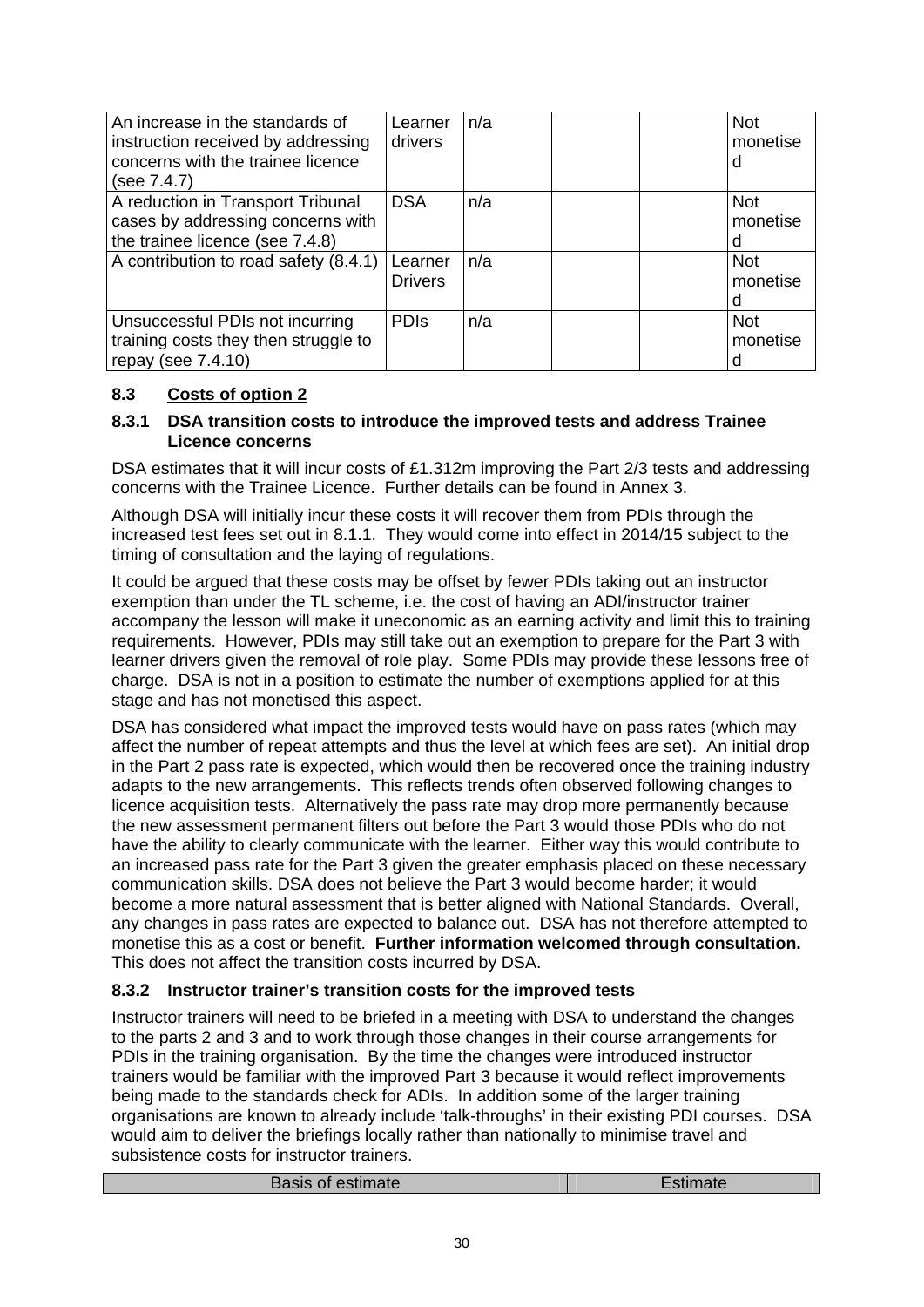| An increase in the standards of<br>instruction received by addressing<br>concerns with the trainee licence<br>(see 7.4.7) | Learner<br>drivers        | n/a | <b>Not</b><br>monetise<br>d |
|---------------------------------------------------------------------------------------------------------------------------|---------------------------|-----|-----------------------------|
| A reduction in Transport Tribunal<br>cases by addressing concerns with<br>the trainee licence (see 7.4.8)                 | <b>DSA</b>                | n/a | <b>Not</b><br>monetise<br>d |
| A contribution to road safety (8.4.1)                                                                                     | Learner<br><b>Drivers</b> | n/a | <b>Not</b><br>monetise<br>d |
| Unsuccessful PDIs not incurring<br>training costs they then struggle to<br>repay (see $7.4.10$ )                          | <b>PDIS</b>               | n/a | <b>Not</b><br>monetise<br>d |

# **8.3 Costs of option 2**

#### **8.3.1 DSA transition costs to introduce the improved tests and address Trainee Licence concerns**

DSA estimates that it will incur costs of £1.312m improving the Part 2/3 tests and addressing concerns with the Trainee Licence. Further details can be found in Annex 3.

Although DSA will initially incur these costs it will recover them from PDIs through the increased test fees set out in 8.1.1. They would come into effect in 2014/15 subject to the timing of consultation and the laying of regulations.

It could be argued that these costs may be offset by fewer PDIs taking out an instructor exemption than under the TL scheme, i.e. the cost of having an ADI/instructor trainer accompany the lesson will make it uneconomic as an earning activity and limit this to training requirements. However, PDIs may still take out an exemption to prepare for the Part 3 with learner drivers given the removal of role play. Some PDIs may provide these lessons free of charge. DSA is not in a position to estimate the number of exemptions applied for at this stage and has not monetised this aspect.

DSA has considered what impact the improved tests would have on pass rates (which may affect the number of repeat attempts and thus the level at which fees are set). An initial drop in the Part 2 pass rate is expected, which would then be recovered once the training industry adapts to the new arrangements. This reflects trends often observed following changes to licence acquisition tests. Alternatively the pass rate may drop more permanently because the new assessment permanent filters out before the Part 3 would those PDIs who do not have the ability to clearly communicate with the learner. Either way this would contribute to an increased pass rate for the Part 3 given the greater emphasis placed on these necessary communication skills. DSA does not believe the Part 3 would become harder; it would become a more natural assessment that is better aligned with National Standards. Overall, any changes in pass rates are expected to balance out. DSA has not therefore attempted to monetise this as a cost or benefit. **Further information welcomed through consultation.**  This does not affect the transition costs incurred by DSA.

## **8.3.2 Instructor trainer's transition costs for the improved tests**

Instructor trainers will need to be briefed in a meeting with DSA to understand the changes to the parts 2 and 3 and to work through those changes in their course arrangements for PDIs in the training organisation. By the time the changes were introduced instructor trainers would be familiar with the improved Part 3 because it would reflect improvements being made to the standards check for ADIs. In addition some of the larger training organisations are known to already include 'talk-throughs' in their existing PDI courses. DSA would aim to deliver the briefings locally rather than nationally to minimise travel and subsistence costs for instructor trainers.

|  | <b>Basis of estimate</b> | Estimate |
|--|--------------------------|----------|
|--|--------------------------|----------|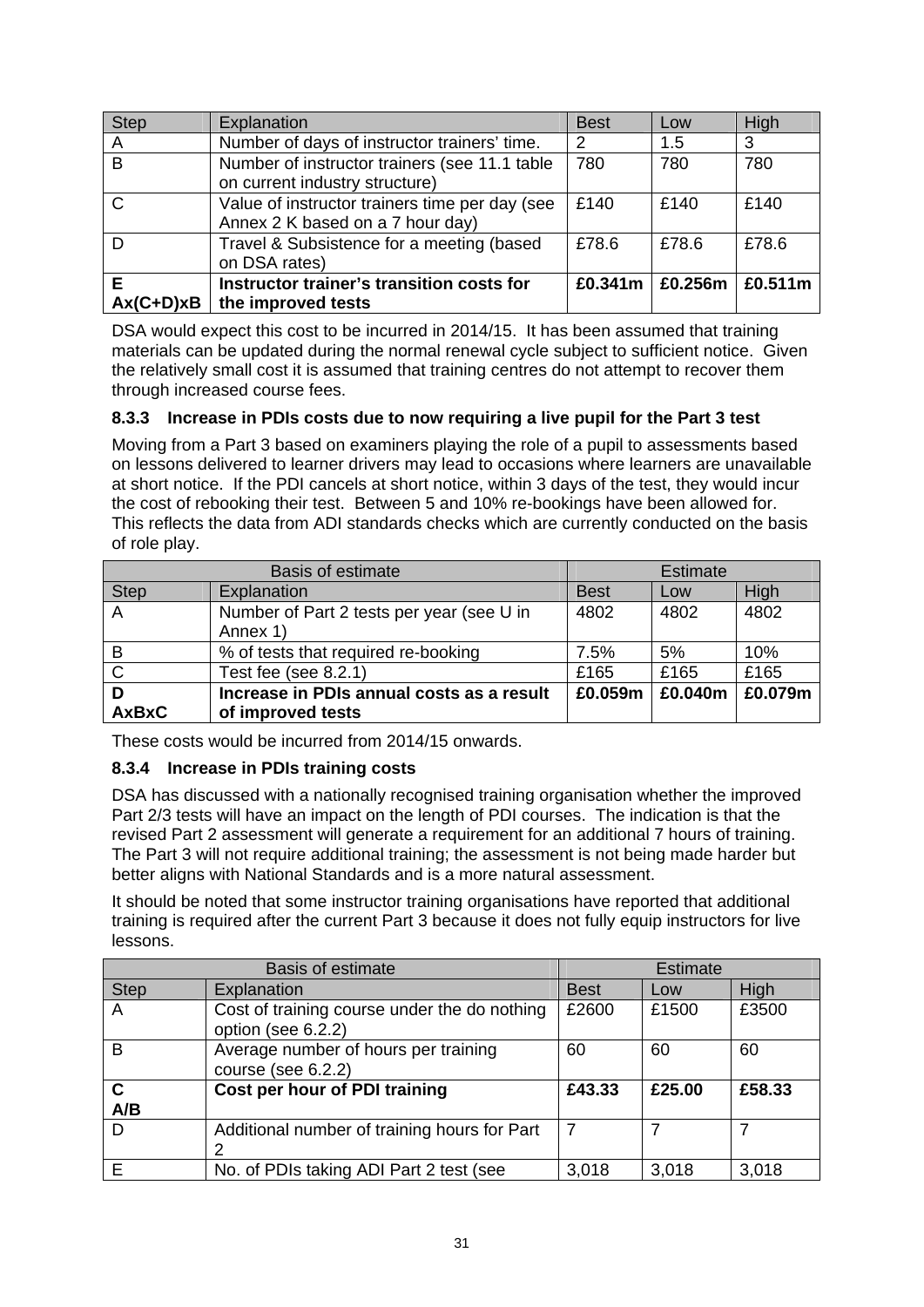| Step             | Explanation                                                                        | <b>Best</b> | Low     | High    |
|------------------|------------------------------------------------------------------------------------|-------------|---------|---------|
| A                | Number of days of instructor trainers' time.                                       | 2           | 1.5     | 3       |
| $\overline{B}$   | Number of instructor trainers (see 11.1 table<br>on current industry structure)    | 780         | 780     | 780     |
| $\mathcal{C}$    | Value of instructor trainers time per day (see<br>Annex 2 K based on a 7 hour day) | £140        | £140    | £140    |
| D                | Travel & Subsistence for a meeting (based<br>on DSA rates)                         | £78.6       | £78.6   | £78.6   |
| E<br>$Ax(C+D)xB$ | Instructor trainer's transition costs for<br>the improved tests                    | £0.341m     | £0.256m | £0.511m |

DSA would expect this cost to be incurred in 2014/15. It has been assumed that training materials can be updated during the normal renewal cycle subject to sufficient notice. Given the relatively small cost it is assumed that training centres do not attempt to recover them through increased course fees.

## **8.3.3 Increase in PDIs costs due to now requiring a live pupil for the Part 3 test**

Moving from a Part 3 based on examiners playing the role of a pupil to assessments based on lessons delivered to learner drivers may lead to occasions where learners are unavailable at short notice. If the PDI cancels at short notice, within 3 days of the test, they would incur the cost of rebooking their test. Between 5 and 10% re-bookings have been allowed for. This reflects the data from ADI standards checks which are currently conducted on the basis of role play.

| <b>Basis of estimate</b> |                                           | <b>Estimate</b> |         |         |
|--------------------------|-------------------------------------------|-----------------|---------|---------|
| <b>Step</b>              | Explanation                               | <b>Best</b>     | Low     | High    |
| $\overline{A}$           | Number of Part 2 tests per year (see U in | 4802            | 4802    | 4802    |
|                          | Annex 1)                                  |                 |         |         |
| B                        | % of tests that required re-booking       | 7.5%            | 5%      | 10%     |
| $\mathsf{C}$             | Test fee (see $8.2.1$ )                   | £165            | £165    | £165    |
| D                        | Increase in PDIs annual costs as a result | £0.059m         | £0.040m | £0.079m |
| <b>AxBxC</b>             | of improved tests                         |                 |         |         |

These costs would be incurred from 2014/15 onwards.

## **8.3.4 Increase in PDIs training costs**

DSA has discussed with a nationally recognised training organisation whether the improved Part 2/3 tests will have an impact on the length of PDI courses. The indication is that the revised Part 2 assessment will generate a requirement for an additional 7 hours of training. The Part 3 will not require additional training; the assessment is not being made harder but better aligns with National Standards and is a more natural assessment.

It should be noted that some instructor training organisations have reported that additional training is required after the current Part 3 because it does not fully equip instructors for live lessons.

|                    | <b>Basis of estimate</b>                                           |                | <b>Estimate</b> |        |
|--------------------|--------------------------------------------------------------------|----------------|-----------------|--------|
| <b>Step</b>        | Explanation                                                        | <b>Best</b>    | Low             | High   |
| $\mathsf{A}$       | Cost of training course under the do nothing<br>option (see 6.2.2) | £2600          | £1500           | £3500  |
| B                  | Average number of hours per training<br>course (see $6.2.2$ )      | 60             | 60              | 60     |
| $\mathbf c$<br>A/B | Cost per hour of PDI training                                      | £43.33         | £25.00          | £58.33 |
| D                  | Additional number of training hours for Part                       | $\overline{7}$ |                 |        |
| E                  | No. of PDIs taking ADI Part 2 test (see                            | 3,018          | 3,018           | 3,018  |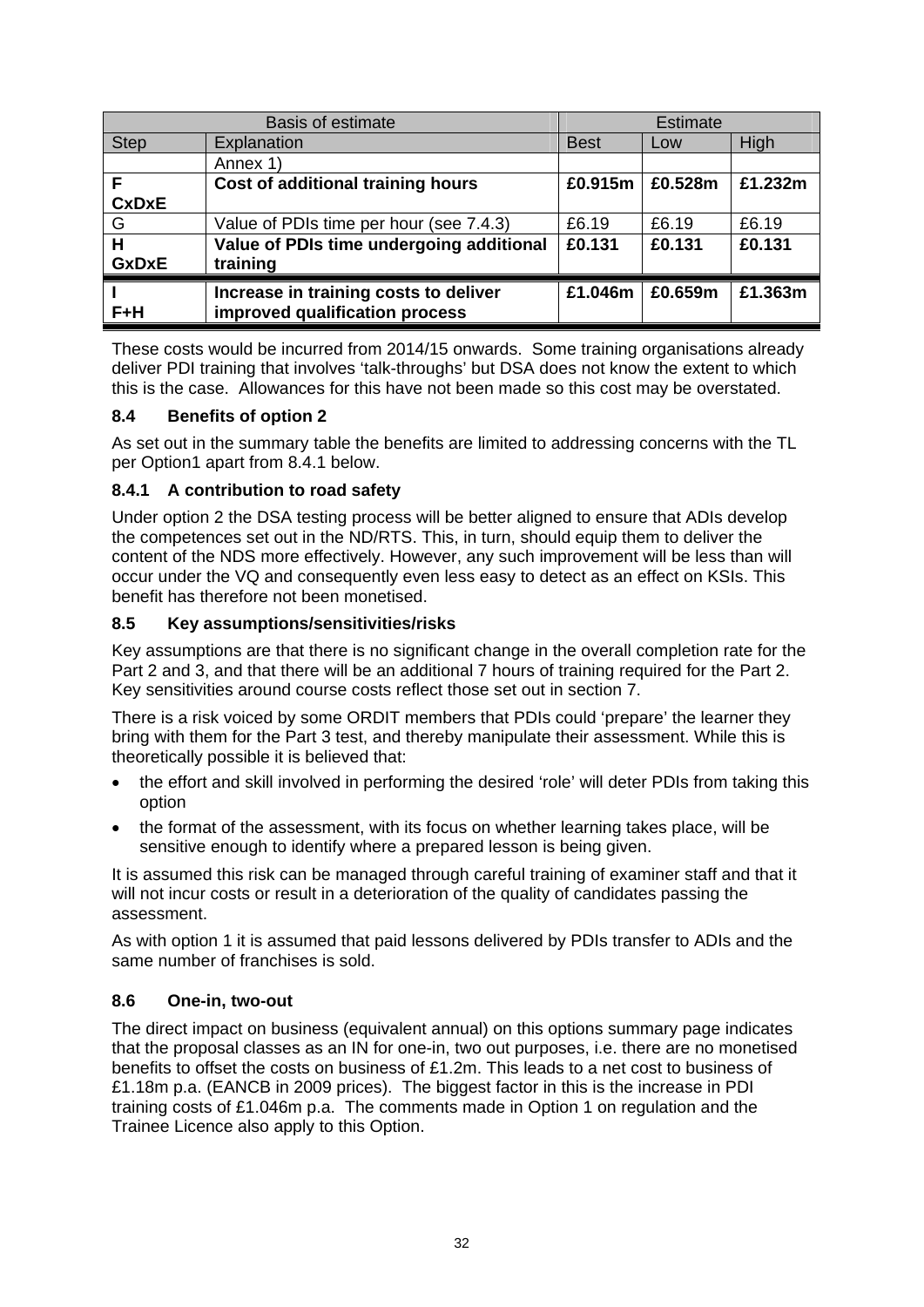|              | <b>Basis of estimate</b>                 |             | <b>Estimate</b> |         |
|--------------|------------------------------------------|-------------|-----------------|---------|
| <b>Step</b>  | Explanation                              | <b>Best</b> | Low             | High    |
|              | Annex 1)                                 |             |                 |         |
| F            | Cost of additional training hours        | £0.915m     | £0.528m         | £1.232m |
| <b>CxDxE</b> |                                          |             |                 |         |
| G            | Value of PDIs time per hour (see 7.4.3)  | £6.19       | £6.19           | £6.19   |
| H            | Value of PDIs time undergoing additional | £0.131      | £0.131          | £0.131  |
| <b>GxDxE</b> | training                                 |             |                 |         |
|              | Increase in training costs to deliver    | £1.046m     | £0.659m         | £1.363m |
| $F+H$        | improved qualification process           |             |                 |         |

These costs would be incurred from 2014/15 onwards. Some training organisations already deliver PDI training that involves 'talk-throughs' but DSA does not know the extent to which this is the case. Allowances for this have not been made so this cost may be overstated.

#### **8.4 Benefits of option 2**

As set out in the summary table the benefits are limited to addressing concerns with the TL per Option1 apart from 8.4.1 below.

#### **8.4.1 A contribution to road safety**

Under option 2 the DSA testing process will be better aligned to ensure that ADIs develop the competences set out in the ND/RTS. This, in turn, should equip them to deliver the content of the NDS more effectively. However, any such improvement will be less than will occur under the VQ and consequently even less easy to detect as an effect on KSIs. This benefit has therefore not been monetised.

#### **8.5 Key assumptions/sensitivities/risks**

Key assumptions are that there is no significant change in the overall completion rate for the Part 2 and 3, and that there will be an additional 7 hours of training required for the Part 2. Key sensitivities around course costs reflect those set out in section 7.

There is a risk voiced by some ORDIT members that PDIs could 'prepare' the learner they bring with them for the Part 3 test, and thereby manipulate their assessment. While this is theoretically possible it is believed that:

- the effort and skill involved in performing the desired 'role' will deter PDIs from taking this option
- the format of the assessment, with its focus on whether learning takes place, will be sensitive enough to identify where a prepared lesson is being given.

It is assumed this risk can be managed through careful training of examiner staff and that it will not incur costs or result in a deterioration of the quality of candidates passing the assessment.

As with option 1 it is assumed that paid lessons delivered by PDIs transfer to ADIs and the same number of franchises is sold.

#### **8.6 One-in, two-out**

The direct impact on business (equivalent annual) on this options summary page indicates that the proposal classes as an IN for one-in, two out purposes, i.e. there are no monetised benefits to offset the costs on business of £1.2m. This leads to a net cost to business of £1.18m p.a. (EANCB in 2009 prices). The biggest factor in this is the increase in PDI training costs of £1.046m p.a. The comments made in Option 1 on regulation and the Trainee Licence also apply to this Option.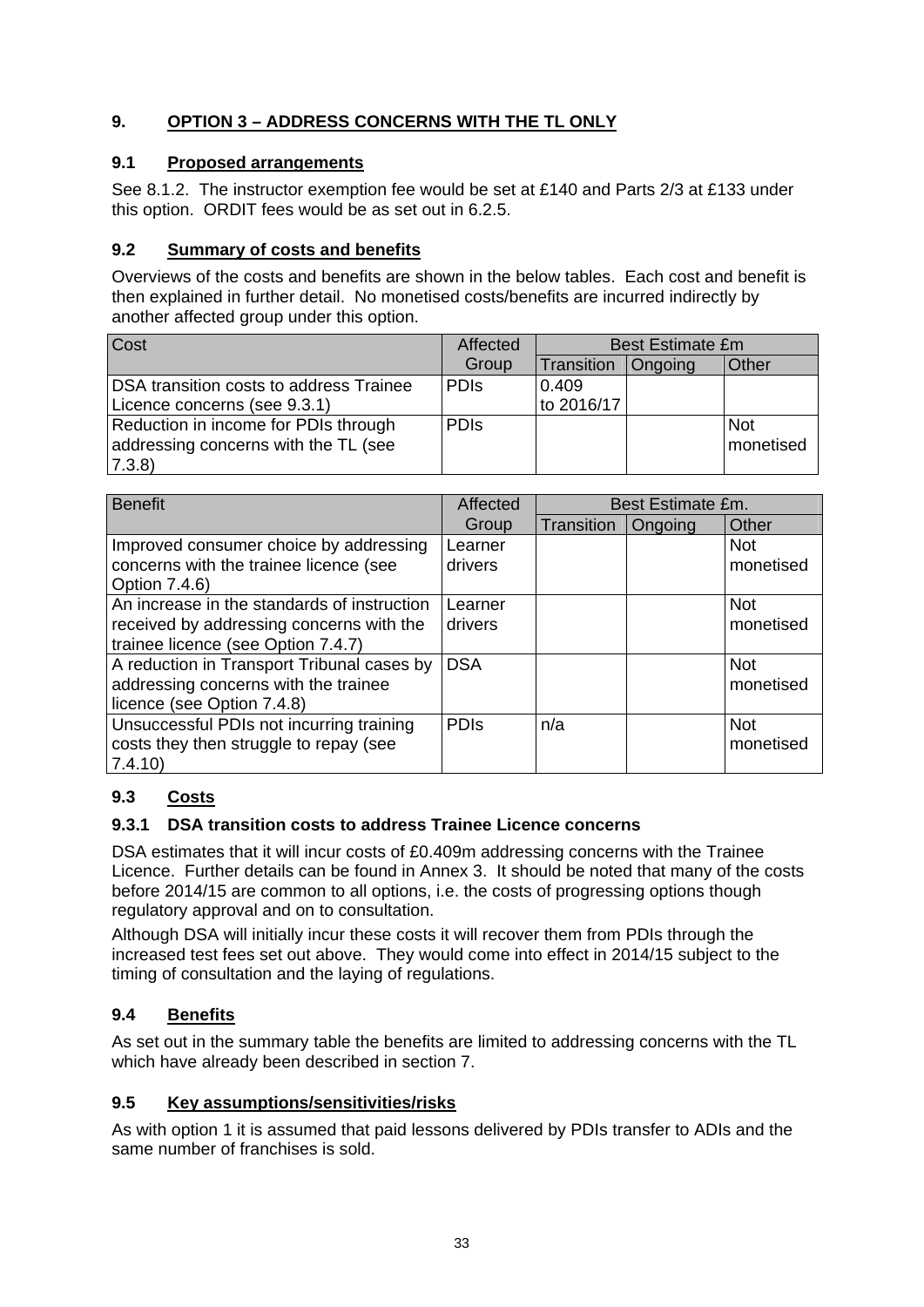# **9. OPTION 3 – ADDRESS CONCERNS WITH THE TL ONLY**

# **9.1 Proposed arrangements**

See 8.1.2. The instructor exemption fee would be set at £140 and Parts 2/3 at £133 under this option. ORDIT fees would be as set out in 6.2.5.

# **9.2 Summary of costs and benefits**

Overviews of the costs and benefits are shown in the below tables. Each cost and benefit is then explained in further detail. No monetised costs/benefits are incurred indirectly by another affected group under this option.

| Cost                                    | Affected    | <b>Best Estimate £m</b> |                |            |
|-----------------------------------------|-------------|-------------------------|----------------|------------|
|                                         | Group       | Transition              | <b>Ongoing</b> | Other      |
| DSA transition costs to address Trainee | <b>PDIS</b> | 0.409                   |                |            |
| Licence concerns (see 9.3.1)            |             | to 2016/17              |                |            |
| Reduction in income for PDIs through    | <b>PDIS</b> |                         |                | <b>Not</b> |
| addressing concerns with the TL (see    |             |                         |                | monetised  |
| 7.3.8                                   |             |                         |                |            |

| <b>Benefit</b>                                                                                                                | Affected           | Best Estimate £m. |         |                         |
|-------------------------------------------------------------------------------------------------------------------------------|--------------------|-------------------|---------|-------------------------|
|                                                                                                                               | Group              | Transition        | Ongoing | Other                   |
| Improved consumer choice by addressing<br>concerns with the trainee licence (see<br>Option 7.4.6)                             | Learner<br>drivers |                   |         | <b>Not</b><br>monetised |
| An increase in the standards of instruction<br>received by addressing concerns with the<br>trainee licence (see Option 7.4.7) | Learner<br>drivers |                   |         | <b>Not</b><br>monetised |
| A reduction in Transport Tribunal cases by<br>addressing concerns with the trainee<br>licence (see Option 7.4.8)              | <b>DSA</b>         |                   |         | <b>Not</b><br>monetised |
| Unsuccessful PDIs not incurring training<br>costs they then struggle to repay (see<br>7.4.10                                  | <b>PDIS</b>        | n/a               |         | <b>Not</b><br>monetised |

# **9.3 Costs**

# **9.3.1 DSA transition costs to address Trainee Licence concerns**

DSA estimates that it will incur costs of £0.409m addressing concerns with the Trainee Licence. Further details can be found in Annex 3. It should be noted that many of the costs before 2014/15 are common to all options, i.e. the costs of progressing options though regulatory approval and on to consultation.

Although DSA will initially incur these costs it will recover them from PDIs through the increased test fees set out above. They would come into effect in 2014/15 subject to the timing of consultation and the laying of regulations.

# **9.4 Benefits**

As set out in the summary table the benefits are limited to addressing concerns with the TL which have already been described in section 7.

## **9.5 Key assumptions/sensitivities/risks**

As with option 1 it is assumed that paid lessons delivered by PDIs transfer to ADIs and the same number of franchises is sold.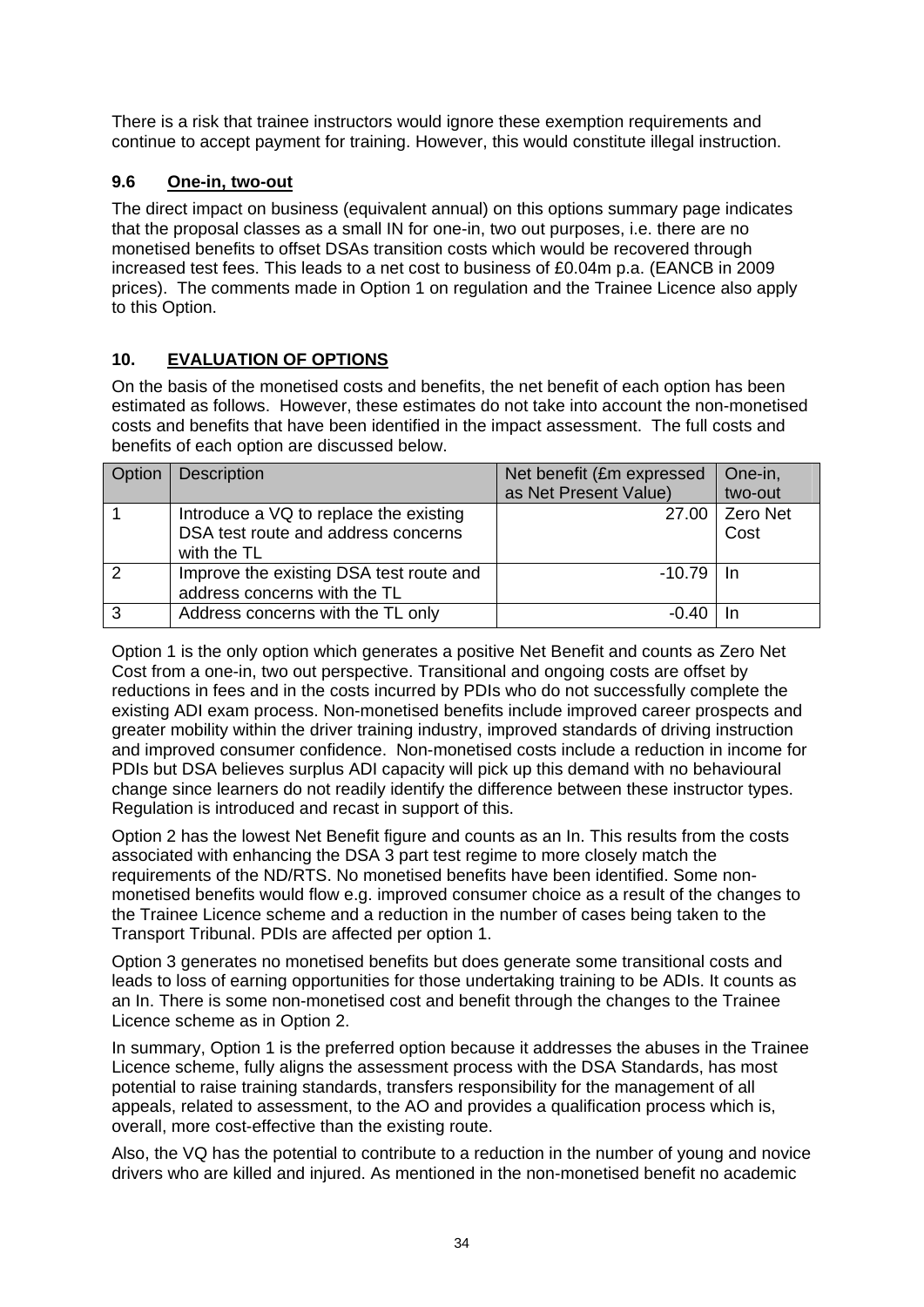There is a risk that trainee instructors would ignore these exemption requirements and continue to accept payment for training. However, this would constitute illegal instruction.

## **9.6 One-in, two-out**

The direct impact on business (equivalent annual) on this options summary page indicates that the proposal classes as a small IN for one-in, two out purposes, i.e. there are no monetised benefits to offset DSAs transition costs which would be recovered through increased test fees. This leads to a net cost to business of £0.04m p.a. (EANCB in 2009 prices). The comments made in Option 1 on regulation and the Trainee Licence also apply to this Option.

# **10. EVALUATION OF OPTIONS**

On the basis of the monetised costs and benefits, the net benefit of each option has been estimated as follows. However, these estimates do not take into account the non-monetised costs and benefits that have been identified in the impact assessment. The full costs and benefits of each option are discussed below.

| Option | <b>Description</b>                      | Net benefit (£m expressed | One-in,  |
|--------|-----------------------------------------|---------------------------|----------|
|        |                                         | as Net Present Value)     | two-out  |
|        | Introduce a VQ to replace the existing  | 27.00                     | Zero Net |
|        | DSA test route and address concerns     |                           | Cost     |
|        | with the TL                             |                           |          |
| 2      | Improve the existing DSA test route and | $-10.79$ I                | - In     |
|        | address concerns with the TL            |                           |          |
| 3      | Address concerns with the TL only       | -0.40                     |          |

Option 1 is the only option which generates a positive Net Benefit and counts as Zero Net Cost from a one-in, two out perspective. Transitional and ongoing costs are offset by reductions in fees and in the costs incurred by PDIs who do not successfully complete the existing ADI exam process. Non-monetised benefits include improved career prospects and greater mobility within the driver training industry, improved standards of driving instruction and improved consumer confidence. Non-monetised costs include a reduction in income for PDIs but DSA believes surplus ADI capacity will pick up this demand with no behavioural change since learners do not readily identify the difference between these instructor types. Regulation is introduced and recast in support of this.

Option 2 has the lowest Net Benefit figure and counts as an In. This results from the costs associated with enhancing the DSA 3 part test regime to more closely match the requirements of the ND/RTS. No monetised benefits have been identified. Some nonmonetised benefits would flow e.g. improved consumer choice as a result of the changes to the Trainee Licence scheme and a reduction in the number of cases being taken to the Transport Tribunal. PDIs are affected per option 1.

Option 3 generates no monetised benefits but does generate some transitional costs and leads to loss of earning opportunities for those undertaking training to be ADIs. It counts as an In. There is some non-monetised cost and benefit through the changes to the Trainee Licence scheme as in Option 2.

In summary, Option 1 is the preferred option because it addresses the abuses in the Trainee Licence scheme, fully aligns the assessment process with the DSA Standards, has most potential to raise training standards, transfers responsibility for the management of all appeals, related to assessment, to the AO and provides a qualification process which is, overall, more cost-effective than the existing route.

Also, the VQ has the potential to contribute to a reduction in the number of young and novice drivers who are killed and injured. As mentioned in the non-monetised benefit no academic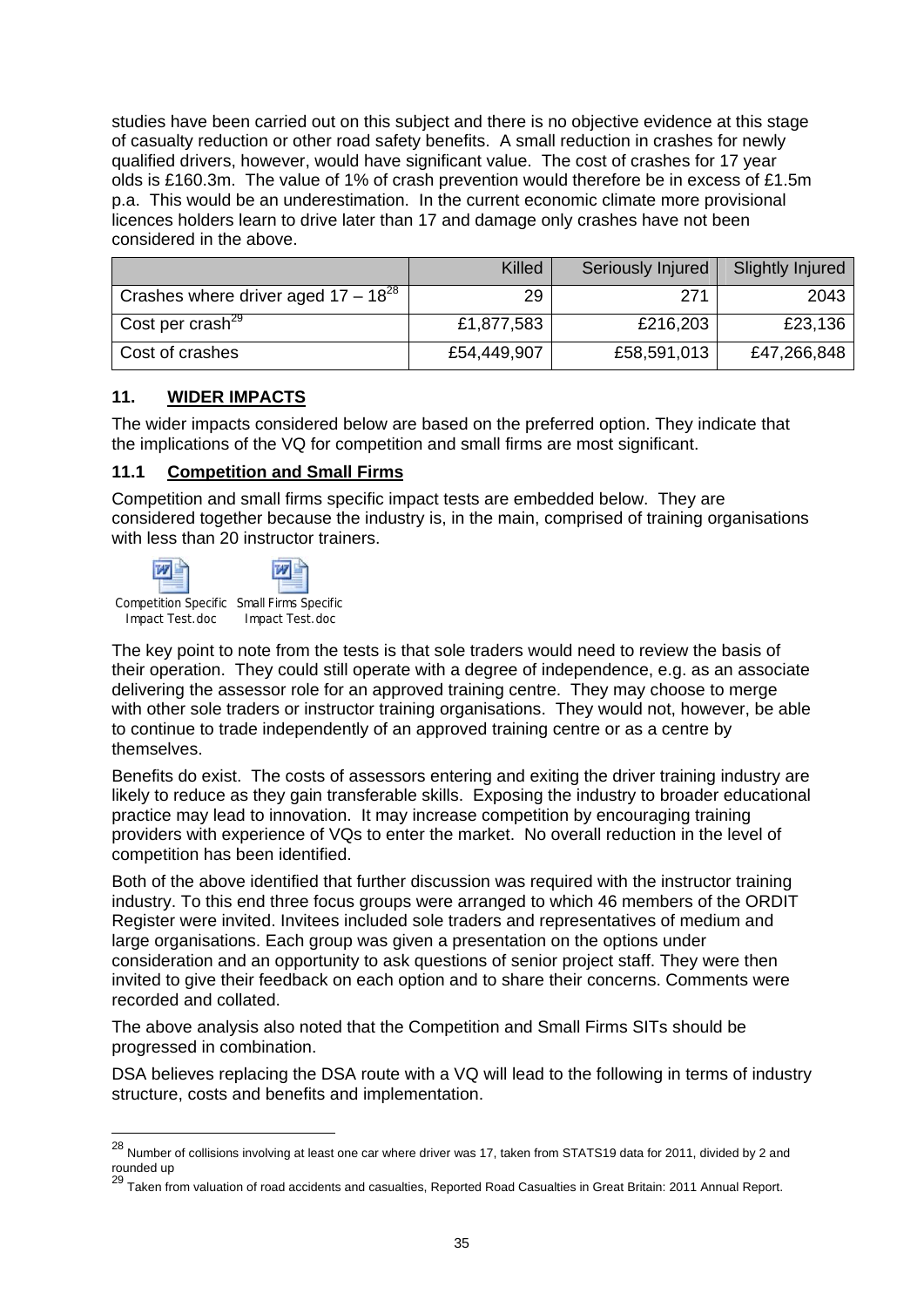studies have been carried out on this subject and there is no objective evidence at this stage of casualty reduction or other road safety benefits. A small reduction in crashes for newly qualified drivers, however, would have significant value. The cost of crashes for 17 year olds is £160.3m. The value of 1% of crash prevention would therefore be in excess of £1.5m p.a. This would be an underestimation. In the current economic climate more provisional licences holders learn to drive later than 17 and damage only crashes have not been considered in the above.

|                                          | Killed      | Seriously Injured | Slightly Injured |
|------------------------------------------|-------------|-------------------|------------------|
| Crashes where driver aged $17 - 18^{28}$ | 29          | 271               | 2043             |
| Cost per crash <sup>29</sup>             | £1,877,583  | £216,203          | £23,136          |
| Cost of crashes                          | £54,449,907 | £58,591,013       | £47,266,848      |

#### **11. WIDER IMPACTS**

The wider impacts considered below are based on the preferred option. They indicate that the implications of the VQ for competition and small firms are most significant.

#### **11.1 Competition and Small Firms**

Competition and small firms specific impact tests are embedded below. They are considered together because the industry is, in the main, comprised of training organisations with less than 20 instructor trainers.



Competition Specific Small Firms Specific Impact Test.doc Impact Test.doc

1

The key point to note from the tests is that sole traders would need to review the basis of their operation. They could still operate with a degree of independence, e.g. as an associate delivering the assessor role for an approved training centre. They may choose to merge with other sole traders or instructor training organisations. They would not, however, be able to continue to trade independently of an approved training centre or as a centre by themselves.

Benefits do exist. The costs of assessors entering and exiting the driver training industry are likely to reduce as they gain transferable skills. Exposing the industry to broader educational practice may lead to innovation. It may increase competition by encouraging training providers with experience of VQs to enter the market. No overall reduction in the level of competition has been identified.

Both of the above identified that further discussion was required with the instructor training industry. To this end three focus groups were arranged to which 46 members of the ORDIT Register were invited. Invitees included sole traders and representatives of medium and large organisations. Each group was given a presentation on the options under consideration and an opportunity to ask questions of senior project staff. They were then invited to give their feedback on each option and to share their concerns. Comments were recorded and collated.

The above analysis also noted that the Competition and Small Firms SITs should be progressed in combination.

DSA believes replacing the DSA route with a VQ will lead to the following in terms of industry structure, costs and benefits and implementation.

 $^{28}$  Number of collisions involving at least one car where driver was 17, taken from STATS19 data for 2011, divided by 2 and rounded up

<sup>29</sup> Taken from valuation of road accidents and casualties, Reported Road Casualties in Great Britain: 2011 Annual Report.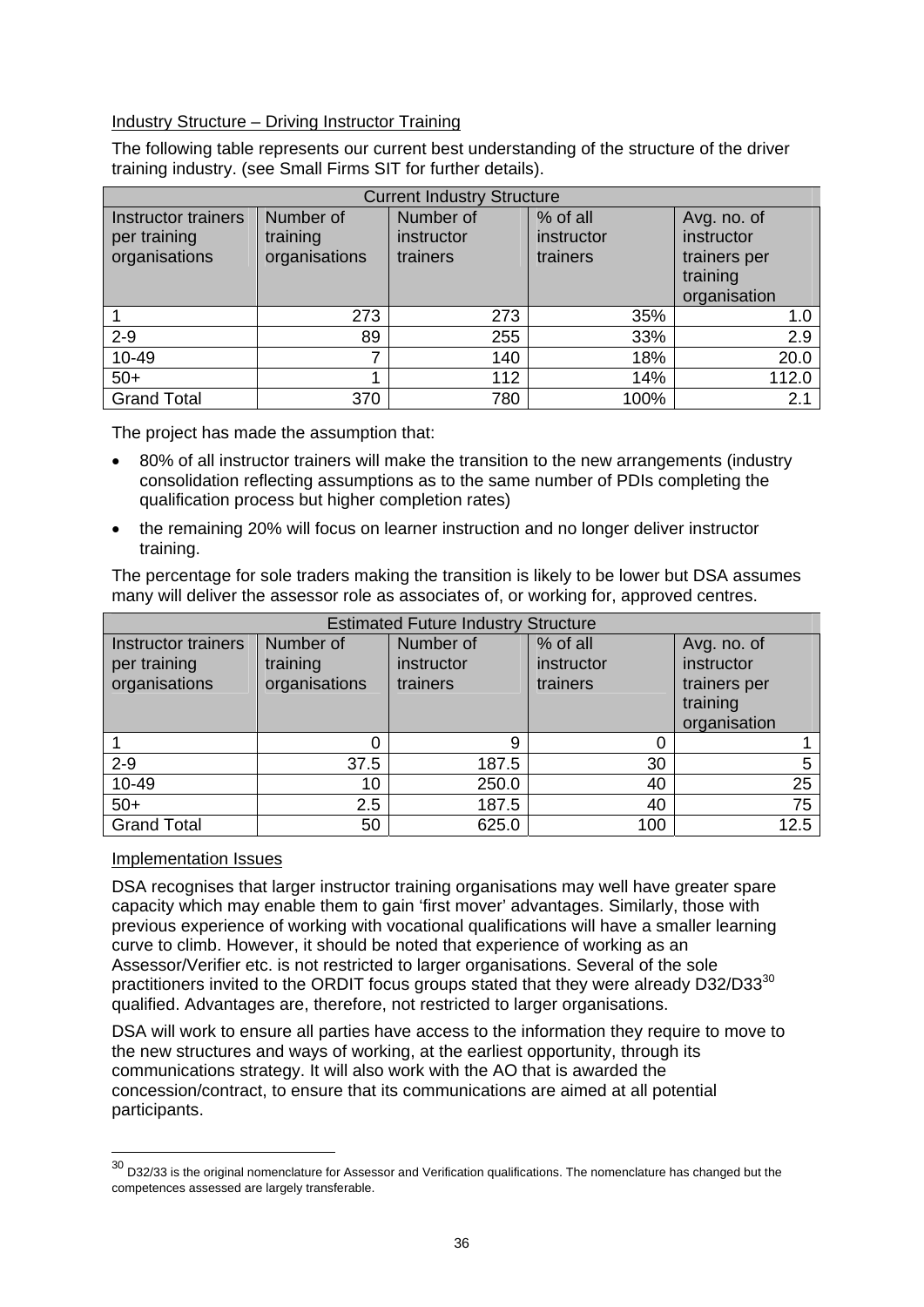#### Industry Structure – Driving Instructor Training

The following table represents our current best understanding of the structure of the driver training industry. (see Small Firms SIT for further details).

| <b>Current Industry Structure</b>                    |                                        |                                     |                                    |                                                                       |  |  |
|------------------------------------------------------|----------------------------------------|-------------------------------------|------------------------------------|-----------------------------------------------------------------------|--|--|
| Instructor trainers<br>per training<br>organisations | Number of<br>training<br>organisations | Number of<br>instructor<br>trainers | % of all<br>instructor<br>trainers | Avg. no. of<br>instructor<br>trainers per<br>training<br>organisation |  |  |
|                                                      | 273                                    | 273                                 | 35%                                | 1.0                                                                   |  |  |
| $2 - 9$                                              | 89                                     | 255                                 | 33%                                | 2.9                                                                   |  |  |
| 10-49                                                | 7                                      | 140                                 | 18%                                | 20.0                                                                  |  |  |
| $50+$                                                |                                        | 112                                 | 14%                                | 112.0                                                                 |  |  |
| <b>Grand Total</b>                                   | 370                                    | 780                                 | 100%                               | 2.1                                                                   |  |  |

The project has made the assumption that:

- 80% of all instructor trainers will make the transition to the new arrangements (industry consolidation reflecting assumptions as to the same number of PDIs completing the qualification process but higher completion rates)
- the remaining 20% will focus on learner instruction and no longer deliver instructor training.

The percentage for sole traders making the transition is likely to be lower but DSA assumes many will deliver the assessor role as associates of, or working for, approved centres.

| <b>Estimated Future Industry Structure</b>           |                                        |                                     |                                    |                                                                       |  |
|------------------------------------------------------|----------------------------------------|-------------------------------------|------------------------------------|-----------------------------------------------------------------------|--|
| Instructor trainers<br>per training<br>organisations | Number of<br>training<br>organisations | Number of<br>instructor<br>trainers | % of all<br>instructor<br>trainers | Avg. no. of<br>instructor<br>trainers per<br>training<br>organisation |  |
|                                                      | 0                                      | 9                                   | 0                                  |                                                                       |  |
| $2 - 9$                                              | 37.5                                   | 187.5                               | 30                                 | 5                                                                     |  |
| 10-49                                                | 10                                     | 250.0                               | 40                                 | 25                                                                    |  |
| $50+$                                                | 2.5                                    | 187.5                               | 40                                 | 75                                                                    |  |
| <b>Grand Total</b>                                   | 50                                     | 625.0                               | 100                                | 12.5                                                                  |  |

#### Implementation Issues

1

DSA recognises that larger instructor training organisations may well have greater spare capacity which may enable them to gain 'first mover' advantages. Similarly, those with previous experience of working with vocational qualifications will have a smaller learning curve to climb. However, it should be noted that experience of working as an Assessor/Verifier etc. is not restricted to larger organisations. Several of the sole practitioners invited to the ORDIT focus groups stated that they were already D32/D33<sup>30</sup> qualified. Advantages are, therefore, not restricted to larger organisations.

DSA will work to ensure all parties have access to the information they require to move to the new structures and ways of working, at the earliest opportunity, through its communications strategy. It will also work with the AO that is awarded the concession/contract, to ensure that its communications are aimed at all potential participants.

 $30$  D32/33 is the original nomenclature for Assessor and Verification qualifications. The nomenclature has changed but the competences assessed are largely transferable.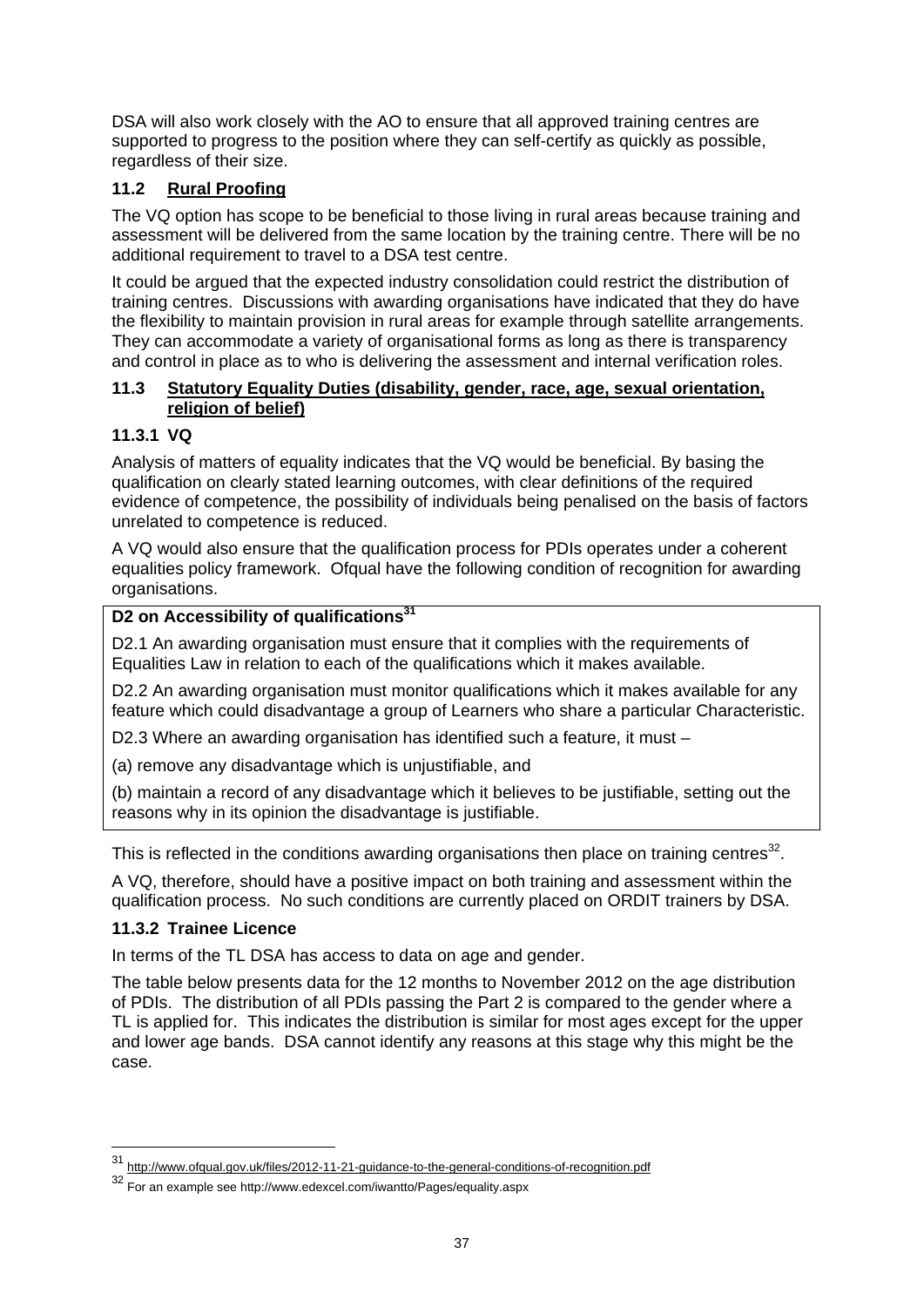DSA will also work closely with the AO to ensure that all approved training centres are supported to progress to the position where they can self-certify as quickly as possible, regardless of their size.

# **11.2 Rural Proofing**

The VQ option has scope to be beneficial to those living in rural areas because training and assessment will be delivered from the same location by the training centre. There will be no additional requirement to travel to a DSA test centre.

It could be argued that the expected industry consolidation could restrict the distribution of training centres. Discussions with awarding organisations have indicated that they do have the flexibility to maintain provision in rural areas for example through satellite arrangements. They can accommodate a variety of organisational forms as long as there is transparency and control in place as to who is delivering the assessment and internal verification roles.

#### **11.3 Statutory Equality Duties (disability, gender, race, age, sexual orientation, religion of belief)**

# **11.3.1 VQ**

Analysis of matters of equality indicates that the VQ would be beneficial. By basing the qualification on clearly stated learning outcomes, with clear definitions of the required evidence of competence, the possibility of individuals being penalised on the basis of factors unrelated to competence is reduced.

A VQ would also ensure that the qualification process for PDIs operates under a coherent equalities policy framework. Ofqual have the following condition of recognition for awarding organisations.

# **D2 on Accessibility of qualifications**<sup>31</sup>

D2.1 An awarding organisation must ensure that it complies with the requirements of Equalities Law in relation to each of the qualifications which it makes available.

D2.2 An awarding organisation must monitor qualifications which it makes available for any feature which could disadvantage a group of Learners who share a particular Characteristic.

D2.3 Where an awarding organisation has identified such a feature, it must –

(a) remove any disadvantage which is unjustifiable, and

(b) maintain a record of any disadvantage which it believes to be justifiable, setting out the reasons why in its opinion the disadvantage is justifiable.

This is reflected in the conditions awarding organisations then place on training centres<sup>32</sup>.

A VQ, therefore, should have a positive impact on both training and assessment within the qualification process. No such conditions are currently placed on ORDIT trainers by DSA.

## **11.3.2 Trainee Licence**

In terms of the TL DSA has access to data on age and gender.

The table below presents data for the 12 months to November 2012 on the age distribution of PDIs. The distribution of all PDIs passing the Part 2 is compared to the gender where a TL is applied for. This indicates the distribution is similar for most ages except for the upper and lower age bands. DSA cannot identify any reasons at this stage why this might be the case.

 $31$ 31 http://www.ofqual.gov.uk/files/2012-11-21-guidance-to-the-general-conditions-of-recognition.pdf

<sup>32</sup> For an example see http://www.edexcel.com/iwantto/Pages/equality.aspx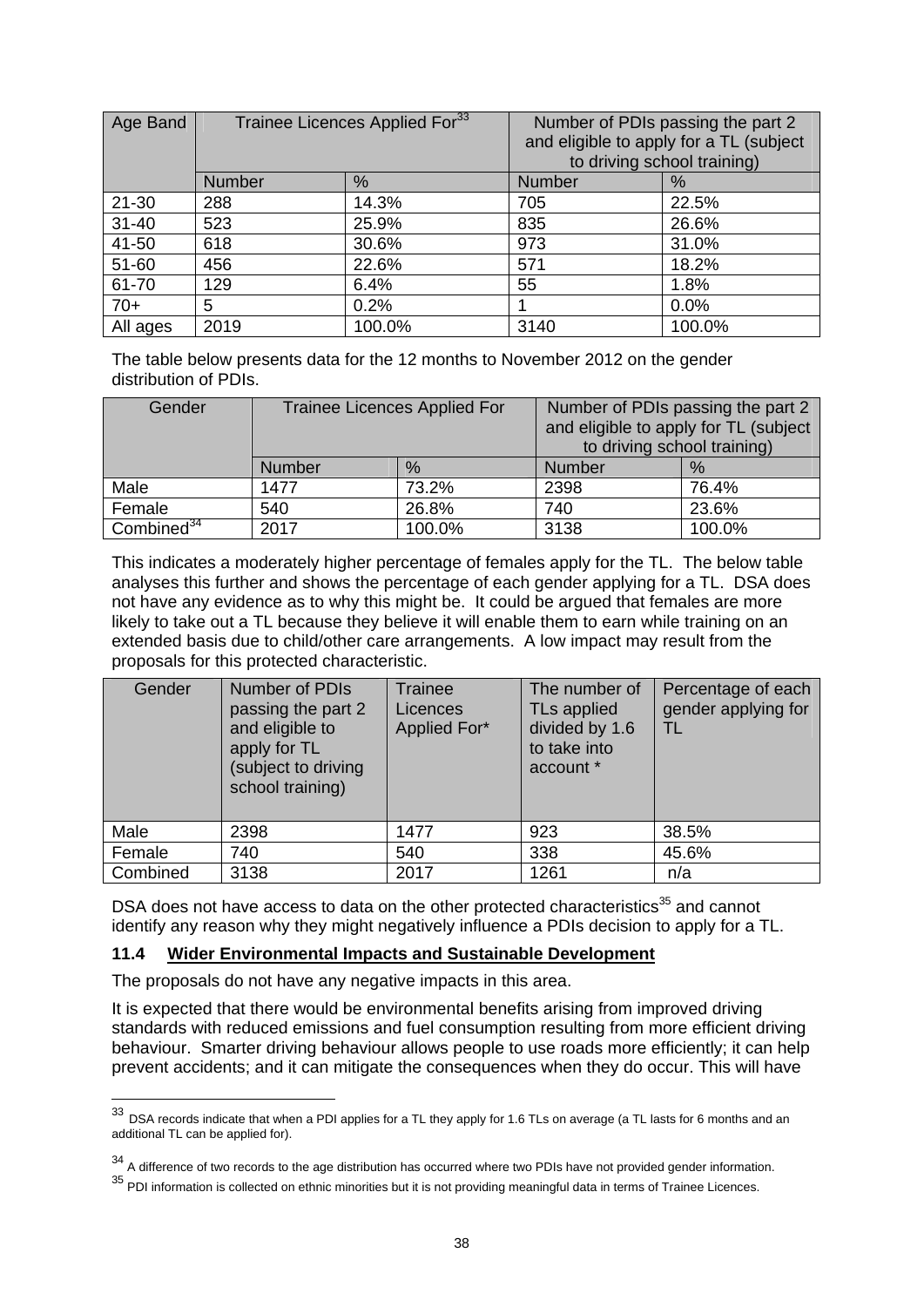| Age Band  | Trainee Licences Applied For <sup>33</sup> |        |               | Number of PDIs passing the part 2<br>and eligible to apply for a TL (subject<br>to driving school training) |
|-----------|--------------------------------------------|--------|---------------|-------------------------------------------------------------------------------------------------------------|
|           | <b>Number</b>                              | %      | <b>Number</b> | %                                                                                                           |
| $21 - 30$ | 288                                        | 14.3%  | 705           | 22.5%                                                                                                       |
| $31 - 40$ | 523                                        | 25.9%  | 835           | 26.6%                                                                                                       |
| 41-50     | 618                                        | 30.6%  | 973           | 31.0%                                                                                                       |
| 51-60     | 456                                        | 22.6%  | 571           | 18.2%                                                                                                       |
| 61-70     | 129                                        | 6.4%   | 55            | 1.8%                                                                                                        |
| $70+$     | 5                                          | 0.2%   |               | 0.0%                                                                                                        |
| All ages  | 2019                                       | 100.0% | 3140          | 100.0%                                                                                                      |

The table below presents data for the 12 months to November 2012 on the gender distribution of PDIs.

| Gender                 | <b>Trainee Licences Applied For</b> |        | Number of PDIs passing the part 2     |        |
|------------------------|-------------------------------------|--------|---------------------------------------|--------|
|                        |                                     |        | and eligible to apply for TL (subject |        |
|                        |                                     |        | to driving school training)           |        |
|                        | <b>Number</b>                       | $\%$   | Number                                | $\%$   |
| Male                   | 1477                                | 73.2%  | 2398                                  | 76.4%  |
| Female                 | 540                                 | 26.8%  | 740                                   | 23.6%  |
| Combined <sup>34</sup> | 2017                                | 100.0% | 3138                                  | 100.0% |

This indicates a moderately higher percentage of females apply for the TL. The below table analyses this further and shows the percentage of each gender applying for a TL. DSA does not have any evidence as to why this might be. It could be argued that females are more likely to take out a TL because they believe it will enable them to earn while training on an extended basis due to child/other care arrangements. A low impact may result from the proposals for this protected characteristic.

| Gender   | Number of PDIs<br>passing the part 2<br>and eligible to<br>apply for TL<br>(subject to driving<br>school training) | Trainee<br>Licences<br>Applied For* | The number of<br>TLs applied<br>divided by 1.6<br>to take into<br>account * | Percentage of each<br>gender applying for |
|----------|--------------------------------------------------------------------------------------------------------------------|-------------------------------------|-----------------------------------------------------------------------------|-------------------------------------------|
| Male     | 2398                                                                                                               | 1477                                | 923                                                                         | 38.5%                                     |
| Female   | 740                                                                                                                | 540                                 | 338                                                                         | 45.6%                                     |
| Combined | 3138                                                                                                               | 2017                                | 1261                                                                        | n/a                                       |

DSA does not have access to data on the other protected characteristics<sup>35</sup> and cannot identify any reason why they might negatively influence a PDIs decision to apply for a TL.

#### **11.4 Wider Environmental Impacts and Sustainable Development**

The proposals do not have any negative impacts in this area.

1

It is expected that there would be environmental benefits arising from improved driving standards with reduced emissions and fuel consumption resulting from more efficient driving behaviour. Smarter driving behaviour allows people to use roads more efficiently; it can help prevent accidents; and it can mitigate the consequences when they do occur. This will have

<sup>33</sup> DSA records indicate that when a PDI applies for a TL they apply for 1.6 TLs on average (a TL lasts for 6 months and an additional TL can be applied for).

<sup>&</sup>lt;sup>34</sup> A difference of two records to the age distribution has occurred where two PDIs have not provided gender information.

 $35$  PDI information is collected on ethnic minorities but it is not providing meaningful data in terms of Trainee Licences.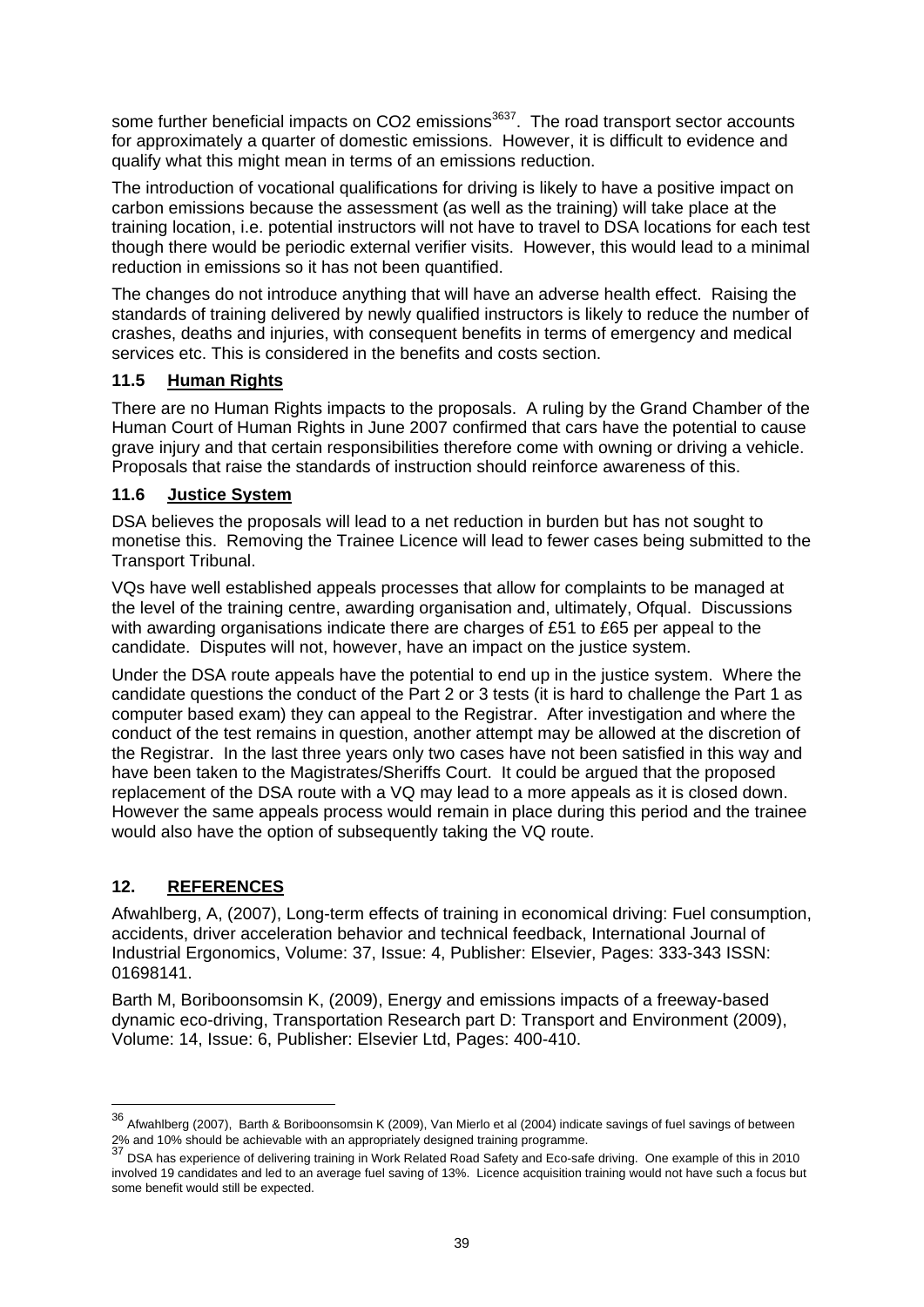some further beneficial impacts on CO2 emissions<sup>3637</sup>. The road transport sector accounts for approximately a quarter of domestic emissions. However, it is difficult to evidence and qualify what this might mean in terms of an emissions reduction.

The introduction of vocational qualifications for driving is likely to have a positive impact on carbon emissions because the assessment (as well as the training) will take place at the training location, i.e. potential instructors will not have to travel to DSA locations for each test though there would be periodic external verifier visits. However, this would lead to a minimal reduction in emissions so it has not been quantified.

The changes do not introduce anything that will have an adverse health effect. Raising the standards of training delivered by newly qualified instructors is likely to reduce the number of crashes, deaths and injuries, with consequent benefits in terms of emergency and medical services etc. This is considered in the benefits and costs section.

## **11.5 Human Rights**

There are no Human Rights impacts to the proposals. A ruling by the Grand Chamber of the Human Court of Human Rights in June 2007 confirmed that cars have the potential to cause grave injury and that certain responsibilities therefore come with owning or driving a vehicle. Proposals that raise the standards of instruction should reinforce awareness of this.

#### **11.6 Justice System**

DSA believes the proposals will lead to a net reduction in burden but has not sought to monetise this. Removing the Trainee Licence will lead to fewer cases being submitted to the Transport Tribunal.

VQs have well established appeals processes that allow for complaints to be managed at the level of the training centre, awarding organisation and, ultimately, Ofqual. Discussions with awarding organisations indicate there are charges of £51 to £65 per appeal to the candidate. Disputes will not, however, have an impact on the justice system.

Under the DSA route appeals have the potential to end up in the justice system. Where the candidate questions the conduct of the Part 2 or 3 tests (it is hard to challenge the Part 1 as computer based exam) they can appeal to the Registrar. After investigation and where the conduct of the test remains in question, another attempt may be allowed at the discretion of the Registrar. In the last three years only two cases have not been satisfied in this way and have been taken to the Magistrates/Sheriffs Court. It could be argued that the proposed replacement of the DSA route with a VQ may lead to a more appeals as it is closed down. However the same appeals process would remain in place during this period and the trainee would also have the option of subsequently taking the VQ route.

## **12. REFERENCES**

1

Afwahlberg, A, (2007), Long-term effects of training in economical driving: Fuel consumption, accidents, driver acceleration behavior and technical feedback, International Journal of Industrial Ergonomics, Volume: 37, Issue: 4, Publisher: Elsevier, Pages: 333-343 ISSN: 01698141.

Barth M, Boriboonsomsin K, (2009), Energy and emissions impacts of a freeway-based dynamic eco-driving, Transportation Research part D: Transport and Environment (2009), Volume: 14, Issue: 6, Publisher: Elsevier Ltd, Pages: 400-410.

<sup>36</sup> Afwahlberg (2007), Barth & Boriboonsomsin K (2009), Van Mierlo et al (2004) indicate savings of fuel savings of between 2% and 10% should be achievable with an appropriately designed training programme.<br> $\frac{22}{37}$  DCA has seen that the achievable with an appropriately designed training programme.

<sup>37</sup> DSA has experience of delivering training in Work Related Road Safety and Eco-safe driving. One example of this in 2010 involved 19 candidates and led to an average fuel saving of 13%. Licence acquisition training would not have such a focus but some benefit would still be expected.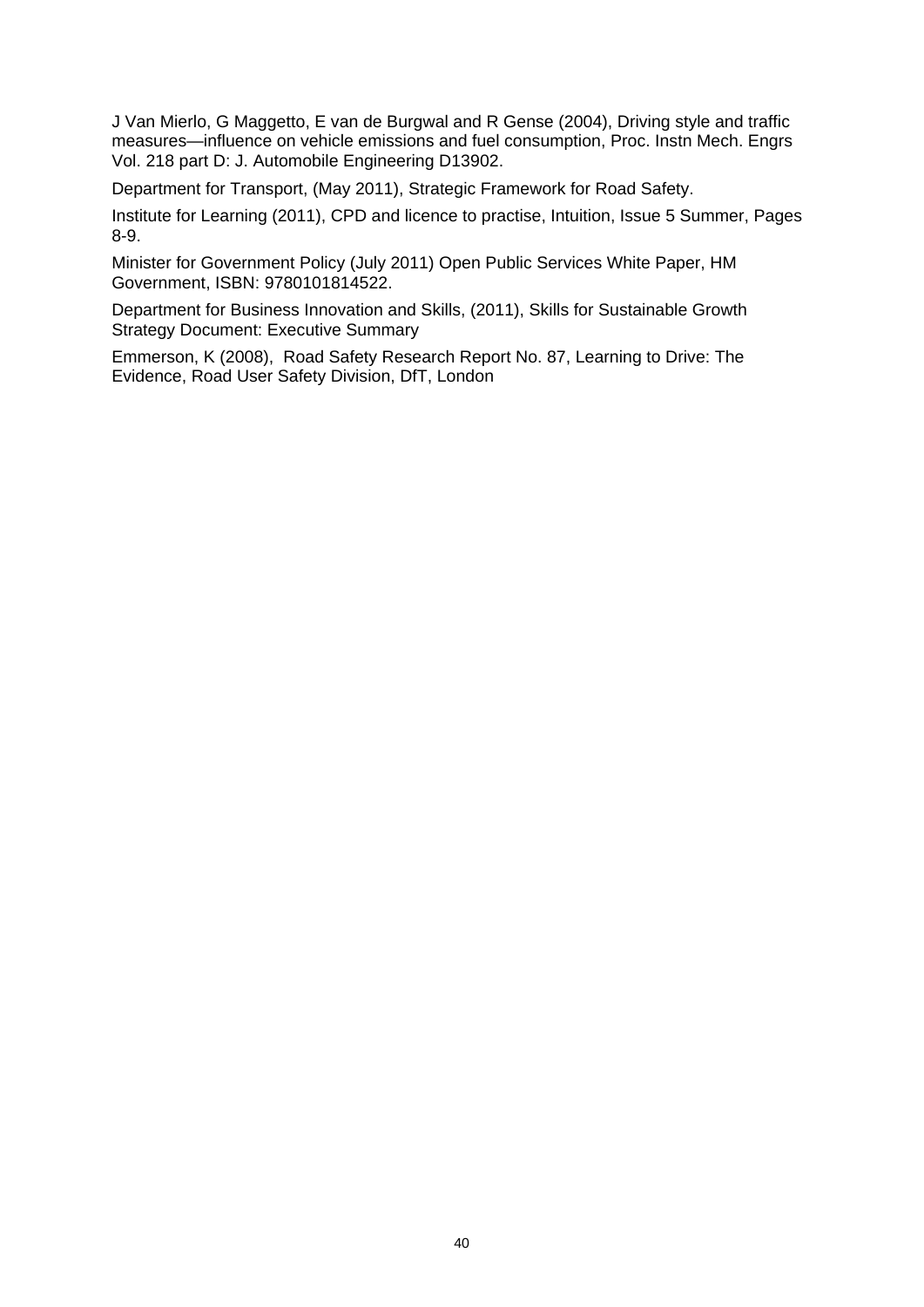J Van Mierlo, G Maggetto, E van de Burgwal and R Gense (2004), Driving style and traffic measures—influence on vehicle emissions and fuel consumption, Proc. Instn Mech. Engrs Vol. 218 part D: J. Automobile Engineering D13902.

Department for Transport, (May 2011), Strategic Framework for Road Safety.

Institute for Learning (2011), CPD and licence to practise, Intuition, Issue 5 Summer, Pages 8-9.

Minister for Government Policy (July 2011) Open Public Services White Paper, HM Government, ISBN: 9780101814522.

Department for Business Innovation and Skills, (2011), Skills for Sustainable Growth Strategy Document: Executive Summary

Emmerson, K (2008), Road Safety Research Report No. 87, Learning to Drive: The Evidence, Road User Safety Division, DfT, London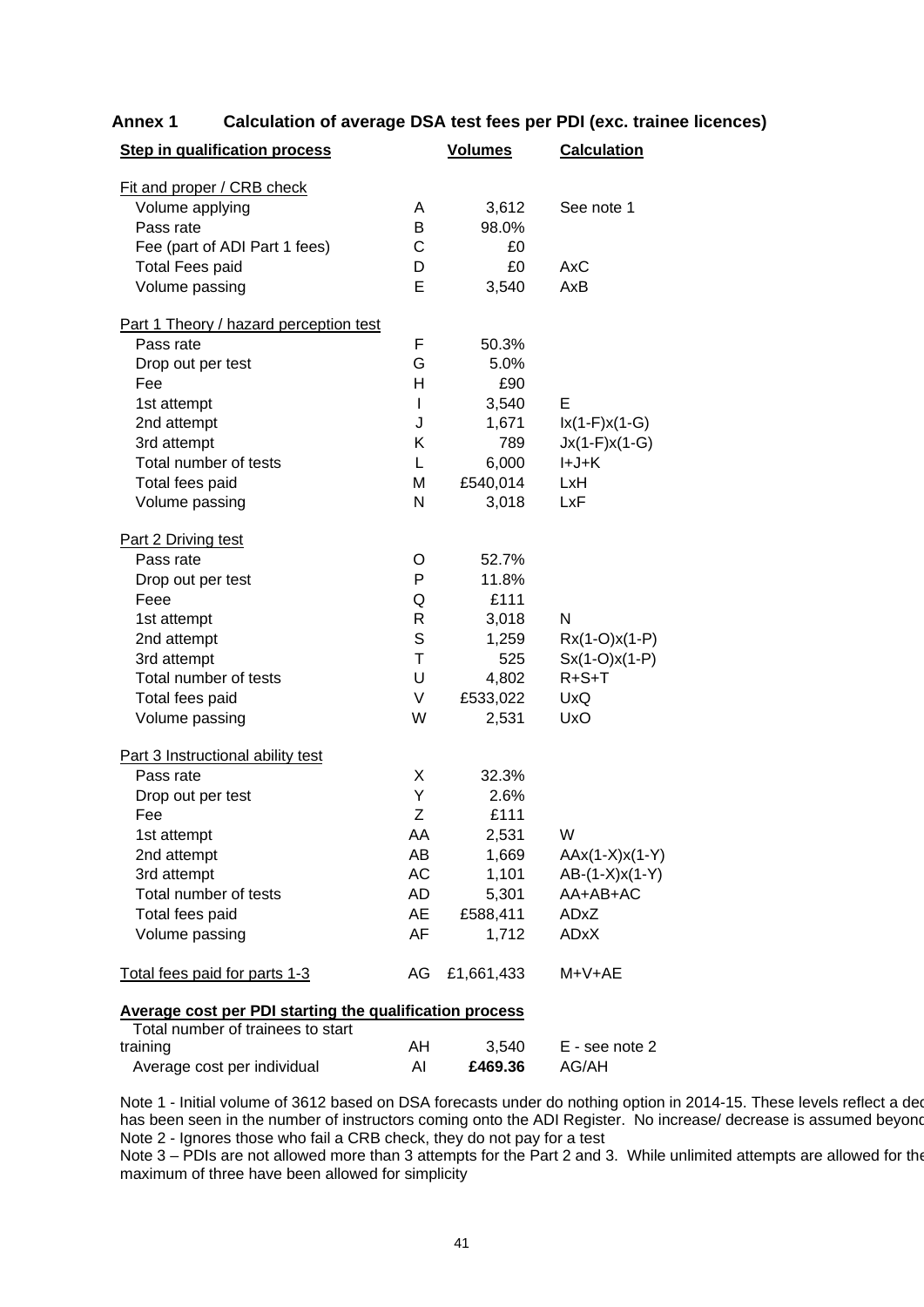| <b>Step in qualification process</b>   |                                                                | <b>Volumes</b> | <b>Calculation</b> |  |  |
|----------------------------------------|----------------------------------------------------------------|----------------|--------------------|--|--|
| Fit and proper / CRB check             |                                                                |                |                    |  |  |
| Volume applying                        | A                                                              | 3,612          | See note 1         |  |  |
| Pass rate                              | B                                                              | 98.0%          |                    |  |  |
| Fee (part of ADI Part 1 fees)          | С                                                              | £0             |                    |  |  |
| <b>Total Fees paid</b>                 | D                                                              | £0             | AxC                |  |  |
| Volume passing                         | Е                                                              | 3,540          | AxB                |  |  |
|                                        |                                                                |                |                    |  |  |
| Part 1 Theory / hazard perception test |                                                                |                |                    |  |  |
| Pass rate                              | F                                                              | 50.3%          |                    |  |  |
| Drop out per test                      | G                                                              | 5.0%           |                    |  |  |
| Fee                                    | Н                                                              | £90            |                    |  |  |
| 1st attempt                            | I                                                              | 3,540          | E                  |  |  |
| 2nd attempt                            | J                                                              | 1,671          | $lx(1-F)x(1-G)$    |  |  |
| 3rd attempt                            | Κ                                                              | 789            | $Jx(1-F)x(1-G)$    |  |  |
| Total number of tests                  | L                                                              | 6,000          | I+J+K              |  |  |
| Total fees paid                        | М                                                              | £540,014       | LxH                |  |  |
| Volume passing                         | N                                                              | 3,018          | LxF                |  |  |
| Part 2 Driving test                    |                                                                |                |                    |  |  |
| Pass rate                              | O                                                              | 52.7%          |                    |  |  |
| Drop out per test                      | P                                                              | 11.8%          |                    |  |  |
| Feee                                   | Q                                                              | £111           |                    |  |  |
| 1st attempt                            | R                                                              | 3,018          | N                  |  |  |
| 2nd attempt                            | S                                                              | 1,259          | $Rx(1-O)x(1-P)$    |  |  |
| 3rd attempt                            | $\mathsf{T}$                                                   | 525            | $Sx(1-O)x(1-P)$    |  |  |
| Total number of tests                  | U                                                              | 4,802          | $R + S + T$        |  |  |
| Total fees paid                        | V                                                              | £533,022       | <b>UxQ</b>         |  |  |
| Volume passing                         | W                                                              | 2,531          | <b>UxO</b>         |  |  |
| Part 3 Instructional ability test      |                                                                |                |                    |  |  |
| Pass rate                              | X                                                              | 32.3%          |                    |  |  |
| Drop out per test                      | Υ                                                              | 2.6%           |                    |  |  |
| Fee                                    | Z                                                              | £111           |                    |  |  |
| 1st attempt                            | AA                                                             | 2,531          | W                  |  |  |
| 2nd attempt                            | AB                                                             | 1,669          | $AAx(1-X)x(1-Y)$   |  |  |
| 3rd attempt                            | AC                                                             | 1,101          | $AB-(1-X)x(1-Y)$   |  |  |
| Total number of tests                  | AD                                                             | 5,301          | AA+AB+AC           |  |  |
| Total fees paid                        | AE                                                             | £588,411       | ADxZ               |  |  |
| Volume passing                         | AF                                                             | 1,712          | <b>ADxX</b>        |  |  |
| Total fees paid for parts 1-3          | AG                                                             | £1,661,433     | M+V+AE             |  |  |
|                                        | <b>Average cost per PDI starting the qualification process</b> |                |                    |  |  |
| Total number of trainees to start      |                                                                |                |                    |  |  |

#### **Annex 1 Calculation of average DSA test fees per PDI (exc. trainee licences)**

| TUMI HUIHUU UI HAIHUUS IU SIAH |    |         |                |
|--------------------------------|----|---------|----------------|
| training                       | AH | 3.540   | E - see note 2 |
| Average cost per individual    |    | £469.36 | AG/AH          |

Note 1 - Initial volume of 3612 based on DSA forecasts under do nothing option in 2014-15. These levels reflect a dec has been seen in the number of instructors coming onto the ADI Register. No increase/ decrease is assumed beyond Note 2 - Ignores those who fail a CRB check, they do not pay for a test

Note 3 – PDIs are not allowed more than 3 attempts for the Part 2 and 3. While unlimited attempts are allowed for the maximum of three have been allowed for simplicity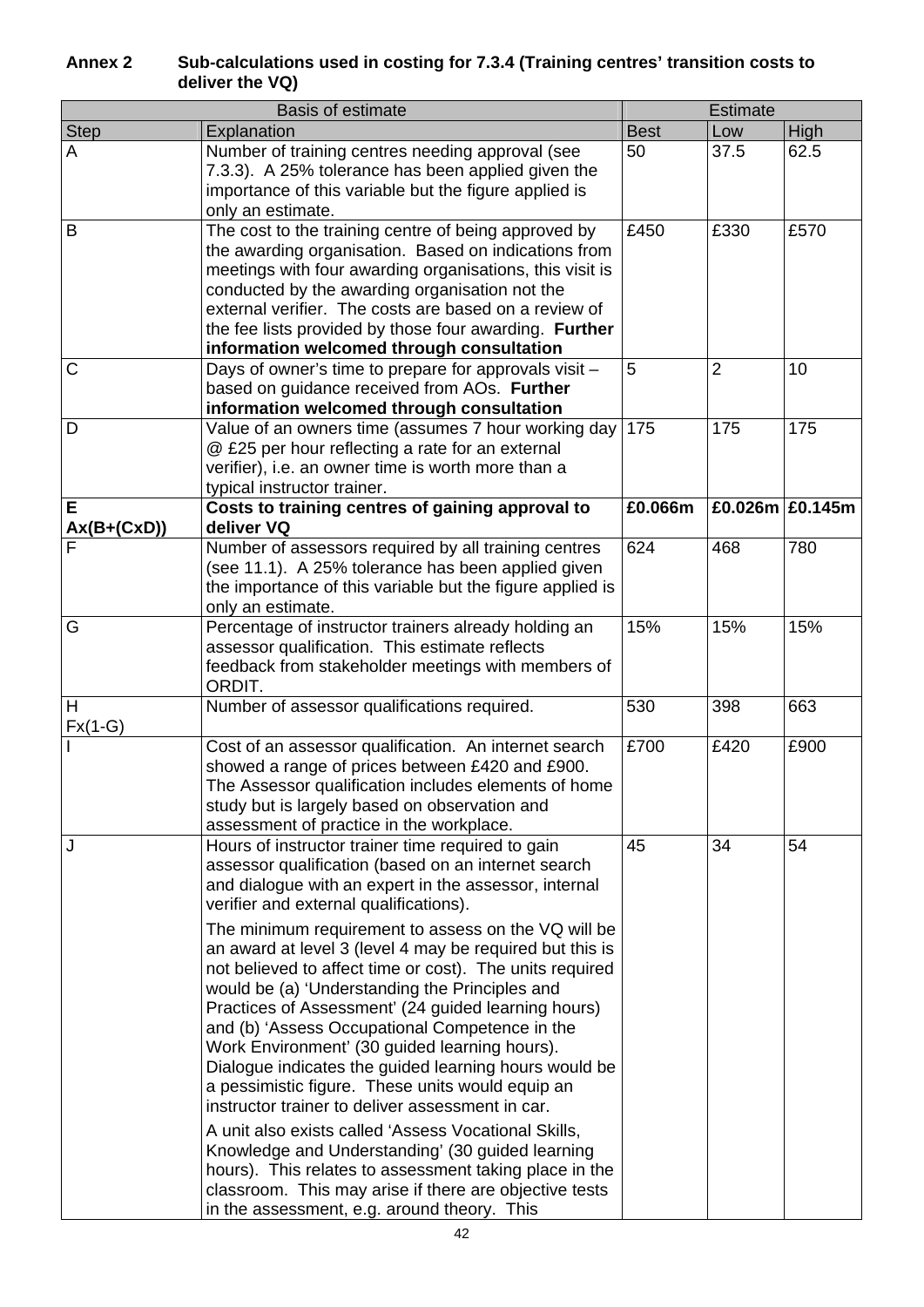#### **Annex 2 Sub-calculations used in costing for 7.3.4 (Training centres' transition costs to deliver the VQ)**

| <b>Basis of estimate</b> |                                                                                                                                                                                                                                                                                                                                                                                                                                                                                                                                                                                                                                                                                                                                                                                                                                                                                                                                                                                                                                                        |             | <b>Estimate</b>      |      |
|--------------------------|--------------------------------------------------------------------------------------------------------------------------------------------------------------------------------------------------------------------------------------------------------------------------------------------------------------------------------------------------------------------------------------------------------------------------------------------------------------------------------------------------------------------------------------------------------------------------------------------------------------------------------------------------------------------------------------------------------------------------------------------------------------------------------------------------------------------------------------------------------------------------------------------------------------------------------------------------------------------------------------------------------------------------------------------------------|-------------|----------------------|------|
| <b>Step</b>              | Explanation                                                                                                                                                                                                                                                                                                                                                                                                                                                                                                                                                                                                                                                                                                                                                                                                                                                                                                                                                                                                                                            | <b>Best</b> | Low                  | High |
| A                        | Number of training centres needing approval (see<br>7.3.3). A 25% tolerance has been applied given the<br>importance of this variable but the figure applied is<br>only an estimate.                                                                                                                                                                                                                                                                                                                                                                                                                                                                                                                                                                                                                                                                                                                                                                                                                                                                   | 50          | 37.5                 | 62.5 |
| B                        | The cost to the training centre of being approved by<br>the awarding organisation. Based on indications from<br>meetings with four awarding organisations, this visit is<br>conducted by the awarding organisation not the<br>external verifier. The costs are based on a review of<br>the fee lists provided by those four awarding. Further<br>information welcomed through consultation                                                                                                                                                                                                                                                                                                                                                                                                                                                                                                                                                                                                                                                             | £450        | £330                 | £570 |
| C                        | Days of owner's time to prepare for approvals visit -<br>based on guidance received from AOs. Further<br>information welcomed through consultation                                                                                                                                                                                                                                                                                                                                                                                                                                                                                                                                                                                                                                                                                                                                                                                                                                                                                                     | 5           | $\overline{2}$       | 10   |
| D                        | Value of an owners time (assumes 7 hour working day<br>@ £25 per hour reflecting a rate for an external<br>verifier), i.e. an owner time is worth more than a<br>typical instructor trainer.                                                                                                                                                                                                                                                                                                                                                                                                                                                                                                                                                                                                                                                                                                                                                                                                                                                           | 175         | 175                  | 175  |
| Е<br>Ax(B+(CxD))         | Costs to training centres of gaining approval to<br>deliver VQ                                                                                                                                                                                                                                                                                                                                                                                                                                                                                                                                                                                                                                                                                                                                                                                                                                                                                                                                                                                         | £0.066m     | £0.026m $\,$ £0.145m |      |
|                          | Number of assessors required by all training centres<br>(see 11.1). A 25% tolerance has been applied given<br>the importance of this variable but the figure applied is<br>only an estimate.                                                                                                                                                                                                                                                                                                                                                                                                                                                                                                                                                                                                                                                                                                                                                                                                                                                           | 624         | 468                  | 780  |
| G                        | Percentage of instructor trainers already holding an<br>assessor qualification. This estimate reflects<br>feedback from stakeholder meetings with members of<br>ORDIT.                                                                                                                                                                                                                                                                                                                                                                                                                                                                                                                                                                                                                                                                                                                                                                                                                                                                                 | 15%         | 15%                  | 15%  |
| H<br>$Fx(1-G)$           | Number of assessor qualifications required.                                                                                                                                                                                                                                                                                                                                                                                                                                                                                                                                                                                                                                                                                                                                                                                                                                                                                                                                                                                                            | 530         | 398                  | 663  |
|                          | Cost of an assessor qualification. An internet search<br>showed a range of prices between £420 and £900.<br>The Assessor qualification includes elements of home<br>study but is largely based on observation and<br>assessment of practice in the workplace.                                                                                                                                                                                                                                                                                                                                                                                                                                                                                                                                                                                                                                                                                                                                                                                          | £700        | £420                 | £900 |
| J                        | Hours of instructor trainer time required to gain<br>assessor qualification (based on an internet search<br>and dialogue with an expert in the assessor, internal<br>verifier and external qualifications).<br>The minimum requirement to assess on the VQ will be<br>an award at level 3 (level 4 may be required but this is<br>not believed to affect time or cost). The units required<br>would be (a) 'Understanding the Principles and<br>Practices of Assessment' (24 guided learning hours)<br>and (b) 'Assess Occupational Competence in the<br>Work Environment' (30 guided learning hours).<br>Dialogue indicates the guided learning hours would be<br>a pessimistic figure. These units would equip an<br>instructor trainer to deliver assessment in car.<br>A unit also exists called 'Assess Vocational Skills,<br>Knowledge and Understanding' (30 guided learning<br>hours). This relates to assessment taking place in the<br>classroom. This may arise if there are objective tests<br>in the assessment, e.g. around theory. This | 45          | 34                   | 54   |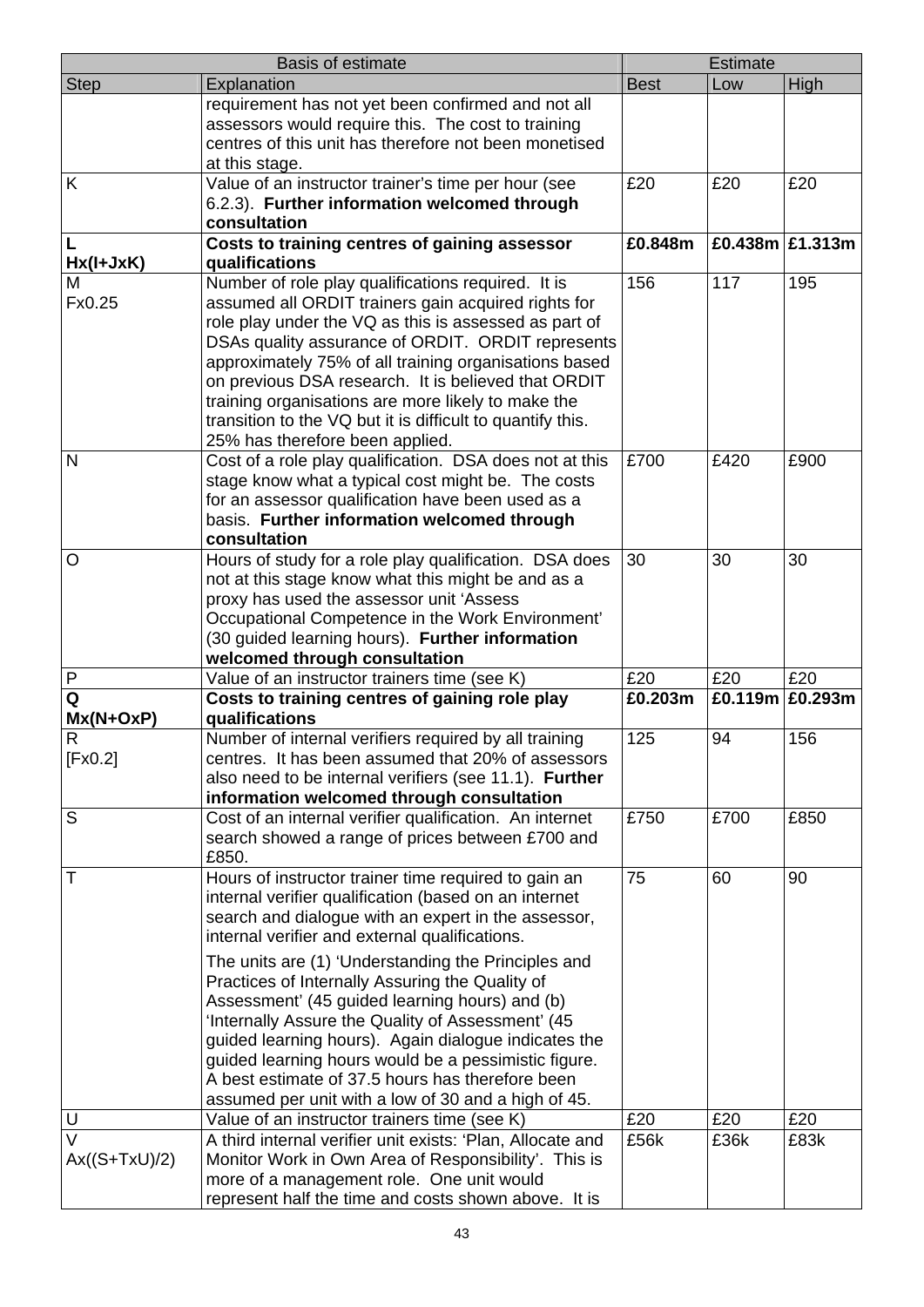|                           | <b>Basis of estimate</b>                                                                                                                                                                                                                                                                                                                                                                                                                                                                       |             | <b>Estimate</b> |                    |
|---------------------------|------------------------------------------------------------------------------------------------------------------------------------------------------------------------------------------------------------------------------------------------------------------------------------------------------------------------------------------------------------------------------------------------------------------------------------------------------------------------------------------------|-------------|-----------------|--------------------|
| <b>Step</b>               | Explanation                                                                                                                                                                                                                                                                                                                                                                                                                                                                                    | <b>Best</b> | Low             | High               |
|                           | requirement has not yet been confirmed and not all<br>assessors would require this. The cost to training<br>centres of this unit has therefore not been monetised<br>at this stage.                                                                                                                                                                                                                                                                                                            |             |                 |                    |
| K                         | Value of an instructor trainer's time per hour (see<br>6.2.3). Further information welcomed through<br>consultation                                                                                                                                                                                                                                                                                                                                                                            | £20         | £20             | £20                |
| $Hx(I+JxK)$               | Costs to training centres of gaining assessor<br>qualifications                                                                                                                                                                                                                                                                                                                                                                                                                                | £0.848m     |                 | £0.438m $E1.313m$  |
| M<br>Fx0.25               | Number of role play qualifications required. It is<br>assumed all ORDIT trainers gain acquired rights for<br>role play under the VQ as this is assessed as part of<br>DSAs quality assurance of ORDIT. ORDIT represents<br>approximately 75% of all training organisations based<br>on previous DSA research. It is believed that ORDIT<br>training organisations are more likely to make the<br>transition to the VQ but it is difficult to quantify this.<br>25% has therefore been applied. | 156         | 117             | 195                |
| $\mathsf{N}$              | Cost of a role play qualification. DSA does not at this<br>stage know what a typical cost might be. The costs<br>for an assessor qualification have been used as a<br>basis. Further information welcomed through<br>consultation                                                                                                                                                                                                                                                              | £700        | £420            | £900               |
| $\circ$                   | Hours of study for a role play qualification. DSA does<br>not at this stage know what this might be and as a<br>proxy has used the assessor unit 'Assess<br>Occupational Competence in the Work Environment'<br>(30 guided learning hours). Further information<br>welcomed through consultation                                                                                                                                                                                               | 30          | 30              | 30                 |
| $\mathsf{P}$              | Value of an instructor trainers time (see K)                                                                                                                                                                                                                                                                                                                                                                                                                                                   | £20         | £20             | £20                |
| Q                         | Costs to training centres of gaining role play                                                                                                                                                                                                                                                                                                                                                                                                                                                 | £0.203m     |                 | £0.119m $E$ 0.293m |
| $Mx(N+OxP)$               | qualifications                                                                                                                                                                                                                                                                                                                                                                                                                                                                                 |             |                 |                    |
| R<br>[Fx0.2]              | Number of internal verifiers required by all training<br>centres. It has been assumed that 20% of assessors<br>also need to be internal verifiers (see 11.1). Further<br>information welcomed through consultation                                                                                                                                                                                                                                                                             | 125         | 94              | 156                |
| S                         | Cost of an internal verifier qualification. An internet<br>search showed a range of prices between £700 and<br>£850.                                                                                                                                                                                                                                                                                                                                                                           | £750        | £700            | £850               |
| Т                         | Hours of instructor trainer time required to gain an<br>internal verifier qualification (based on an internet<br>search and dialogue with an expert in the assessor,<br>internal verifier and external qualifications.<br>The units are (1) 'Understanding the Principles and                                                                                                                                                                                                                  | 75          | 60              | 90                 |
|                           | Practices of Internally Assuring the Quality of<br>Assessment' (45 guided learning hours) and (b)<br>'Internally Assure the Quality of Assessment' (45)<br>guided learning hours). Again dialogue indicates the<br>guided learning hours would be a pessimistic figure.<br>A best estimate of 37.5 hours has therefore been<br>assumed per unit with a low of 30 and a high of 45.                                                                                                             |             |                 |                    |
| U                         | Value of an instructor trainers time (see K)                                                                                                                                                                                                                                                                                                                                                                                                                                                   | £20         | £20             | £20                |
| $\vee$<br>$Ax((S+TxU)/2)$ | A third internal verifier unit exists: 'Plan, Allocate and<br>Monitor Work in Own Area of Responsibility'. This is<br>more of a management role. One unit would<br>represent half the time and costs shown above. It is                                                                                                                                                                                                                                                                        | £56k        | £36k            | £83k               |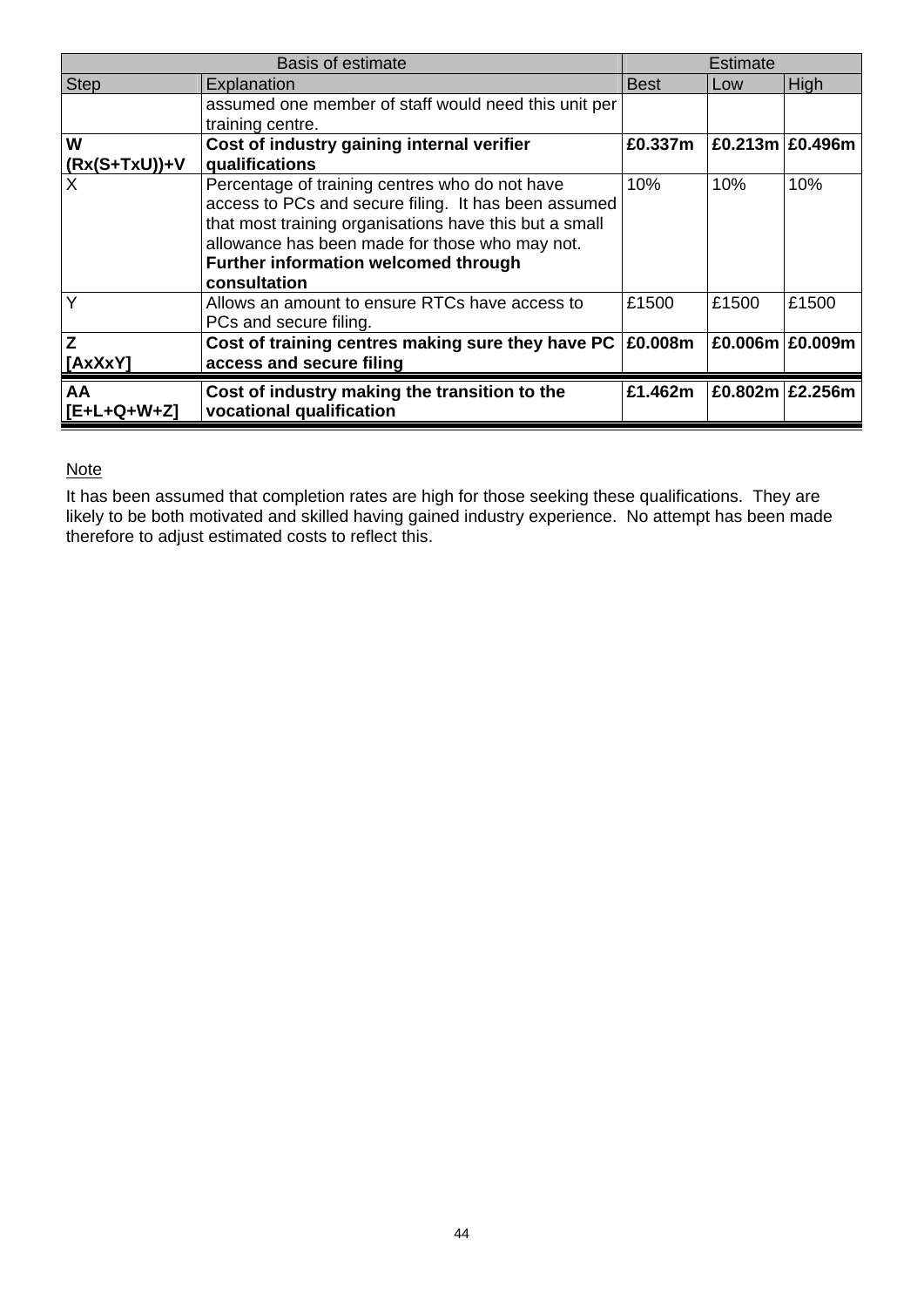|                  | Basis of estimate                                                        |             | Estimate            |       |
|------------------|--------------------------------------------------------------------------|-------------|---------------------|-------|
| <b>Step</b>      | Explanation                                                              | <b>Best</b> | Low                 | High  |
|                  | assumed one member of staff would need this unit per                     |             |                     |       |
|                  | training centre.                                                         |             |                     |       |
| W                | Cost of industry gaining internal verifier                               | £0.337m     | $E0.213m$ $E0.496m$ |       |
| $(Rx(S+TxU))$ +V | qualifications                                                           |             |                     |       |
|                  | Percentage of training centres who do not have                           | 10%         | 10%                 | 10%   |
|                  | access to PCs and secure filing. It has been assumed                     |             |                     |       |
|                  | that most training organisations have this but a small                   |             |                     |       |
|                  | allowance has been made for those who may not.                           |             |                     |       |
|                  | Further information welcomed through                                     |             |                     |       |
|                  | consultation                                                             |             |                     |       |
| Y                | Allows an amount to ensure RTCs have access to<br>PCs and secure filing. | £1500       | £1500               | £1500 |
| Z                | Cost of training centres making sure they have PC                        | £0.008m     | £0.006m   £0.009m   |       |
| [AxXxY]          | access and secure filing                                                 |             |                     |       |
| AA               | Cost of industry making the transition to the                            | £1.462m     | £0.802m £2.256m     |       |
| $[E+L+Q+W+Z]$    | vocational qualification                                                 |             |                     |       |

# Note

It has been assumed that completion rates are high for those seeking these qualifications. They are likely to be both motivated and skilled having gained industry experience. No attempt has been made therefore to adjust estimated costs to reflect this.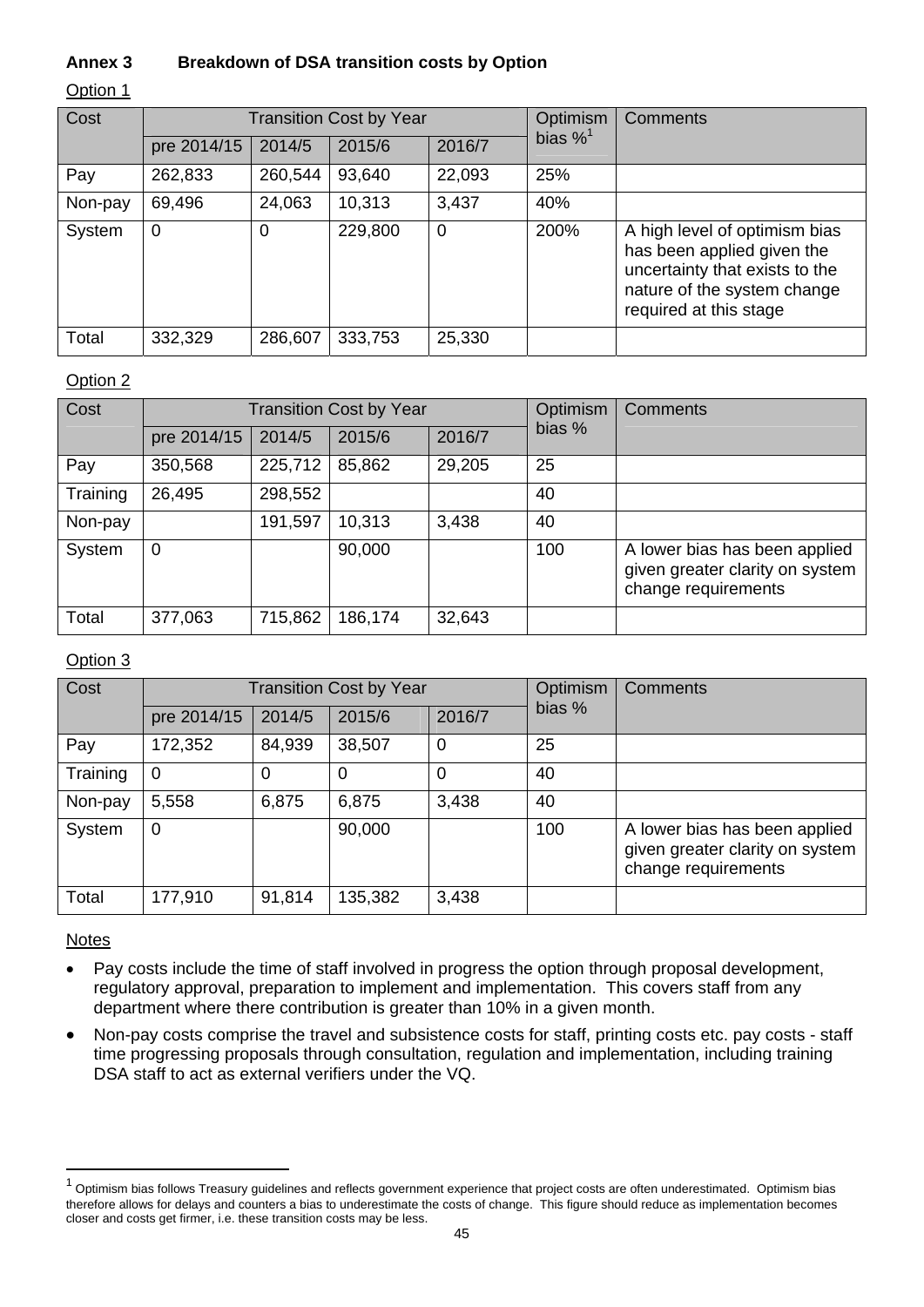# **Annex 3 Breakdown of DSA transition costs by Option**

#### Option 1

| Cost    | <b>Transition Cost by Year</b> |         |         |        | Optimism               | Comments                                                                                                                                               |
|---------|--------------------------------|---------|---------|--------|------------------------|--------------------------------------------------------------------------------------------------------------------------------------------------------|
|         | pre 2014/15                    | 2014/5  | 2015/6  | 2016/7 | bias $\%$ <sup>1</sup> |                                                                                                                                                        |
| Pay     | 262,833                        | 260,544 | 93,640  | 22,093 | 25%                    |                                                                                                                                                        |
| Non-pay | 69,496                         | 24,063  | 10,313  | 3,437  | 40%                    |                                                                                                                                                        |
| System  | $\overline{0}$                 | 0       | 229,800 | 0      | 200%                   | A high level of optimism bias<br>has been applied given the<br>uncertainty that exists to the<br>nature of the system change<br>required at this stage |
| Total   | 332,329                        | 286,607 | 333,753 | 25,330 |                        |                                                                                                                                                        |

## Option 2

| Cost     | <b>Transition Cost by Year</b> |         |         |        | Optimism | <b>Comments</b>                                                                         |
|----------|--------------------------------|---------|---------|--------|----------|-----------------------------------------------------------------------------------------|
|          | pre 2014/15                    | 2014/5  | 2015/6  | 2016/7 | bias %   |                                                                                         |
| Pay      | 350,568                        | 225,712 | 85,862  | 29,205 | 25       |                                                                                         |
| Training | 26,495                         | 298,552 |         |        | 40       |                                                                                         |
| Non-pay  |                                | 191,597 | 10,313  | 3,438  | 40       |                                                                                         |
| System   | $\overline{0}$                 |         | 90,000  |        | 100      | A lower bias has been applied<br>given greater clarity on system<br>change requirements |
| Total    | 377,063                        | 715,862 | 186,174 | 32,643 |          |                                                                                         |

## Option 3

| Cost     | <b>Transition Cost by Year</b> |        |         | <b>Optimism</b> | Comments |                                                                                         |
|----------|--------------------------------|--------|---------|-----------------|----------|-----------------------------------------------------------------------------------------|
|          | pre 2014/15                    | 2014/5 | 2015/6  | 2016/7          | bias %   |                                                                                         |
| Pay      | 172,352                        | 84,939 | 38,507  | 0               | 25       |                                                                                         |
| Training | $\overline{0}$                 | 0      | 0       | 0               | 40       |                                                                                         |
| Non-pay  | 5,558                          | 6,875  | 6,875   | 3,438           | 40       |                                                                                         |
| System   | 0                              |        | 90,000  |                 | 100      | A lower bias has been applied<br>given greater clarity on system<br>change requirements |
| Total    | 177,910                        | 91,814 | 135,382 | 3,438           |          |                                                                                         |

#### **Notes**

l

- Pay costs include the time of staff involved in progress the option through proposal development, regulatory approval, preparation to implement and implementation. This covers staff from any department where there contribution is greater than 10% in a given month.
- Non-pay costs comprise the travel and subsistence costs for staff, printing costs etc. pay costs staff time progressing proposals through consultation, regulation and implementation, including training DSA staff to act as external verifiers under the VQ.

 $^1$  Optimism bias follows Treasury guidelines and reflects government experience that project costs are often underestimated. Optimism bias therefore allows for delays and counters a bias to underestimate the costs of change. This figure should reduce as implementation becomes closer and costs get firmer, i.e. these transition costs may be less.